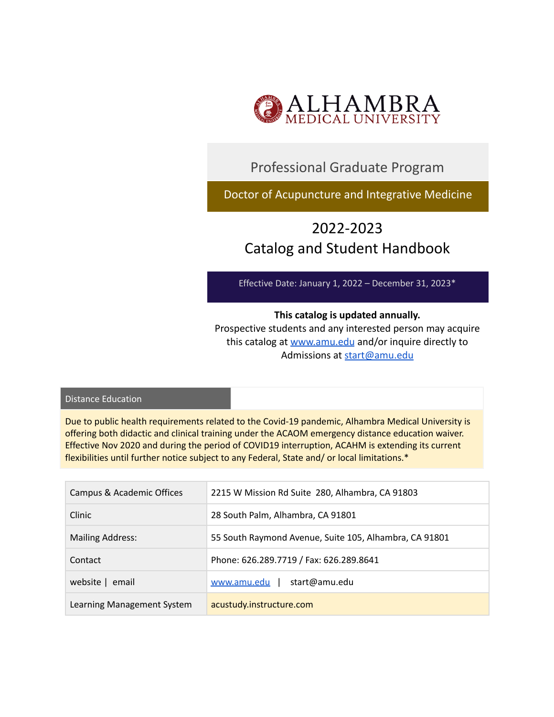

## Professional Graduate Program

Doctor of Acupuncture and Integrative Medicine

# 2022-2023 Catalog and Student Handbook

Effective Date: January 1, 2022 – December 31, 2023\*

### **This catalog is updated annually.**

Prospective students and any interested person may acquire this catalog at [www.amu.edu](http://www.amu.edu) and/or inquire directly to Admissions at [start@amu.edu](mailto:start@amu.edu)

#### Distance Education

Due to public health requirements related to the Covid-19 pandemic, Alhambra Medical University is offering both didactic and clinical training under the ACAOM emergency distance education waiver. Effective Nov 2020 and during the period of COVID19 interruption, ACAHM is extending its current flexibilities until further notice subject to any Federal, State and/ or local limitations.\*

| Campus & Academic Offices  | 2215 W Mission Rd Suite 280, Alhambra, CA 91803        |
|----------------------------|--------------------------------------------------------|
| Clinic                     | 28 South Palm, Alhambra, CA 91801                      |
| <b>Mailing Address:</b>    | 55 South Raymond Avenue, Suite 105, Alhambra, CA 91801 |
| Contact                    | Phone: 626.289.7719 / Fax: 626.289.8641                |
| website   email            | start@amu.edu<br>www.amu.edu                           |
| Learning Management System | acustudy.instructure.com                               |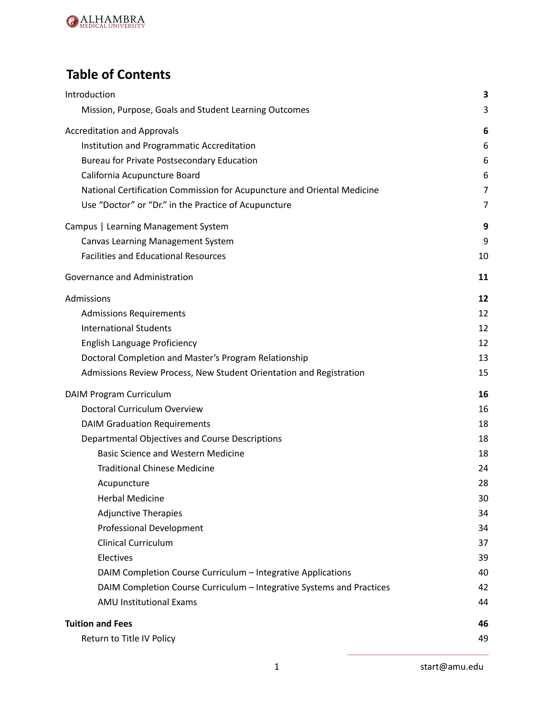

# **Table of Contents**

| Introduction                                                            | 3  |
|-------------------------------------------------------------------------|----|
| Mission, Purpose, Goals and Student Learning Outcomes                   | 3  |
| <b>Accreditation and Approvals</b>                                      | 6  |
| Institution and Programmatic Accreditation                              | 6  |
| Bureau for Private Postsecondary Education                              | 6  |
| California Acupuncture Board                                            | 6  |
| National Certification Commission for Acupuncture and Oriental Medicine | 7  |
| Use "Doctor" or "Dr." in the Practice of Acupuncture                    | 7  |
| Campus   Learning Management System                                     | 9  |
| Canvas Learning Management System                                       | 9  |
| <b>Facilities and Educational Resources</b>                             | 10 |
| Governance and Administration                                           | 11 |
| Admissions                                                              | 12 |
| <b>Admissions Requirements</b>                                          | 12 |
| <b>International Students</b>                                           | 12 |
| English Language Proficiency                                            | 12 |
| Doctoral Completion and Master's Program Relationship                   | 13 |
| Admissions Review Process, New Student Orientation and Registration     | 15 |
| DAIM Program Curriculum                                                 | 16 |
| Doctoral Curriculum Overview                                            | 16 |
| <b>DAIM Graduation Requirements</b>                                     | 18 |
| Departmental Objectives and Course Descriptions                         | 18 |
| <b>Basic Science and Western Medicine</b>                               | 18 |
| <b>Traditional Chinese Medicine</b>                                     | 24 |
| Acupuncture                                                             | 28 |
| <b>Herbal Medicine</b>                                                  | 30 |
| <b>Adjunctive Therapies</b>                                             | 34 |
| Professional Development                                                | 34 |
| <b>Clinical Curriculum</b>                                              | 37 |
| Electives                                                               | 39 |
| DAIM Completion Course Curriculum - Integrative Applications            | 40 |
| DAIM Completion Course Curriculum - Integrative Systems and Practices   | 42 |
| <b>AMU Institutional Exams</b>                                          | 44 |
| <b>Tuition and Fees</b>                                                 | 46 |
| Return to Title IV Policy                                               | 49 |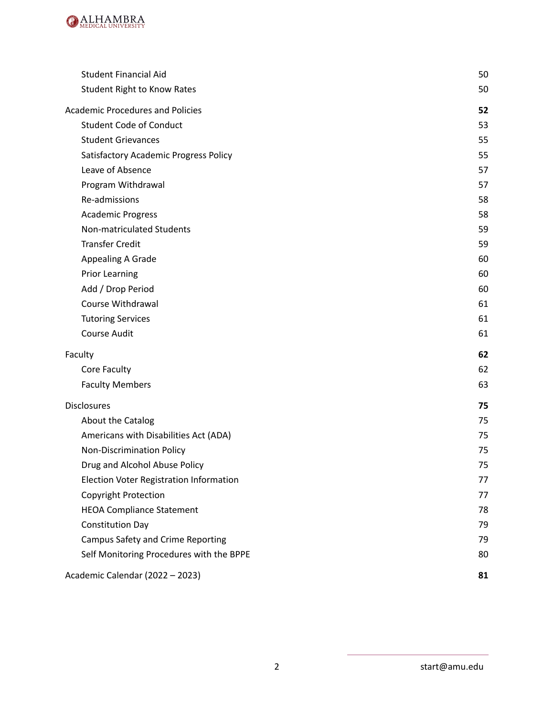

| <b>Student Financial Aid</b>             | 50 |
|------------------------------------------|----|
| <b>Student Right to Know Rates</b>       | 50 |
| <b>Academic Procedures and Policies</b>  | 52 |
| <b>Student Code of Conduct</b>           | 53 |
| <b>Student Grievances</b>                | 55 |
| Satisfactory Academic Progress Policy    | 55 |
| Leave of Absence                         | 57 |
| Program Withdrawal                       | 57 |
| Re-admissions                            | 58 |
| <b>Academic Progress</b>                 | 58 |
| Non-matriculated Students                | 59 |
| <b>Transfer Credit</b>                   | 59 |
| <b>Appealing A Grade</b>                 | 60 |
| <b>Prior Learning</b>                    | 60 |
| Add / Drop Period                        | 60 |
| Course Withdrawal                        | 61 |
| <b>Tutoring Services</b>                 | 61 |
| <b>Course Audit</b>                      | 61 |
| Faculty                                  | 62 |
| Core Faculty                             | 62 |
| <b>Faculty Members</b>                   | 63 |
| <b>Disclosures</b>                       | 75 |
| About the Catalog                        | 75 |
| Americans with Disabilities Act (ADA)    | 75 |
| Non-Discrimination Policy                | 75 |
| Drug and Alcohol Abuse Policy            | 75 |
| Election Voter Registration Information  | 77 |
| <b>Copyright Protection</b>              | 77 |
| <b>HEOA Compliance Statement</b>         | 78 |
| <b>Constitution Day</b>                  | 79 |
| Campus Safety and Crime Reporting        | 79 |
| Self Monitoring Procedures with the BPPE | 80 |
| Academic Calendar (2022 - 2023)          | 81 |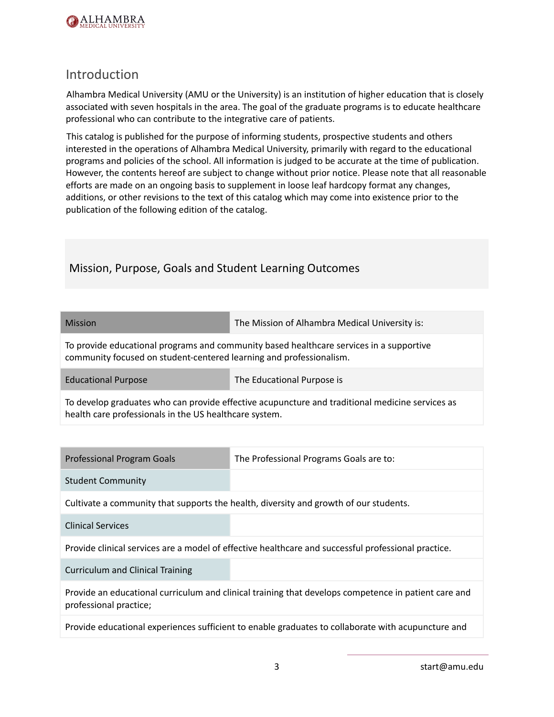

## <span id="page-3-0"></span>Introduction

Alhambra Medical University (AMU or the University) is an institution of higher education that is closely associated with seven hospitals in the area. The goal of the graduate programs is to educate healthcare professional who can contribute to the integrative care of patients.

This catalog is published for the purpose of informing students, prospective students and others interested in the operations of Alhambra Medical University, primarily with regard to the educational programs and policies of the school. All information is judged to be accurate at the time of publication. However, the contents hereof are subject to change without prior notice. Please note that all reasonable efforts are made on an ongoing basis to supplement in loose leaf hardcopy format any changes, additions, or other revisions to the text of this catalog which may come into existence prior to the publication of the following edition of the catalog.

## <span id="page-3-1"></span>Mission, Purpose, Goals and Student Learning Outcomes

| Mission | The Mission of Alhambra Medical University is: |
|---------|------------------------------------------------|
|         |                                                |

To provide educational programs and community based healthcare services in a supportive community focused on student-centered learning and professionalism.

Educational Purpose The Educational Purpose is

To develop graduates who can provide effective acupuncture and traditional medicine services as health care professionals in the US healthcare system.

| <b>Professional Program Goals</b>                                                                  | The Professional Programs Goals are to:                                                              |  |
|----------------------------------------------------------------------------------------------------|------------------------------------------------------------------------------------------------------|--|
| <b>Student Community</b>                                                                           |                                                                                                      |  |
|                                                                                                    | Cultivate a community that supports the health, diversity and growth of our students.                |  |
| <b>Clinical Services</b>                                                                           |                                                                                                      |  |
|                                                                                                    | Provide clinical services are a model of effective healthcare and successful professional practice.  |  |
| <b>Curriculum and Clinical Training</b>                                                            |                                                                                                      |  |
| professional practice;                                                                             | Provide an educational curriculum and clinical training that develops competence in patient care and |  |
| Provide educational experiences sufficient to enable graduates to collaborate with acupuncture and |                                                                                                      |  |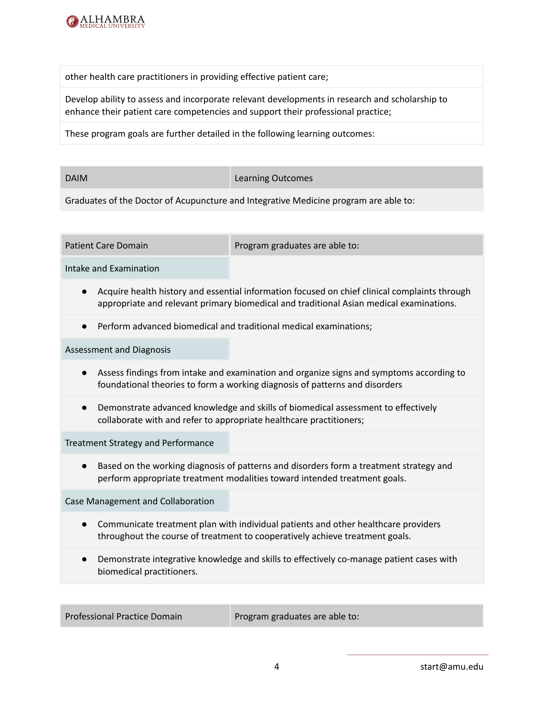

other health care practitioners in providing effective patient care;

Develop ability to assess and incorporate relevant developments in research and scholarship to enhance their patient care competencies and support their professional practice;

These program goals are further detailed in the following learning outcomes:

DAIM **DAIM Learning Outcomes** 

Graduates of the Doctor of Acupuncture and Integrative Medicine program are able to:

Patient Care Domain **Program graduates are able to:** 

Intake and Examination

- Acquire health history and essential information focused on chief clinical complaints through appropriate and relevant primary biomedical and traditional Asian medical examinations.
- Perform advanced biomedical and traditional medical examinations;

Assessment and Diagnosis

- Assess findings from intake and examination and organize signs and symptoms according to foundational theories to form a working diagnosis of patterns and disorders
- Demonstrate advanced knowledge and skills of biomedical assessment to effectively collaborate with and refer to appropriate healthcare practitioners;

Treatment Strategy and Performance

● Based on the working diagnosis of patterns and disorders form a treatment strategy and perform appropriate treatment modalities toward intended treatment goals.

Case Management and Collaboration

- Communicate treatment plan with individual patients and other healthcare providers throughout the course of treatment to cooperatively achieve treatment goals.
- Demonstrate integrative knowledge and skills to effectively co-manage patient cases with biomedical practitioners.

Professional Practice Domain Program graduates are able to: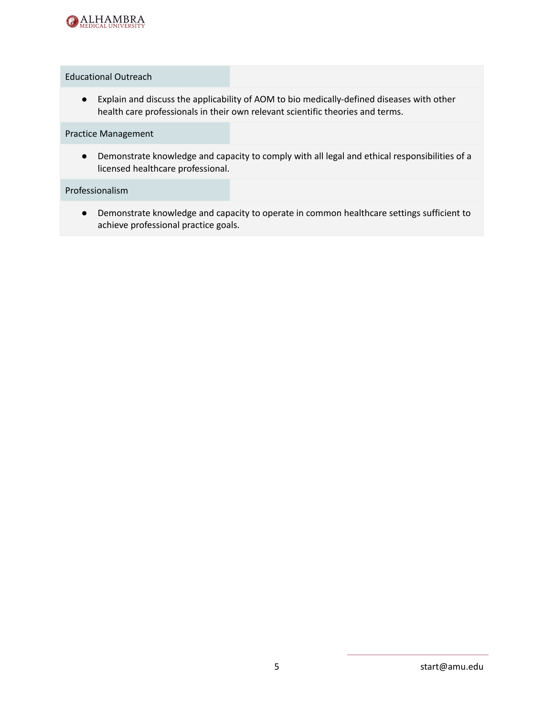

#### Educational Outreach

● Explain and discuss the applicability of AOM to bio medically-defined diseases with other health care professionals in their own relevant scientific theories and terms.

Practice Management

● Demonstrate knowledge and capacity to comply with all legal and ethical responsibilities of a licensed healthcare professional.

Professionalism

● Demonstrate knowledge and capacity to operate in common healthcare settings sufficient to achieve professional practice goals.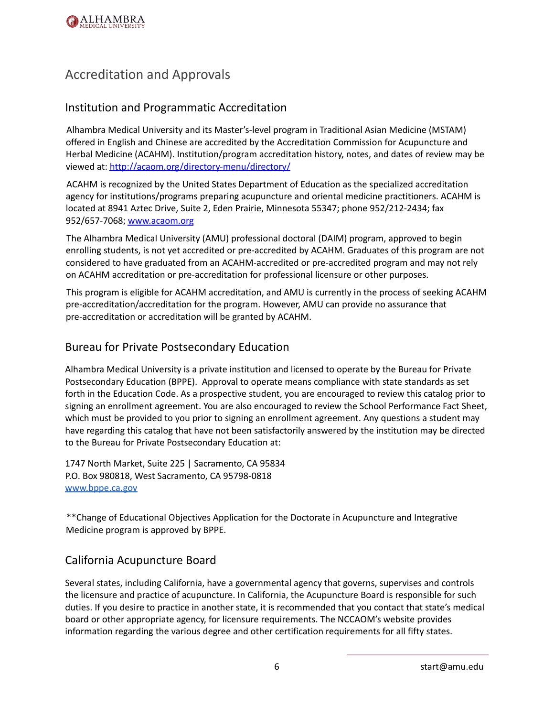

## <span id="page-6-0"></span>Accreditation and Approvals

## <span id="page-6-1"></span>Institution and Programmatic Accreditation

Alhambra Medical University and its Master's-level program in Traditional Asian Medicine (MSTAM) offered in English and Chinese are accredited by the Accreditation Commission for Acupuncture and Herbal Medicine (ACAHM). Institution/program accreditation history, notes, and dates of review may be viewed at: <http://acaom.org/directory-menu/directory/>

ACAHM is recognized by the United States Department of Education as the specialized accreditation agency for institutions/programs preparing acupuncture and oriental medicine practitioners. ACAHM is located at 8941 Aztec Drive, Suite 2, Eden Prairie, Minnesota 55347; phone 952/212-2434; fax 952/657-7068; [www.acaom.org](http://www.acaom.org)

The Alhambra Medical University (AMU) professional doctoral (DAIM) program, approved to begin enrolling students, is not yet accredited or pre-accredited by ACAHM. Graduates of this program are not considered to have graduated from an ACAHM-accredited or pre-accredited program and may not rely on ACAHM accreditation or pre-accreditation for professional licensure or other purposes.

This program is eligible for ACAHM accreditation, and AMU is currently in the process of seeking ACAHM pre-accreditation/accreditation for the program. However, AMU can provide no assurance that pre-accreditation or accreditation will be granted by ACAHM.

## <span id="page-6-2"></span>Bureau for Private Postsecondary Education

Alhambra Medical University is a private institution and licensed to operate by the Bureau for Private Postsecondary Education (BPPE). Approval to operate means compliance with state standards as set forth in the Education Code. As a prospective student, you are encouraged to review this catalog prior to signing an enrollment agreement. You are also encouraged to review the School Performance Fact Sheet, which must be provided to you prior to signing an enrollment agreement. Any questions a student may have regarding this catalog that have not been satisfactorily answered by the institution may be directed to the Bureau for Private Postsecondary Education at:

1747 North Market, Suite 225 | Sacramento, CA 95834 P.O. Box 980818, West Sacramento, CA 95798-0818 [www.bppe.ca.gov](http://www.bppe.ca.gov)

\*\*Change of Educational Objectives Application for the Doctorate in Acupuncture and Integrative Medicine program is approved by BPPE.

### <span id="page-6-3"></span>California Acupuncture Board

Several states, including California, have a governmental agency that governs, supervises and controls the licensure and practice of acupuncture. In California, the Acupuncture Board is responsible for such duties. If you desire to practice in another state, it is recommended that you contact that state's medical board or other appropriate agency, for licensure requirements. The NCCAOM's website provides information regarding the various degree and other certification requirements for all fifty states.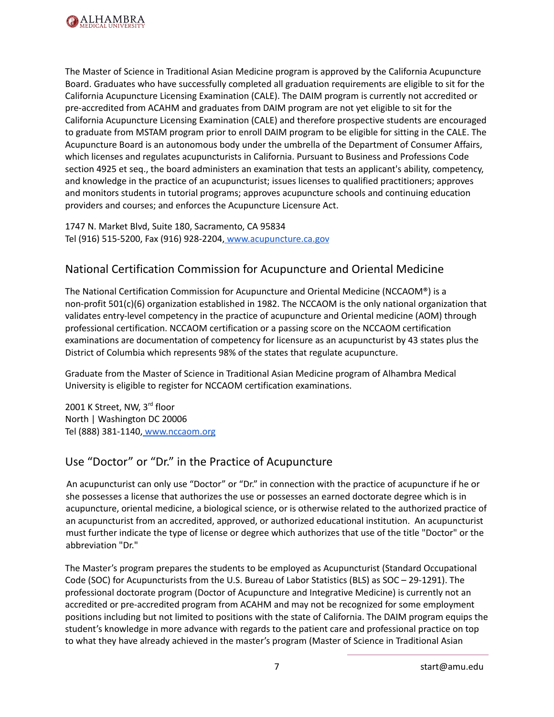

The Master of Science in Traditional Asian Medicine program is approved by the California Acupuncture Board. Graduates who have successfully completed all graduation requirements are eligible to sit for the California Acupuncture Licensing Examination (CALE). The DAIM program is currently not accredited or pre-accredited from ACAHM and graduates from DAIM program are not yet eligible to sit for the California Acupuncture Licensing Examination (CALE) and therefore prospective students are encouraged to graduate from MSTAM program prior to enroll DAIM program to be eligible for sitting in the CALE. The Acupuncture Board is an autonomous body under the umbrella of the Department of Consumer Affairs, which licenses and regulates acupuncturists in California. Pursuant to Business and Professions Code section 4925 et seq., the board administers an examination that tests an applicant's ability, competency, and knowledge in the practice of an acupuncturist; issues licenses to qualified practitioners; approves and monitors students in tutorial programs; approves acupuncture schools and continuing education providers and courses; and enforces the Acupuncture Licensure Act.

1747 N. Market Blvd, Suite 180, Sacramento, CA 95834 Tel (916) 515-5200, Fax (916) 928-2204[,](http://www.acupuncture.dca.ca.gov) [www.acupuncture.ca.gov](http://www.acupuncture.ca.gov)

## <span id="page-7-0"></span>National Certification Commission for Acupuncture and Oriental Medicine

The National Certification Commission for Acupuncture and Oriental Medicine (NCCAOM®) is a non-profit 501(c)(6) organization established in 1982. The NCCAOM is the only national organization that validates entry-level competency in the practice of acupuncture and Oriental medicine (AOM) through professional certification. NCCAOM certification or a passing score on the NCCAOM certification examinations are documentation of competency for licensure as an acupuncturist by 43 states plus the District of Columbia which represents 98% of the states that regulate acupuncture.

Graduate from the Master of Science in Traditional Asian Medicine program of Alhambra Medical University is eligible to register for NCCAOM certification examinations.

2001 K Street, NW, 3<sup>rd</sup> floor North | Washington DC 20006 Tel (888) 381-1140, [www.nccaom.org](http://www.nccaom.org)

## <span id="page-7-1"></span>Use "Doctor" or "Dr." in the Practice of Acupuncture

An acupuncturist can only use "Doctor" or "Dr." in connection with the practice of acupuncture if he or she possesses a license that authorizes the use or possesses an earned doctorate degree which is in acupuncture, oriental medicine, a biological science, or is otherwise related to the authorized practice of an acupuncturist from an accredited, approved, or authorized educational institution. An acupuncturist must further indicate the type of license or degree which authorizes that use of the title "Doctor" or the abbreviation "Dr."

The Master's program prepares the students to be employed as Acupuncturist (Standard Occupational Code (SOC) for Acupuncturists from the U.S. Bureau of Labor Statistics (BLS) as SOC – 29-1291). The professional doctorate program (Doctor of Acupuncture and Integrative Medicine) is currently not an accredited or pre-accredited program from ACAHM and may not be recognized for some employment positions including but not limited to positions with the state of California. The DAIM program equips the student's knowledge in more advance with regards to the patient care and professional practice on top to what they have already achieved in the master's program (Master of Science in Traditional Asian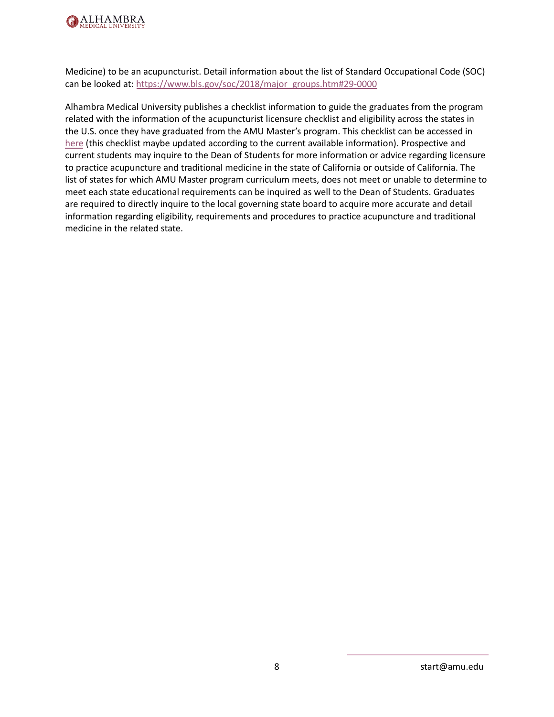

Medicine) to be an acupuncturist. Detail information about the list of Standard Occupational Code (SOC) can be looked at: [https://www.bls.gov/soc/2018/major\\_groups.htm#29-0000](https://www.bls.gov/soc/2018/major_groups.htm#29-0000)

Alhambra Medical University publishes a checklist information to guide the graduates from the program related with the information of the acupuncturist licensure checklist and eligibility across the states in the U.S. once they have graduated from the AMU Master's program. This checklist can be accessed in [here](https://drive.google.com/drive/folders/1hPy7kkMa2NZ_iN4X1IIPGPdkt6dznriD?usp=sharing) (this checklist maybe updated according to the current available information). Prospective and current students may inquire to the Dean of Students for more information or advice regarding licensure to practice acupuncture and traditional medicine in the state of California or outside of California. The list of states for which AMU Master program curriculum meets, does not meet or unable to determine to meet each state educational requirements can be inquired as well to the Dean of Students. Graduates are required to directly inquire to the local governing state board to acquire more accurate and detail information regarding eligibility, requirements and procedures to practice acupuncture and traditional medicine in the related state.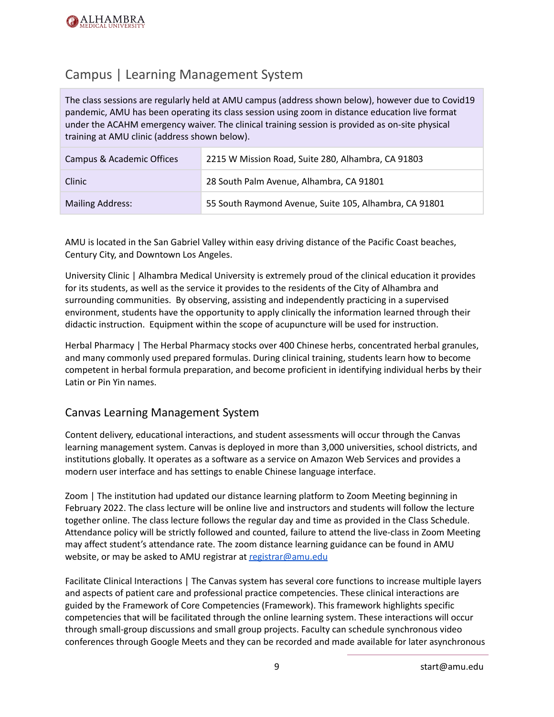

## <span id="page-9-0"></span>Campus | Learning Management System

The class sessions are regularly held at AMU campus (address shown below), however due to Covid19 pandemic, AMU has been operating its class session using zoom in distance education live format under the ACAHM emergency waiver. The clinical training session is provided as on-site physical training at AMU clinic (address shown below).

| Campus & Academic Offices | 2215 W Mission Road, Suite 280, Alhambra, CA 91803     |
|---------------------------|--------------------------------------------------------|
| Clinic                    | 28 South Palm Avenue, Alhambra, CA 91801               |
| <b>Mailing Address:</b>   | 55 South Raymond Avenue, Suite 105, Alhambra, CA 91801 |

AMU is located in the San Gabriel Valley within easy driving distance of the Pacific Coast beaches, Century City, and Downtown Los Angeles.

University Clinic | Alhambra Medical University is extremely proud of the clinical education it provides for its students, as well as the service it provides to the residents of the City of Alhambra and surrounding communities. By observing, assisting and independently practicing in a supervised environment, students have the opportunity to apply clinically the information learned through their didactic instruction. Equipment within the scope of acupuncture will be used for instruction.

Herbal Pharmacy | The Herbal Pharmacy stocks over 400 Chinese herbs, concentrated herbal granules, and many commonly used prepared formulas. During clinical training, students learn how to become competent in herbal formula preparation, and become proficient in identifying individual herbs by their Latin or Pin Yin names.

### <span id="page-9-1"></span>Canvas Learning Management System

Content delivery, educational interactions, and student assessments will occur through the Canvas learning management system. Canvas is deployed in more than 3,000 universities, school districts, and institutions globally. It operates as a software as a service on Amazon Web Services and provides a modern user interface and has settings to enable Chinese language interface.

Zoom | The institution had updated our distance learning platform to Zoom Meeting beginning in February 2022. The class lecture will be online live and instructors and students will follow the lecture together online. The class lecture follows the regular day and time as provided in the Class Schedule. Attendance policy will be strictly followed and counted, failure to attend the live-class in Zoom Meeting may affect student's attendance rate. The zoom distance learning guidance can be found in AMU website, or may be asked to AMU registrar at [registrar@amu.edu](mailto:registrar@amu.edu)

Facilitate Clinical Interactions | The Canvas system has several core functions to increase multiple layers and aspects of patient care and professional practice competencies. These clinical interactions are guided by the Framework of Core Competencies (Framework). This framework highlights specific competencies that will be facilitated through the online learning system. These interactions will occur through small-group discussions and small group projects. Faculty can schedule synchronous video conferences through Google Meets and they can be recorded and made available for later asynchronous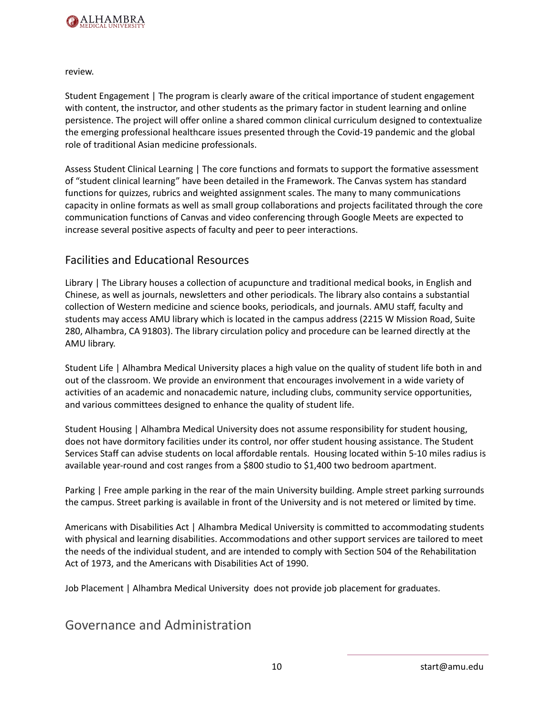

review.

Student Engagement | The program is clearly aware of the critical importance of student engagement with content, the instructor, and other students as the primary factor in student learning and online persistence. The project will offer online a shared common clinical curriculum designed to contextualize the emerging professional healthcare issues presented through the Covid-19 pandemic and the global role of traditional Asian medicine professionals.

Assess Student Clinical Learning | The core functions and formats to support the formative assessment of "student clinical learning" have been detailed in the Framework. The Canvas system has standard functions for quizzes, rubrics and weighted assignment scales. The many to many communications capacity in online formats as well as small group collaborations and projects facilitated through the core communication functions of Canvas and video conferencing through Google Meets are expected to increase several positive aspects of faculty and peer to peer interactions.

### <span id="page-10-0"></span>Facilities and Educational Resources

Library | The Library houses a collection of acupuncture and traditional medical books, in English and Chinese, as well as journals, newsletters and other periodicals. The library also contains a substantial collection of Western medicine and science books, periodicals, and journals. AMU staff, faculty and students may access AMU library which is located in the campus address (2215 W Mission Road, Suite 280, Alhambra, CA 91803). The library circulation policy and procedure can be learned directly at the AMU library.

Student Life | Alhambra Medical University places a high value on the quality of student life both in and out of the classroom. We provide an environment that encourages involvement in a wide variety of activities of an academic and nonacademic nature, including clubs, community service opportunities, and various committees designed to enhance the quality of student life.

Student Housing | Alhambra Medical University does not assume responsibility for student housing, does not have dormitory facilities under its control, nor offer student housing assistance. The Student Services Staff can advise students on local affordable rentals. Housing located within 5-10 miles radius is available year-round and cost ranges from a \$800 studio to \$1,400 two bedroom apartment.

Parking | Free ample parking in the rear of the main University building. Ample street parking surrounds the campus. Street parking is available in front of the University and is not metered or limited by time.

Americans with Disabilities Act | Alhambra Medical University is committed to accommodating students with physical and learning disabilities. Accommodations and other support services are tailored to meet the needs of the individual student, and are intended to comply with Section 504 of the Rehabilitation Act of 1973, and the Americans with Disabilities Act of 1990.

<span id="page-10-1"></span>Job Placement | Alhambra Medical University does not provide job placement for graduates.

Governance and Administration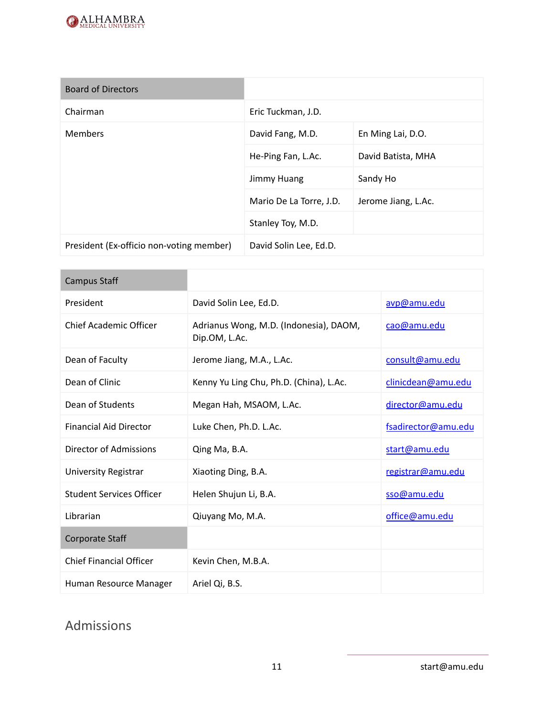

| <b>Board of Directors</b>                |                         |                     |
|------------------------------------------|-------------------------|---------------------|
| Chairman                                 | Eric Tuckman, J.D.      |                     |
| <b>Members</b>                           | David Fang, M.D.        | En Ming Lai, D.O.   |
|                                          | He-Ping Fan, L.Ac.      | David Batista, MHA  |
|                                          | Jimmy Huang             | Sandy Ho            |
|                                          | Mario De La Torre, J.D. | Jerome Jiang, L.Ac. |
|                                          | Stanley Toy, M.D.       |                     |
| President (Ex-officio non-voting member) | David Solin Lee, Ed.D.  |                     |

| Campus Staff                    |                                                         |                     |
|---------------------------------|---------------------------------------------------------|---------------------|
| President                       | David Solin Lee, Ed.D.                                  | avp@amu.edu         |
| <b>Chief Academic Officer</b>   | Adrianus Wong, M.D. (Indonesia), DAOM,<br>Dip.OM, L.Ac. | cao@amu.edu         |
| Dean of Faculty                 | Jerome Jiang, M.A., L.Ac.                               | consult@amu.edu     |
| Dean of Clinic                  | Kenny Yu Ling Chu, Ph.D. (China), L.Ac.                 | clinicdean@amu.edu  |
| Dean of Students                | Megan Hah, MSAOM, L.Ac.                                 | director@amu.edu    |
| <b>Financial Aid Director</b>   | Luke Chen, Ph.D. L.Ac.                                  | fsadirector@amu.edu |
| Director of Admissions          | Qing Ma, B.A.                                           | start@amu.edu       |
| University Registrar            | Xiaoting Ding, B.A.                                     | registrar@amu.edu   |
| <b>Student Services Officer</b> | Helen Shujun Li, B.A.                                   | sso@amu.edu         |
| Librarian                       | Qiuyang Mo, M.A.                                        | office@amu.edu      |
| <b>Corporate Staff</b>          |                                                         |                     |
| <b>Chief Financial Officer</b>  | Kevin Chen, M.B.A.                                      |                     |
| Human Resource Manager          | Ariel Qi, B.S.                                          |                     |

# <span id="page-11-0"></span>Admissions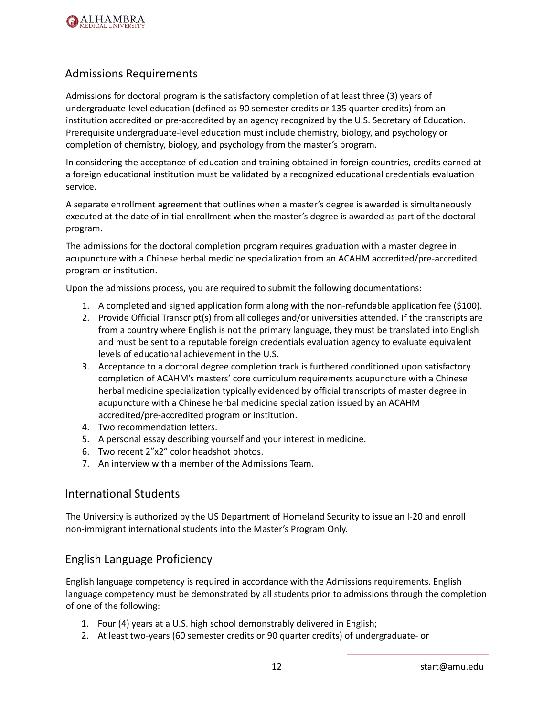

## <span id="page-12-0"></span>Admissions Requirements

Admissions for doctoral program is the satisfactory completion of at least three (3) years of undergraduate-level education (defined as 90 semester credits or 135 quarter credits) from an institution accredited or pre-accredited by an agency recognized by the U.S. Secretary of Education. Prerequisite undergraduate-level education must include chemistry, biology, and psychology or completion of chemistry, biology, and psychology from the master's program.

In considering the acceptance of education and training obtained in foreign countries, credits earned at a foreign educational institution must be validated by a recognized educational credentials evaluation service.

A separate enrollment agreement that outlines when a master's degree is awarded is simultaneously executed at the date of initial enrollment when the master's degree is awarded as part of the doctoral program.

The admissions for the doctoral completion program requires graduation with a master degree in acupuncture with a Chinese herbal medicine specialization from an ACAHM accredited/pre-accredited program or institution.

Upon the admissions process, you are required to submit the following documentations:

- 1. A completed and signed application form along with the non-refundable application fee (\$100).
- 2. Provide Official Transcript(s) from all colleges and/or universities attended. If the transcripts are from a country where English is not the primary language, they must be translated into English and must be sent to a reputable foreign credentials evaluation agency to evaluate equivalent levels of educational achievement in the U.S.
- 3. Acceptance to a doctoral degree completion track is furthered conditioned upon satisfactory completion of ACAHM's masters' core curriculum requirements acupuncture with a Chinese herbal medicine specialization typically evidenced by official transcripts of master degree in acupuncture with a Chinese herbal medicine specialization issued by an ACAHM accredited/pre-accredited program or institution.
- 4. Two recommendation letters.
- 5. A personal essay describing yourself and your interest in medicine.
- 6. Two recent 2"x2" color headshot photos.
- 7. An interview with a member of the Admissions Team.

#### <span id="page-12-1"></span>International Students

The University is authorized by the US Department of Homeland Security to issue an I-20 and enroll non-immigrant international students into the Master's Program Only.

### <span id="page-12-2"></span>English Language Proficiency

English language competency is required in accordance with the Admissions requirements. English language competency must be demonstrated by all students prior to admissions through the completion of one of the following:

- 1. Four (4) years at a U.S. high school demonstrably delivered in English;
- 2. At least two-years (60 semester credits or 90 quarter credits) of undergraduate- or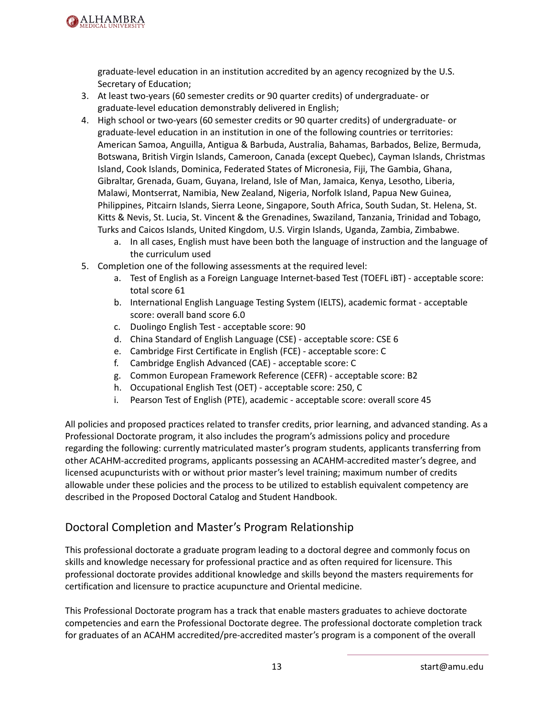

graduate-level education in an institution accredited by an agency recognized by the U.S. Secretary of Education;

- 3. At least two-years (60 semester credits or 90 quarter credits) of undergraduate- or graduate-level education demonstrably delivered in English;
- 4. High school or two-years (60 semester credits or 90 quarter credits) of undergraduate- or graduate-level education in an institution in one of the following countries or territories: American Samoa, Anguilla, Antigua & Barbuda, Australia, Bahamas, Barbados, Belize, Bermuda, Botswana, British Virgin Islands, Cameroon, Canada (except Quebec), Cayman Islands, Christmas Island, Cook Islands, Dominica, Federated States of Micronesia, Fiji, The Gambia, Ghana, Gibraltar, Grenada, Guam, Guyana, Ireland, Isle of Man, Jamaica, Kenya, Lesotho, Liberia, Malawi, Montserrat, Namibia, New Zealand, Nigeria, Norfolk Island, Papua New Guinea, Philippines, Pitcairn Islands, Sierra Leone, Singapore, South Africa, South Sudan, St. Helena, St. Kitts & Nevis, St. Lucia, St. Vincent & the Grenadines, Swaziland, Tanzania, Trinidad and Tobago, Turks and Caicos Islands, United Kingdom, U.S. Virgin Islands, Uganda, Zambia, Zimbabwe.
	- a. In all cases, English must have been both the language of instruction and the language of the curriculum used
- 5. Completion one of the following assessments at the required level:
	- a. Test of English as a Foreign Language Internet-based Test (TOEFL iBT) acceptable score: total score 61
	- b. International English Language Testing System (IELTS), academic format acceptable score: overall band score 6.0
	- c. Duolingo English Test acceptable score: 90
	- d. China Standard of English Language (CSE) acceptable score: CSE 6
	- e. Cambridge First Certificate in English (FCE) acceptable score: C
	- f. Cambridge English Advanced (CAE) acceptable score: C
	- g. Common European Framework Reference (CEFR) acceptable score: B2
	- h. Occupational English Test (OET) acceptable score: 250, C
	- i. Pearson Test of English (PTE), academic acceptable score: overall score 45

All policies and proposed practices related to transfer credits, prior learning, and advanced standing. As a Professional Doctorate program, it also includes the program's admissions policy and procedure regarding the following: currently matriculated master's program students, applicants transferring from other ACAHM-accredited programs, applicants possessing an ACAHM-accredited master's degree, and licensed acupuncturists with or without prior master's level training; maximum number of credits allowable under these policies and the process to be utilized to establish equivalent competency are described in the Proposed Doctoral Catalog and Student Handbook.

## <span id="page-13-0"></span>Doctoral Completion and Master's Program Relationship

This professional doctorate a graduate program leading to a doctoral degree and commonly focus on skills and knowledge necessary for professional practice and as often required for licensure. This professional doctorate provides additional knowledge and skills beyond the masters requirements for certification and licensure to practice acupuncture and Oriental medicine.

This Professional Doctorate program has a track that enable masters graduates to achieve doctorate competencies and earn the Professional Doctorate degree. The professional doctorate completion track for graduates of an ACAHM accredited/pre-accredited master's program is a component of the overall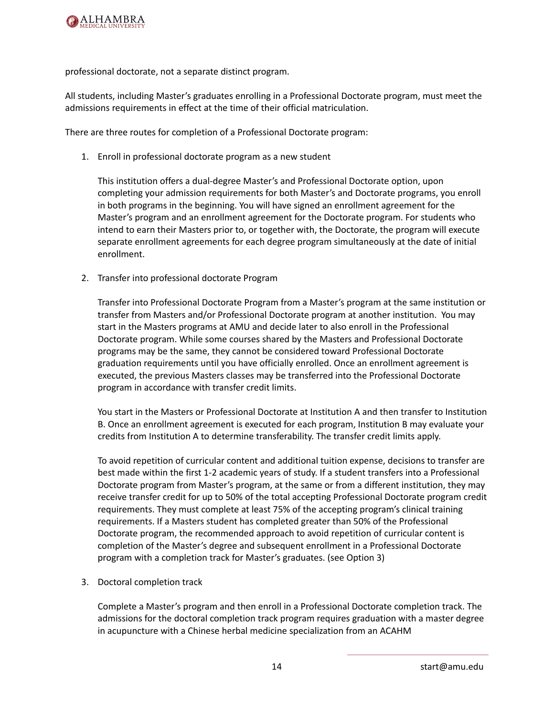

professional doctorate, not a separate distinct program.

All students, including Master's graduates enrolling in a Professional Doctorate program, must meet the admissions requirements in effect at the time of their official matriculation.

There are three routes for completion of a Professional Doctorate program:

1. Enroll in professional doctorate program as a new student

This institution offers a dual-degree Master's and Professional Doctorate option, upon completing your admission requirements for both Master's and Doctorate programs, you enroll in both programs in the beginning. You will have signed an enrollment agreement for the Master's program and an enrollment agreement for the Doctorate program. For students who intend to earn their Masters prior to, or together with, the Doctorate, the program will execute separate enrollment agreements for each degree program simultaneously at the date of initial enrollment.

2. Transfer into professional doctorate Program

Transfer into Professional Doctorate Program from a Master's program at the same institution or transfer from Masters and/or Professional Doctorate program at another institution. You may start in the Masters programs at AMU and decide later to also enroll in the Professional Doctorate program. While some courses shared by the Masters and Professional Doctorate programs may be the same, they cannot be considered toward Professional Doctorate graduation requirements until you have officially enrolled. Once an enrollment agreement is executed, the previous Masters classes may be transferred into the Professional Doctorate program in accordance with transfer credit limits.

You start in the Masters or Professional Doctorate at Institution A and then transfer to Institution B. Once an enrollment agreement is executed for each program, Institution B may evaluate your credits from Institution A to determine transferability. The transfer credit limits apply.

To avoid repetition of curricular content and additional tuition expense, decisions to transfer are best made within the first 1-2 academic years of study. If a student transfers into a Professional Doctorate program from Master's program, at the same or from a different institution, they may receive transfer credit for up to 50% of the total accepting Professional Doctorate program credit requirements. They must complete at least 75% of the accepting program's clinical training requirements. If a Masters student has completed greater than 50% of the Professional Doctorate program, the recommended approach to avoid repetition of curricular content is completion of the Master's degree and subsequent enrollment in a Professional Doctorate program with a completion track for Master's graduates. (see Option 3)

3. Doctoral completion track

Complete a Master's program and then enroll in a Professional Doctorate completion track. The admissions for the doctoral completion track program requires graduation with a master degree in acupuncture with a Chinese herbal medicine specialization from an ACAHM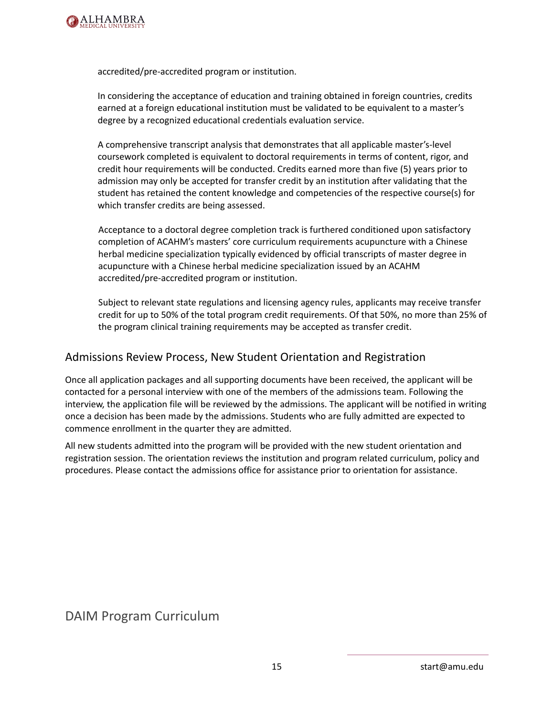

accredited/pre-accredited program or institution.

In considering the acceptance of education and training obtained in foreign countries, credits earned at a foreign educational institution must be validated to be equivalent to a master's degree by a recognized educational credentials evaluation service.

A comprehensive transcript analysis that demonstrates that all applicable master's-level coursework completed is equivalent to doctoral requirements in terms of content, rigor, and credit hour requirements will be conducted. Credits earned more than five (5) years prior to admission may only be accepted for transfer credit by an institution after validating that the student has retained the content knowledge and competencies of the respective course(s) for which transfer credits are being assessed.

Acceptance to a doctoral degree completion track is furthered conditioned upon satisfactory completion of ACAHM's masters' core curriculum requirements acupuncture with a Chinese herbal medicine specialization typically evidenced by official transcripts of master degree in acupuncture with a Chinese herbal medicine specialization issued by an ACAHM accredited/pre-accredited program or institution.

Subject to relevant state regulations and licensing agency rules, applicants may receive transfer credit for up to 50% of the total program credit requirements. Of that 50%, no more than 25% of the program clinical training requirements may be accepted as transfer credit.

## <span id="page-15-0"></span>Admissions Review Process, New Student Orientation and Registration

Once all application packages and all supporting documents have been received, the applicant will be contacted for a personal interview with one of the members of the admissions team. Following the interview, the application file will be reviewed by the admissions. The applicant will be notified in writing once a decision has been made by the admissions. Students who are fully admitted are expected to commence enrollment in the quarter they are admitted.

All new students admitted into the program will be provided with the new student orientation and registration session. The orientation reviews the institution and program related curriculum, policy and procedures. Please contact the admissions office for assistance prior to orientation for assistance.

<span id="page-15-1"></span>DAIM Program Curriculum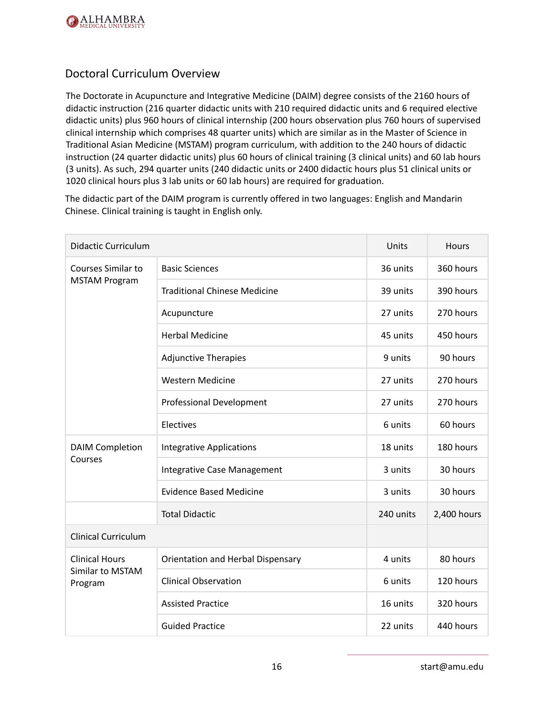

## <span id="page-16-0"></span>Doctoral Curriculum Overview

The Doctorate in Acupuncture and Integrative Medicine (DAIM) degree consists of the 2160 hours of didactic instruction (216 quarter didactic units with 210 required didactic units and 6 required elective didactic units) plus 960 hours of clinical internship (200 hours observation plus 760 hours of supervised clinical internship which comprises 48 quarter units) which are similar as in the Master of Science in Traditional Asian Medicine (MSTAM) program curriculum, with addition to the 240 hours of didactic instruction (24 quarter didactic units) plus 60 hours of clinical training (3 clinical units) and 60 lab hours (3 units). As such, 294 quarter units (240 didactic units or 2400 didactic hours plus 51 clinical units or 1020 clinical hours plus 3 lab units or 60 lab hours) are required for graduation.

The didactic part of the DAIM program is currently offered in two languages: English and Mandarin Chinese. Clinical training is taught in English only.

| <b>Didactic Curriculum</b>  |                                     | Units     | Hours       |
|-----------------------------|-------------------------------------|-----------|-------------|
| <b>Courses Similar to</b>   | <b>Basic Sciences</b>               | 36 units  | 360 hours   |
| <b>MSTAM Program</b>        | <b>Traditional Chinese Medicine</b> | 39 units  | 390 hours   |
|                             | Acupuncture                         | 27 units  | 270 hours   |
|                             | <b>Herbal Medicine</b>              | 45 units  | 450 hours   |
|                             | <b>Adjunctive Therapies</b>         | 9 units   | 90 hours    |
|                             | <b>Western Medicine</b>             | 27 units  | 270 hours   |
|                             | <b>Professional Development</b>     | 27 units  | 270 hours   |
|                             | Electives                           | 6 units   | 60 hours    |
| <b>DAIM Completion</b>      | <b>Integrative Applications</b>     | 18 units  | 180 hours   |
| Courses                     | Integrative Case Management         | 3 units   | 30 hours    |
|                             | <b>Evidence Based Medicine</b>      | 3 units   | 30 hours    |
|                             | <b>Total Didactic</b>               | 240 units | 2,400 hours |
| <b>Clinical Curriculum</b>  |                                     |           |             |
| <b>Clinical Hours</b>       | Orientation and Herbal Dispensary   | 4 units   | 80 hours    |
| Similar to MSTAM<br>Program | <b>Clinical Observation</b>         | 6 units   | 120 hours   |
|                             | <b>Assisted Practice</b>            | 16 units  | 320 hours   |
|                             | <b>Guided Practice</b>              | 22 units  | 440 hours   |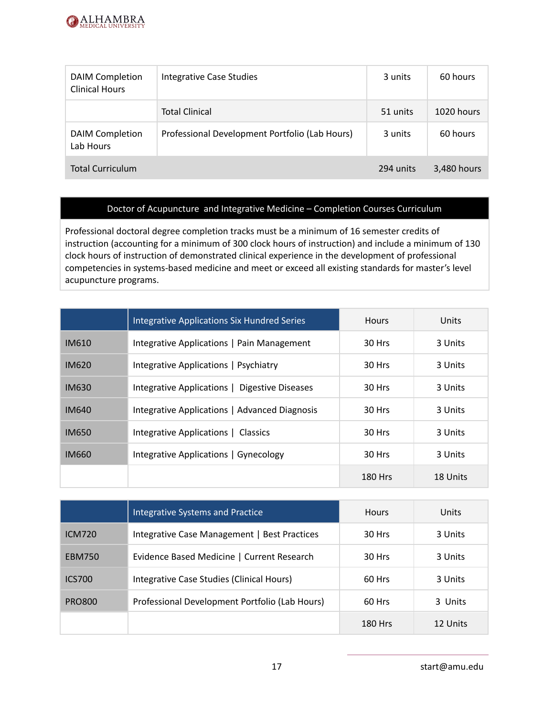

| <b>DAIM Completion</b><br><b>Clinical Hours</b> | Integrative Case Studies                       | 3 units   | 60 hours    |
|-------------------------------------------------|------------------------------------------------|-----------|-------------|
|                                                 | <b>Total Clinical</b>                          | 51 units  | 1020 hours  |
| <b>DAIM Completion</b><br>Lab Hours             | Professional Development Portfolio (Lab Hours) | 3 units   | 60 hours    |
| <b>Total Curriculum</b>                         |                                                | 294 units | 3,480 hours |

#### Doctor of Acupuncture and Integrative Medicine – Completion Courses Curriculum

Professional doctoral degree completion tracks must be a minimum of 16 semester credits of instruction (accounting for a minimum of 300 clock hours of instruction) and include a minimum of 130 clock hours of instruction of demonstrated clinical experience in the development of professional competencies in systems-based medicine and meet or exceed all existing standards for master's level acupuncture programs.

|              | <b>Integrative Applications Six Hundred Series</b> | <b>Hours</b>   | Units    |
|--------------|----------------------------------------------------|----------------|----------|
| IM610        | Integrative Applications   Pain Management         | 30 Hrs         | 3 Units  |
| <b>IM620</b> | Integrative Applications   Psychiatry              | 30 Hrs         | 3 Units  |
| <b>IM630</b> | Integrative Applications   Digestive Diseases      | 30 Hrs         | 3 Units  |
| <b>IM640</b> | Integrative Applications   Advanced Diagnosis      | 30 Hrs         | 3 Units  |
| <b>IM650</b> | Integrative Applications   Classics                | 30 Hrs         | 3 Units  |
| <b>IM660</b> | Integrative Applications   Gynecology              | 30 Hrs         | 3 Units  |
|              |                                                    | <b>180 Hrs</b> | 18 Units |

|               | <b>Integrative Systems and Practice</b>        | <b>Hours</b>   | Units    |
|---------------|------------------------------------------------|----------------|----------|
| <b>ICM720</b> | Integrative Case Management   Best Practices   | 30 Hrs         | 3 Units  |
| <b>EBM750</b> | Evidence Based Medicine   Current Research     | 30 Hrs         | 3 Units  |
| <b>ICS700</b> | Integrative Case Studies (Clinical Hours)      | 60 Hrs         | 3 Units  |
| PRO800        | Professional Development Portfolio (Lab Hours) | 60 Hrs         | 3 Units  |
|               |                                                | <b>180 Hrs</b> | 12 Units |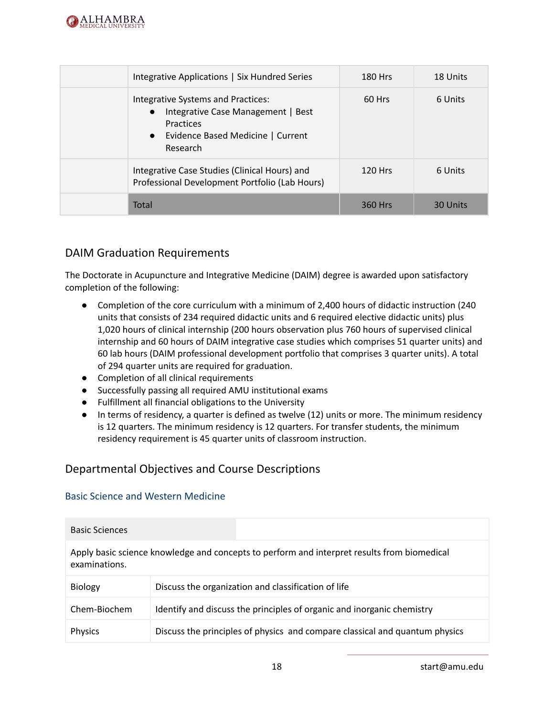

| Integrative Applications   Six Hundred Series                                                                                                                    | 180 Hrs   | 18 Units |
|------------------------------------------------------------------------------------------------------------------------------------------------------------------|-----------|----------|
| Integrative Systems and Practices:<br>Integrative Case Management   Best<br>$\bullet$<br>Practices<br>Evidence Based Medicine   Current<br>$\bullet$<br>Research | 60 Hrs    | 6 Units  |
| Integrative Case Studies (Clinical Hours) and<br>Professional Development Portfolio (Lab Hours)                                                                  | $120$ Hrs | 6 Units  |
| Total                                                                                                                                                            | 360 Hrs   | 30 Units |

## <span id="page-18-0"></span>DAIM Graduation Requirements

The Doctorate in Acupuncture and Integrative Medicine (DAIM) degree is awarded upon satisfactory completion of the following:

- Completion of the core curriculum with a minimum of 2,400 hours of didactic instruction (240 units that consists of 234 required didactic units and 6 required elective didactic units) plus 1,020 hours of clinical internship (200 hours observation plus 760 hours of supervised clinical internship and 60 hours of DAIM integrative case studies which comprises 51 quarter units) and 60 lab hours (DAIM professional development portfolio that comprises 3 quarter units). A total of 294 quarter units are required for graduation.
- Completion of all clinical requirements
- Successfully passing all required AMU institutional exams
- Fulfillment all financial obligations to the University
- In terms of residency, a quarter is defined as twelve (12) units or more. The minimum residency is 12 quarters. The minimum residency is 12 quarters. For transfer students, the minimum residency requirement is 45 quarter units of classroom instruction.

## <span id="page-18-1"></span>Departmental Objectives and Course Descriptions

#### <span id="page-18-2"></span>Basic Science and Western Medicine

| <b>Basic Sciences</b> |                                                                                             |
|-----------------------|---------------------------------------------------------------------------------------------|
| examinations.         | Apply basic science knowledge and concepts to perform and interpret results from biomedical |
| <b>Biology</b>        | Discuss the organization and classification of life                                         |
| Chem-Biochem          | Identify and discuss the principles of organic and inorganic chemistry                      |
| <b>Physics</b>        | Discuss the principles of physics and compare classical and quantum physics                 |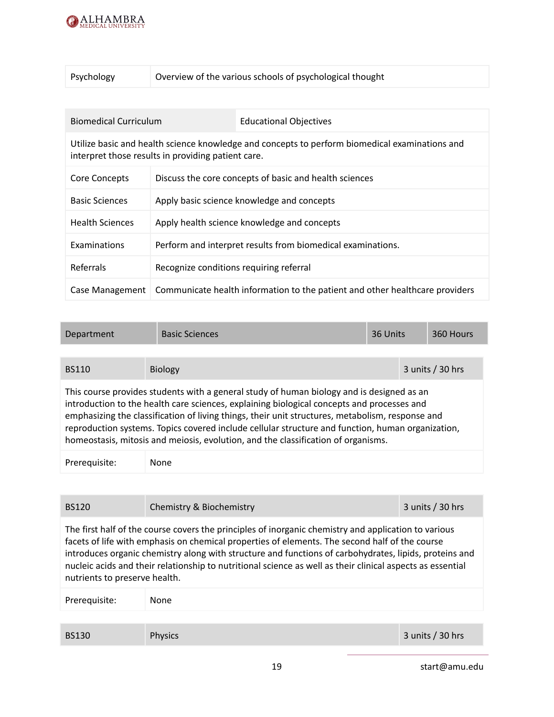

| Psychology | Overview of the various schools of psychological thought |
|------------|----------------------------------------------------------|
|------------|----------------------------------------------------------|

| <b>Biomedical Curriculum</b> |                                                    | <b>Educational Objectives</b>                                                                  |
|------------------------------|----------------------------------------------------|------------------------------------------------------------------------------------------------|
|                              | interpret those results in providing patient care. | Utilize basic and health science knowledge and concepts to perform biomedical examinations and |
| Core Concepts                |                                                    | Discuss the core concepts of basic and health sciences                                         |
| <b>Basic Sciences</b>        |                                                    | Apply basic science knowledge and concepts                                                     |
| <b>Health Sciences</b>       |                                                    | Apply health science knowledge and concepts                                                    |
| Examinations                 |                                                    | Perform and interpret results from biomedical examinations.                                    |
| Referrals                    | Recognize conditions requiring referral            |                                                                                                |
| Case Management              |                                                    | Communicate health information to the patient and other healthcare providers                   |

| <b>Basic Sciences</b><br>36 Units<br>360 Hours<br>Department                                                                                                                                                                                                                                                                                                                                                                                                                          |  |  |  |  |  |
|---------------------------------------------------------------------------------------------------------------------------------------------------------------------------------------------------------------------------------------------------------------------------------------------------------------------------------------------------------------------------------------------------------------------------------------------------------------------------------------|--|--|--|--|--|
|                                                                                                                                                                                                                                                                                                                                                                                                                                                                                       |  |  |  |  |  |
| $3$ units / $30$ hrs<br><b>BS110</b><br><b>Biology</b>                                                                                                                                                                                                                                                                                                                                                                                                                                |  |  |  |  |  |
| This course provides students with a general study of human biology and is designed as an<br>introduction to the health care sciences, explaining biological concepts and processes and<br>emphasizing the classification of living things, their unit structures, metabolism, response and<br>reproduction systems. Topics covered include cellular structure and function, human organization,<br>homeostasis, mitosis and meiosis, evolution, and the classification of organisms. |  |  |  |  |  |
| Prerequisite:<br>None                                                                                                                                                                                                                                                                                                                                                                                                                                                                 |  |  |  |  |  |

| <b>BS120</b>                  | Chemistry & Biochemistry                                                                                                                                                                                                                                                                                                                                                                                                       | 3 units / 30 hrs |
|-------------------------------|--------------------------------------------------------------------------------------------------------------------------------------------------------------------------------------------------------------------------------------------------------------------------------------------------------------------------------------------------------------------------------------------------------------------------------|------------------|
| nutrients to preserve health. | The first half of the course covers the principles of inorganic chemistry and application to various<br>facets of life with emphasis on chemical properties of elements. The second half of the course<br>introduces organic chemistry along with structure and functions of carbohydrates, lipids, proteins and<br>nucleic acids and their relationship to nutritional science as well as their clinical aspects as essential |                  |
| Prerequisite:                 | None                                                                                                                                                                                                                                                                                                                                                                                                                           |                  |
|                               |                                                                                                                                                                                                                                                                                                                                                                                                                                |                  |
| <b>BS130</b>                  | <b>Physics</b>                                                                                                                                                                                                                                                                                                                                                                                                                 | 3 units / 30 hrs |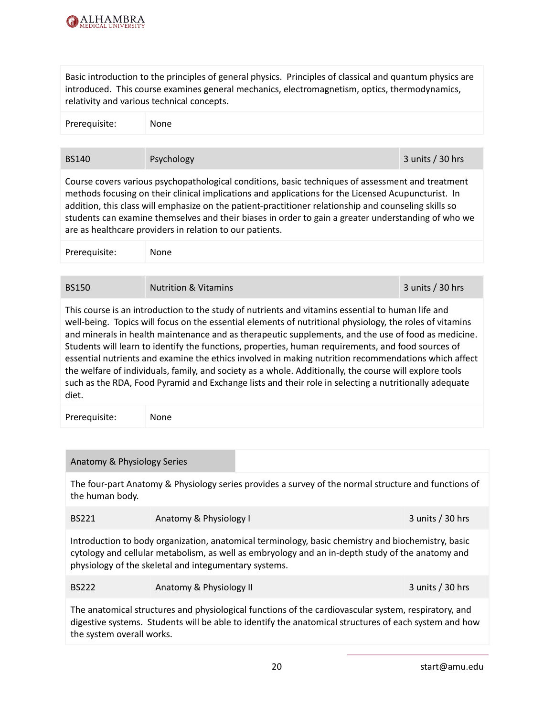

Basic introduction to the principles of general physics. Principles of classical and quantum physics are introduced. This course examines general mechanics, electromagnetism, optics, thermodynamics, relativity and various technical concepts.

| Prerequisite: | None |  |
|---------------|------|--|
|               |      |  |

BS140 Psychology Psychology 3 units / 30 hrs

Course covers various psychopathological conditions, basic techniques of assessment and treatment methods focusing on their clinical implications and applications for the Licensed Acupuncturist. In addition, this class will emphasize on the patient-practitioner relationship and counseling skills so students can examine themselves and their biases in order to gain a greater understanding of who we are as healthcare providers in relation to our patients.

| Prerequisite: | None |  |
|---------------|------|--|
|               |      |  |

## BS150 Nutrition & Vitamins 3 units / 30 hrs

This course is an introduction to the study of nutrients and vitamins essential to human life and well-being. Topics will focus on the essential elements of nutritional physiology, the roles of vitamins and minerals in health maintenance and as therapeutic supplements, and the use of food as medicine. Students will learn to identify the functions, properties, human requirements, and food sources of essential nutrients and examine the ethics involved in making nutrition recommendations which affect the welfare of individuals, family, and society as a whole. Additionally, the course will explore tools such as the RDA, Food Pyramid and Exchange lists and their role in selecting a nutritionally adequate diet.

| Prerequisite:<br>None |
|-----------------------|
|-----------------------|

#### Anatomy & Physiology Series

The four-part Anatomy & Physiology series provides a survey of the normal structure and functions of the human body.

| <b>BS221</b> | Anatomy & Physiology I | 3 units $/$ 30 hrs |
|--------------|------------------------|--------------------|
|--------------|------------------------|--------------------|

Introduction to body organization, anatomical terminology, basic chemistry and biochemistry, basic cytology and cellular metabolism, as well as embryology and an in-depth study of the anatomy and physiology of the skeletal and integumentary systems.

| <b>BS222</b> | Anatomy & Physiology II | 3 units $/$ 30 hrs |
|--------------|-------------------------|--------------------|
|              |                         |                    |

The anatomical structures and physiological functions of the cardiovascular system, respiratory, and digestive systems. Students will be able to identify the anatomical structures of each system and how the system overall works.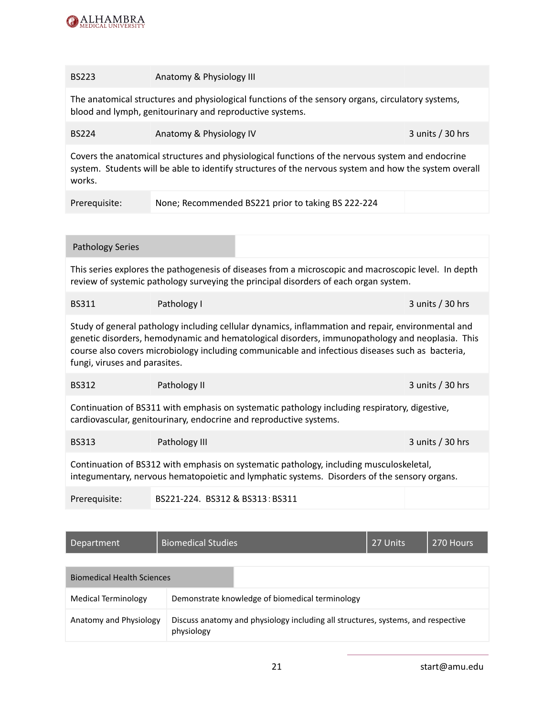

#### BS223 **Anatomy & Physiology III**

The anatomical structures and physiological functions of the sensory organs, circulatory systems, blood and lymph, genitourinary and reproductive systems.

| <b>BS224</b> | Anatomy & Physiology IV | 3 units $/$ 30 hrs |
|--------------|-------------------------|--------------------|
|              |                         |                    |

Covers the anatomical structures and physiological functions of the nervous system and endocrine system. Students will be able to identify structures of the nervous system and how the system overall works.

| Prerequisite: | None; Recommended BS221 prior to taking BS 222-224 |  |
|---------------|----------------------------------------------------|--|
|               |                                                    |  |

#### Pathology Series

This series explores the pathogenesis of diseases from a microscopic and macroscopic level. In depth review of systemic pathology surveying the principal disorders of each organ system.

| <b>BS311</b> | Pathology I | 3 units $/$ 30 hrs |
|--------------|-------------|--------------------|
|              |             |                    |

Study of general pathology including cellular dynamics, inflammation and repair, environmental and genetic disorders, hemodynamic and hematological disorders, immunopathology and neoplasia. This course also covers microbiology including communicable and infectious diseases such as bacteria, fungi, viruses and parasites.

| <b>BS312</b> | Pathology II | $3$ units / 30 hrs |
|--------------|--------------|--------------------|
|              |              |                    |

Continuation of BS311 with emphasis on systematic pathology including respiratory, digestive, cardiovascular, genitourinary, endocrine and reproductive systems.

| <b>BS313</b> | Pathology III | 3 units / 30 hrs |
|--------------|---------------|------------------|
|--------------|---------------|------------------|

Continuation of BS312 with emphasis on systematic pathology, including musculoskeletal, integumentary, nervous hematopoietic and lymphatic systems. Disorders of the sensory organs.

Prerequisite: BS221-224. BS312 & BS313:BS311

| Department                        | <b>Biomedical Studies</b>                       |                                                                                  | 27 Units | 270 Hours |
|-----------------------------------|-------------------------------------------------|----------------------------------------------------------------------------------|----------|-----------|
| <b>Biomedical Health Sciences</b> |                                                 |                                                                                  |          |           |
| Medical Terminology               | Demonstrate knowledge of biomedical terminology |                                                                                  |          |           |
| Anatomy and Physiology            | physiology                                      | Discuss anatomy and physiology including all structures, systems, and respective |          |           |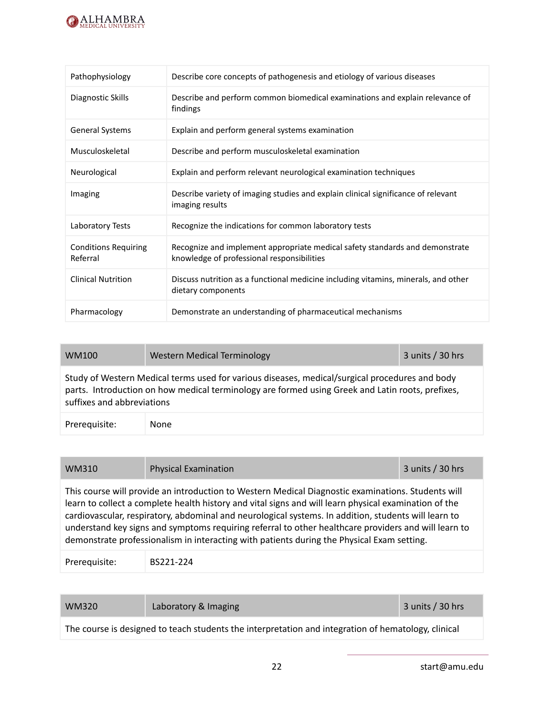

| Pathophysiology                         | Describe core concepts of pathogenesis and etiology of various diseases                                                    |
|-----------------------------------------|----------------------------------------------------------------------------------------------------------------------------|
| Diagnostic Skills                       | Describe and perform common biomedical examinations and explain relevance of<br>findings                                   |
| General Systems                         | Explain and perform general systems examination                                                                            |
| Musculoskeletal                         | Describe and perform musculoskeletal examination                                                                           |
| Neurological                            | Explain and perform relevant neurological examination techniques                                                           |
| Imaging                                 | Describe variety of imaging studies and explain clinical significance of relevant<br>imaging results                       |
| Laboratory Tests                        | Recognize the indications for common laboratory tests                                                                      |
| <b>Conditions Requiring</b><br>Referral | Recognize and implement appropriate medical safety standards and demonstrate<br>knowledge of professional responsibilities |
| <b>Clinical Nutrition</b>               | Discuss nutrition as a functional medicine including vitamins, minerals, and other<br>dietary components                   |
| Pharmacology                            | Demonstrate an understanding of pharmaceutical mechanisms                                                                  |

| WM100                                                                                                                                                                                                                            | <b>Western Medical Terminology</b> | 3 units $/$ 30 hrs |  |
|----------------------------------------------------------------------------------------------------------------------------------------------------------------------------------------------------------------------------------|------------------------------------|--------------------|--|
| Study of Western Medical terms used for various diseases, medical/surgical procedures and body<br>parts. Introduction on how medical terminology are formed using Greek and Latin roots, prefixes,<br>suffixes and abbreviations |                                    |                    |  |
| Prerequisite:                                                                                                                                                                                                                    | None                               |                    |  |

# WM310 Physical Examination 3 units / 30 hrs

This course will provide an introduction to Western Medical Diagnostic examinations. Students will learn to collect a complete health history and vital signs and will learn physical examination of the cardiovascular, respiratory, abdominal and neurological systems. In addition, students will learn to understand key signs and symptoms requiring referral to other healthcare providers and will learn to demonstrate professionalism in interacting with patients during the Physical Exam setting.

Prerequisite: BS221-224

WM320 Laboratory & Imaging 3 units / 30 hrs

The course is designed to teach students the interpretation and integration of hematology, clinical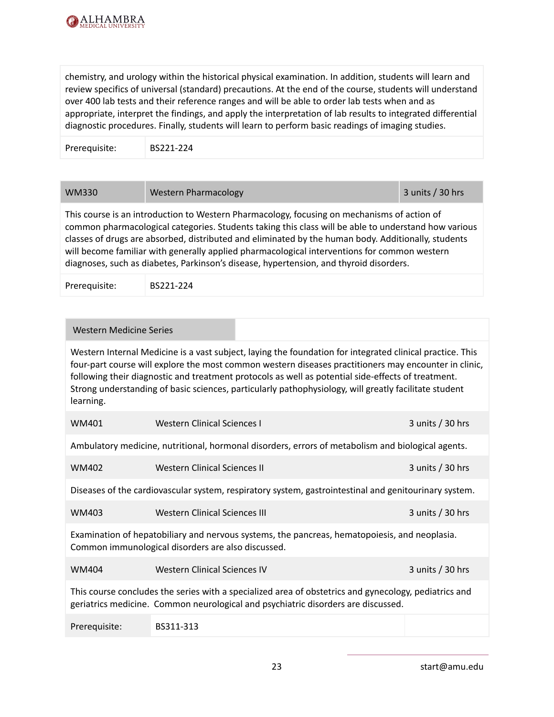

chemistry, and urology within the historical physical examination. In addition, students will learn and review specifics of universal (standard) precautions. At the end of the course, students will understand over 400 lab tests and their reference ranges and will be able to order lab tests when and as appropriate, interpret the findings, and apply the interpretation of lab results to integrated differential diagnostic procedures. Finally, students will learn to perform basic readings of imaging studies.

Prerequisite: BS221-224

| <b>WM330</b> | <b>Western Pharmacology</b> | 3 units / 30 hrs |
|--------------|-----------------------------|------------------|
|              |                             |                  |

This course is an introduction to Western Pharmacology, focusing on mechanisms of action of common pharmacological categories. Students taking this class will be able to understand how various classes of drugs are absorbed, distributed and eliminated by the human body. Additionally, students will become familiar with generally applied pharmacological interventions for common western diagnoses, such as diabetes, Parkinson's disease, hypertension, and thyroid disorders.

Prerequisite: BS221-224

| Western Medicine Series                                                                                                                                                                                                                                                                                                                                                                                                                        |                               |                                                                                                   |                  |
|------------------------------------------------------------------------------------------------------------------------------------------------------------------------------------------------------------------------------------------------------------------------------------------------------------------------------------------------------------------------------------------------------------------------------------------------|-------------------------------|---------------------------------------------------------------------------------------------------|------------------|
| Western Internal Medicine is a vast subject, laying the foundation for integrated clinical practice. This<br>four-part course will explore the most common western diseases practitioners may encounter in clinic,<br>following their diagnostic and treatment protocols as well as potential side-effects of treatment.<br>Strong understanding of basic sciences, particularly pathophysiology, will greatly facilitate student<br>learning. |                               |                                                                                                   |                  |
| WM401                                                                                                                                                                                                                                                                                                                                                                                                                                          | Western Clinical Sciences L   |                                                                                                   | 3 units / 30 hrs |
|                                                                                                                                                                                                                                                                                                                                                                                                                                                |                               | Ambulatory medicine, nutritional, hormonal disorders, errors of metabolism and biological agents. |                  |
| <b>WM402</b>                                                                                                                                                                                                                                                                                                                                                                                                                                   | Western Clinical Sciences II  |                                                                                                   | 3 units / 30 hrs |
| Diseases of the cardiovascular system, respiratory system, gastrointestinal and genitourinary system.                                                                                                                                                                                                                                                                                                                                          |                               |                                                                                                   |                  |
| WM403                                                                                                                                                                                                                                                                                                                                                                                                                                          | Western Clinical Sciences III |                                                                                                   | 3 units / 30 hrs |
| Examination of hepatobiliary and nervous systems, the pancreas, hematopoiesis, and neoplasia.<br>Common immunological disorders are also discussed.                                                                                                                                                                                                                                                                                            |                               |                                                                                                   |                  |
| WM404                                                                                                                                                                                                                                                                                                                                                                                                                                          | Western Clinical Sciences IV  |                                                                                                   | 3 units / 30 hrs |
| This course concludes the series with a specialized area of obstetrics and gynecology, pediatrics and<br>geriatrics medicine. Common neurological and psychiatric disorders are discussed.                                                                                                                                                                                                                                                     |                               |                                                                                                   |                  |
| Prerequisite:                                                                                                                                                                                                                                                                                                                                                                                                                                  | BS311-313                     |                                                                                                   |                  |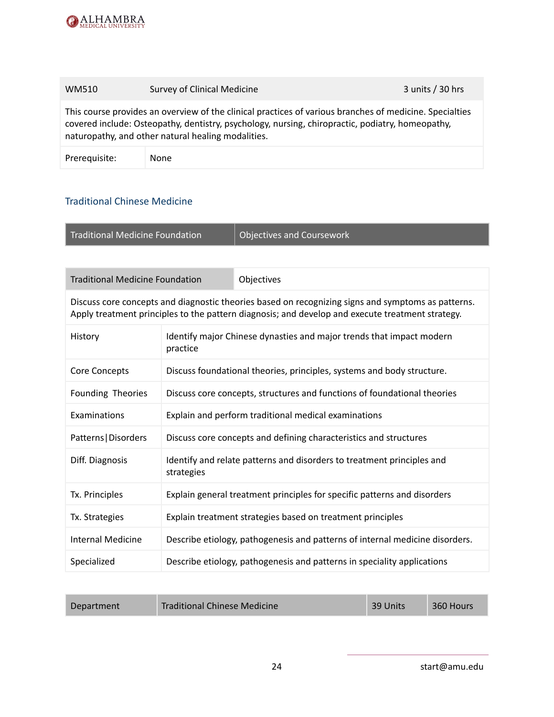

# WM510 Survey of Clinical Medicine 3 units / 30 hrs

This course provides an overview of the clinical practices of various branches of medicine. Specialties covered include: Osteopathy, dentistry, psychology, nursing, chiropractic, podiatry, homeopathy, naturopathy, and other natural healing modalities.

Prerequisite: None

## <span id="page-24-0"></span>Traditional Chinese Medicine

Traditional Medicine Foundation  $\vert$  Objectives and Coursework

| <b>Traditional Medicine Foundation</b> | <b>Objectives</b>                                                                                                                                                                                      |
|----------------------------------------|--------------------------------------------------------------------------------------------------------------------------------------------------------------------------------------------------------|
|                                        | Discuss core concepts and diagnostic theories based on recognizing signs and symptoms as patterns.<br>Apply treatment principles to the pattern diagnosis; and develop and execute treatment strategy. |

| History                  | Identify major Chinese dynasties and major trends that impact modern<br>practice     |
|--------------------------|--------------------------------------------------------------------------------------|
| Core Concepts            | Discuss foundational theories, principles, systems and body structure.               |
| Founding Theories        | Discuss core concepts, structures and functions of foundational theories             |
| Examinations             | Explain and perform traditional medical examinations                                 |
| Patterns   Disorders     | Discuss core concepts and defining characteristics and structures                    |
| Diff. Diagnosis          | Identify and relate patterns and disorders to treatment principles and<br>strategies |
| Tx. Principles           | Explain general treatment principles for specific patterns and disorders             |
| Tx. Strategies           | Explain treatment strategies based on treatment principles                           |
| <b>Internal Medicine</b> | Describe etiology, pathogenesis and patterns of internal medicine disorders.         |
| Specialized              | Describe etiology, pathogenesis and patterns in speciality applications              |

| Department | <b>Traditional Chinese Medicine</b> | 39 Units | 360 Hours |
|------------|-------------------------------------|----------|-----------|
|            |                                     |          |           |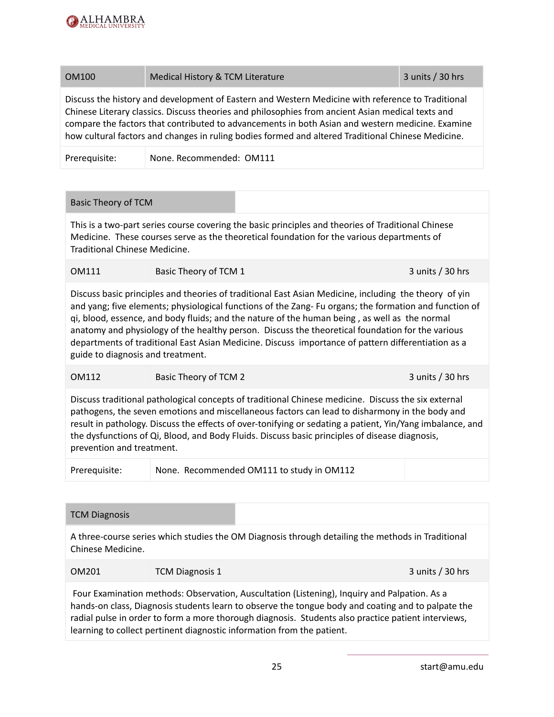

#### OM100 Medical History & TCM Literature 3 units / 30 hrs

Discuss the history and development of Eastern and Western Medicine with reference to Traditional Chinese Literary classics. Discuss theories and philosophies from ancient Asian medical texts and compare the factors that contributed to advancements in both Asian and western medicine. Examine how cultural factors and changes in ruling bodies formed and altered Traditional Chinese Medicine.

Prerequisite: None. Recommended: OM111

#### Basic Theory of TCM

This is a two-part series course covering the basic principles and theories of Traditional Chinese Medicine. These courses serve as the theoretical foundation for the various departments of Traditional Chinese Medicine.

| OM111<br>Basic Theory of TCM 1 | 3 units $/$ 30 hrs |
|--------------------------------|--------------------|
|--------------------------------|--------------------|

Discuss basic principles and theories of traditional East Asian Medicine, including the theory of yin and yang; five elements; physiological functions of the Zang- Fu organs; the formation and function of qi, blood, essence, and body fluids; and the nature of the human being , as well as the normal anatomy and physiology of the healthy person. Discuss the theoretical foundation for the various departments of traditional East Asian Medicine. Discuss importance of pattern differentiation as a guide to diagnosis and treatment.

#### OM112 Basic Theory of TCM 2 3 units / 30 hrs

Discuss traditional pathological concepts of traditional Chinese medicine. Discuss the six external pathogens, the seven emotions and miscellaneous factors can lead to disharmony in the body and result in pathology. Discuss the effects of over-tonifying or sedating a patient, Yin/Yang imbalance, and the dysfunctions of Qi, Blood, and Body Fluids. Discuss basic principles of disease diagnosis, prevention and treatment.

Prerequisite: None. Recommended OM111 to study in OM112

#### TCM Diagnosis

A three-course series which studies the OM Diagnosis through detailing the methods in Traditional Chinese Medicine.

| OM201 | <b>TCM Diagnosis 1</b> |  |
|-------|------------------------|--|

Four Examination methods: Observation, Auscultation (Listening), Inquiry and Palpation. As a hands-on class, Diagnosis students learn to observe the tongue body and coating and to palpate the radial pulse in order to form a more thorough diagnosis. Students also practice patient interviews, learning to collect pertinent diagnostic information from the patient.

 $3$  units / 30 hrs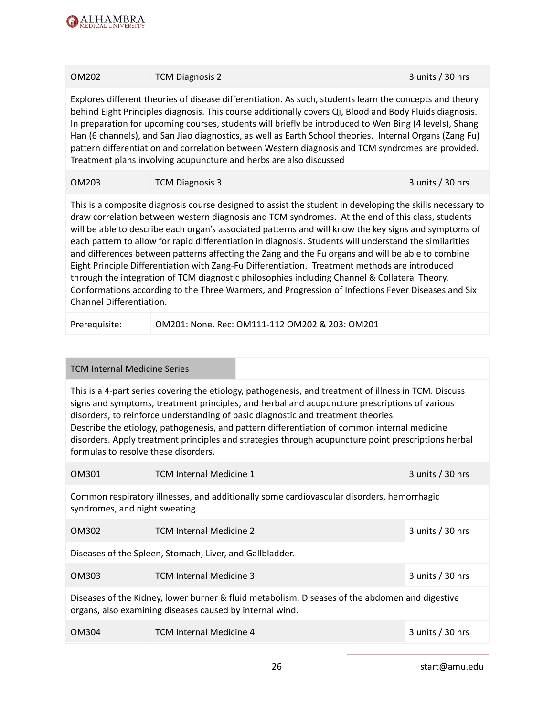

| OM202                                                                                                                                                                                                                                                                                                                                                                                                                                                                                                                                                                                                                                                                                                                                                                                                                                                                       | <b>TCM Diagnosis 2</b>                                                                                                                                                                                                                                                                                                                                                                                                                                                                                                                                                                                             | 3 units / 30 hrs   |
|-----------------------------------------------------------------------------------------------------------------------------------------------------------------------------------------------------------------------------------------------------------------------------------------------------------------------------------------------------------------------------------------------------------------------------------------------------------------------------------------------------------------------------------------------------------------------------------------------------------------------------------------------------------------------------------------------------------------------------------------------------------------------------------------------------------------------------------------------------------------------------|--------------------------------------------------------------------------------------------------------------------------------------------------------------------------------------------------------------------------------------------------------------------------------------------------------------------------------------------------------------------------------------------------------------------------------------------------------------------------------------------------------------------------------------------------------------------------------------------------------------------|--------------------|
|                                                                                                                                                                                                                                                                                                                                                                                                                                                                                                                                                                                                                                                                                                                                                                                                                                                                             | Explores different theories of disease differentiation. As such, students learn the concepts and theory<br>behind Eight Principles diagnosis. This course additionally covers Qi, Blood and Body Fluids diagnosis.<br>In preparation for upcoming courses, students will briefly be introduced to Wen Bing (4 levels), Shang<br>Han (6 channels), and San Jiao diagnostics, as well as Earth School theories. Internal Organs (Zang Fu)<br>pattern differentiation and correlation between Western diagnosis and TCM syndromes are provided.<br>Treatment plans involving acupuncture and herbs are also discussed |                    |
| OM203                                                                                                                                                                                                                                                                                                                                                                                                                                                                                                                                                                                                                                                                                                                                                                                                                                                                       | <b>TCM Diagnosis 3</b>                                                                                                                                                                                                                                                                                                                                                                                                                                                                                                                                                                                             | 3 units $/$ 30 hrs |
| This is a composite diagnosis course designed to assist the student in developing the skills necessary to<br>draw correlation between western diagnosis and TCM syndromes. At the end of this class, students<br>will be able to describe each organ's associated patterns and will know the key signs and symptoms of<br>each pattern to allow for rapid differentiation in diagnosis. Students will understand the similarities<br>and differences between patterns affecting the Zang and the Fu organs and will be able to combine<br>Eight Principle Differentiation with Zang-Fu Differentiation. Treatment methods are introduced<br>through the integration of TCM diagnostic philosophies including Channel & Collateral Theory,<br>Conformations according to the Three Warmers, and Progression of Infections Fever Diseases and Six<br>Channel Differentiation. |                                                                                                                                                                                                                                                                                                                                                                                                                                                                                                                                                                                                                    |                    |
| Prerequisite:                                                                                                                                                                                                                                                                                                                                                                                                                                                                                                                                                                                                                                                                                                                                                                                                                                                               | OM201: None. Rec: OM111-112 OM202 & 203: OM201                                                                                                                                                                                                                                                                                                                                                                                                                                                                                                                                                                     |                    |

#### TCM Internal Medicine Series

This is a 4-part series covering the etiology, pathogenesis, and treatment of illness in TCM. Discuss signs and symptoms, treatment principles, and herbal and acupuncture prescriptions of various disorders, to reinforce understanding of basic diagnostic and treatment theories. Describe the etiology, pathogenesis, and pattern differentiation of common internal medicine disorders. Apply treatment principles and strategies through acupuncture point prescriptions herbal formulas to resolve these disorders.

| OM301                                                                                                                                                      | <b>TCM Internal Medicine 1</b> | 3 units $/$ 30 hrs |  |  |
|------------------------------------------------------------------------------------------------------------------------------------------------------------|--------------------------------|--------------------|--|--|
| Common respiratory illnesses, and additionally some cardiovascular disorders, hemorrhagic<br>syndromes, and night sweating.                                |                                |                    |  |  |
| OM302                                                                                                                                                      | <b>TCM Internal Medicine 2</b> | 3 units $/$ 30 hrs |  |  |
| Diseases of the Spleen, Stomach, Liver, and Gallbladder.                                                                                                   |                                |                    |  |  |
| OM303                                                                                                                                                      | <b>TCM Internal Medicine 3</b> | 3 units $/$ 30 hrs |  |  |
| Diseases of the Kidney, lower burner & fluid metabolism. Diseases of the abdomen and digestive<br>organs, also examining diseases caused by internal wind. |                                |                    |  |  |
| OM304                                                                                                                                                      | <b>TCM Internal Medicine 4</b> | 3 units $/$ 30 hrs |  |  |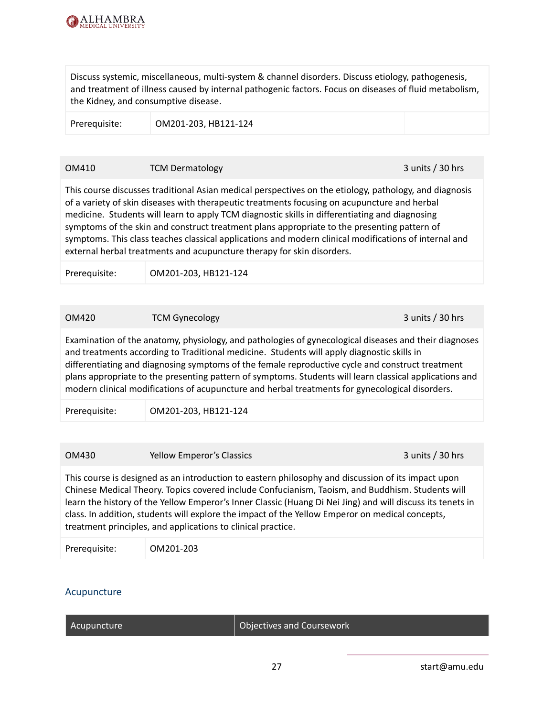

Discuss systemic, miscellaneous, multi-system & channel disorders. Discuss etiology, pathogenesis, and treatment of illness caused by internal pathogenic factors. Focus on diseases of fluid metabolism, the Kidney, and consumptive disease.

Prerequisite: OM201-203, HB121-124

#### OM410 TCM Dermatology 3 units / 30 hrs

This course discusses traditional Asian medical perspectives on the etiology, pathology, and diagnosis of a variety of skin diseases with therapeutic treatments focusing on acupuncture and herbal medicine. Students will learn to apply TCM diagnostic skills in differentiating and diagnosing symptoms of the skin and construct treatment plans appropriate to the presenting pattern of symptoms. This class teaches classical applications and modern clinical modifications of internal and external herbal treatments and acupuncture therapy for skin disorders.

Prerequisite: OM201-203, HB121-124

#### OM420 TCM Gynecology 3 units / 30 hrs

Examination of the anatomy, physiology, and pathologies of gynecological diseases and their diagnoses and treatments according to Traditional medicine. Students will apply diagnostic skills in differentiating and diagnosing symptoms of the female reproductive cycle and construct treatment plans appropriate to the presenting pattern of symptoms. Students will learn classical applications and modern clinical modifications of acupuncture and herbal treatments for gynecological disorders.

Prerequisite: OM201-203, HB121-124

OM430 **Solution Section Properties According Section 2 units / 30 hrs** 3 units / 30 hrs This course is designed as an introduction to eastern philosophy and discussion of its impact upon Chinese Medical Theory. Topics covered include Confucianism, Taoism, and Buddhism. Students will learn the history of the Yellow Emperor's Inner Classic (Huang Di Nei Jing) and will discuss its tenets in class. In addition, students will explore the impact of the Yellow Emperor on medical concepts, treatment principles, and applications to clinical practice.

#### <span id="page-27-0"></span>Acupuncture

| Acupuncture | Objectives and Coursework |
|-------------|---------------------------|
|             |                           |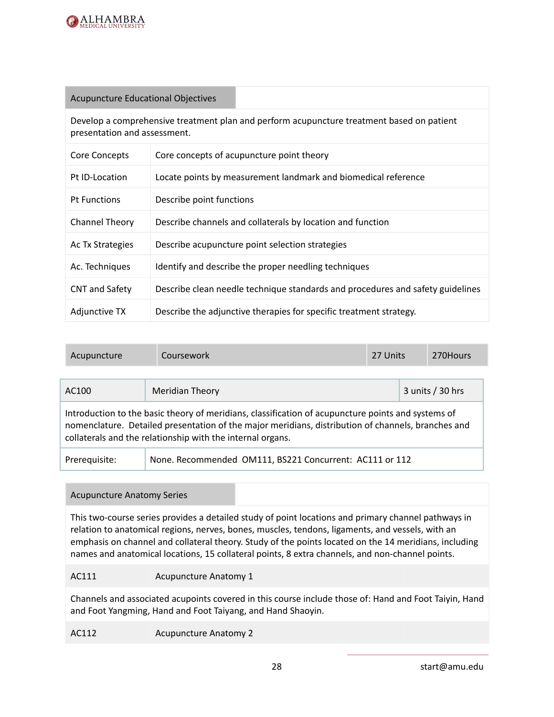

#### Acupuncture Educational Objectives

Develop a comprehensive treatment plan and perform acupuncture treatment based on patient presentation and assessment.

| Core Concepts         | Core concepts of acupuncture point theory                                      |
|-----------------------|--------------------------------------------------------------------------------|
| Pt ID-Location        | Locate points by measurement landmark and biomedical reference                 |
| <b>Pt Functions</b>   | Describe point functions                                                       |
| Channel Theory        | Describe channels and collaterals by location and function                     |
| Ac Tx Strategies      | Describe acupuncture point selection strategies                                |
| Ac. Techniques        | Identify and describe the proper needling techniques                           |
| <b>CNT and Safety</b> | Describe clean needle technique standards and procedures and safety guidelines |
| Adjunctive TX         | Describe the adjunctive therapies for specific treatment strategy.             |

| Acupuncture                                                                                                                                                                                                                                                            | Coursework                                              | 27 Units |  | 270Hours           |
|------------------------------------------------------------------------------------------------------------------------------------------------------------------------------------------------------------------------------------------------------------------------|---------------------------------------------------------|----------|--|--------------------|
| AC100                                                                                                                                                                                                                                                                  | <b>Meridian Theory</b>                                  |          |  | 3 units $/$ 30 hrs |
| Introduction to the basic theory of meridians, classification of acupuncture points and systems of<br>nomenclature. Detailed presentation of the major meridians, distribution of channels, branches and<br>collaterals and the relationship with the internal organs. |                                                         |          |  |                    |
| Prerequisite:                                                                                                                                                                                                                                                          | None. Recommended OM111, BS221 Concurrent: AC111 or 112 |          |  |                    |

#### Acupuncture Anatomy Series

This two-course series provides a detailed study of point locations and primary channel pathways in relation to anatomical regions, nerves, bones, muscles, tendons, ligaments, and vessels, with an emphasis on channel and collateral theory. Study of the points located on the 14 meridians, including names and anatomical locations, 15 collateral points, 8 extra channels, and non-channel points.

#### AC111 Acupuncture Anatomy 1

Channels and associated acupoints covered in this course include those of: Hand and Foot Taiyin, Hand and Foot Yangming, Hand and Foot Taiyang, and Hand Shaoyin.

AC112 Acupuncture Anatomy 2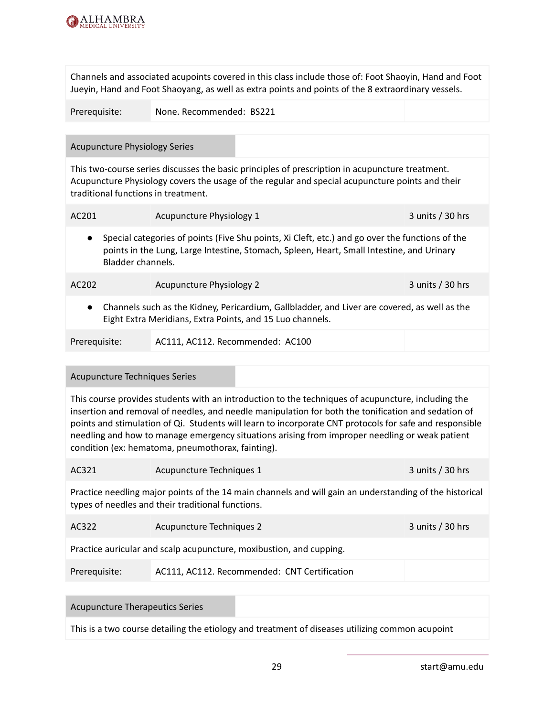

Channels and associated acupoints covered in this class include those of: Foot Shaoyin, Hand and Foot Jueyin, Hand and Foot Shaoyang, as well as extra points and points of the 8 extraordinary vessels.

| Prerequisite: | None. Recommended: BS221 |
|---------------|--------------------------|
|               |                          |

#### Acupuncture Physiology Series

This two-course series discusses the basic principles of prescription in acupuncture treatment. Acupuncture Physiology covers the usage of the regular and special acupuncture points and their traditional functions in treatment.

| AC <sub>201</sub> |                                                                                                                                                                                                                   | Acupuncture Physiology 1                                                                                                                                  | 3 units / 30 hrs   |  |
|-------------------|-------------------------------------------------------------------------------------------------------------------------------------------------------------------------------------------------------------------|-----------------------------------------------------------------------------------------------------------------------------------------------------------|--------------------|--|
| $\bullet$         | Special categories of points (Five Shu points, Xi Cleft, etc.) and go over the functions of the<br>points in the Lung, Large Intestine, Stomach, Spleen, Heart, Small Intestine, and Urinary<br>Bladder channels. |                                                                                                                                                           |                    |  |
| AC <sub>202</sub> |                                                                                                                                                                                                                   | <b>Acupuncture Physiology 2</b>                                                                                                                           | 3 units $/$ 30 hrs |  |
| $\bullet$         |                                                                                                                                                                                                                   | Channels such as the Kidney, Pericardium, Gallbladder, and Liver are covered, as well as the<br>Eight Extra Meridians, Extra Points, and 15 Luo channels. |                    |  |

| Prerequisite: | AC111, AC112. Recommended: AC100 |  |
|---------------|----------------------------------|--|
|---------------|----------------------------------|--|

#### Acupuncture Techniques Series

This course provides students with an introduction to the techniques of acupuncture, including the insertion and removal of needles, and needle manipulation for both the tonification and sedation of points and stimulation of Qi. Students will learn to incorporate CNT protocols for safe and responsible needling and how to manage emergency situations arising from improper needling or weak patient condition (ex: hematoma, pneumothorax, fainting).

| AC321 | Acupuncture Techniques 1 | $3$ units / $30$ hrs |
|-------|--------------------------|----------------------|
|       |                          |                      |

Practice needling major points of the 14 main channels and will gain an understanding of the historical types of needles and their traditional functions.

| AC322 | Acupuncture Techniques 2 | 3 units / 30 hrs |
|-------|--------------------------|------------------|
|-------|--------------------------|------------------|

Practice auricular and scalp acupuncture, moxibustion, and cupping.

Prerequisite: AC111, AC112. Recommended: CNT Certification

#### Acupuncture Therapeutics Series

This is a two course detailing the etiology and treatment of diseases utilizing common acupoint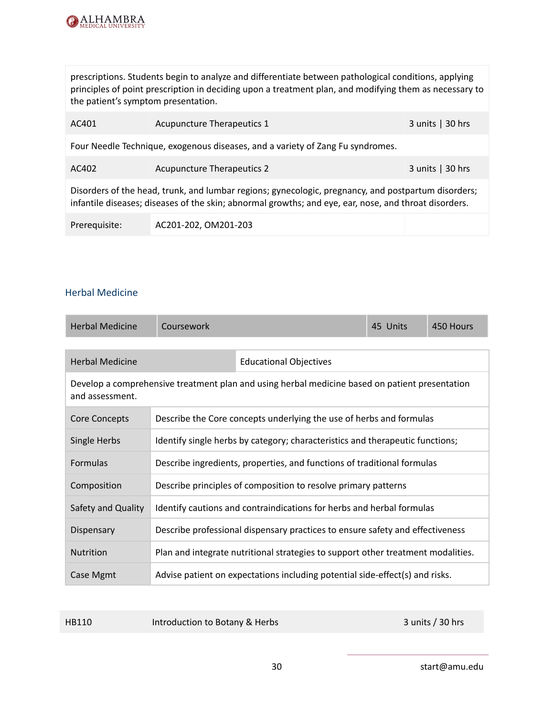

prescriptions. Students begin to analyze and differentiate between pathological conditions, applying principles of point prescription in deciding upon a treatment plan, and modifying them as necessary to the patient's symptom presentation.

| AC401                                                                                                                                                                                                        | <b>Acupuncture Therapeutics 1</b> | $3$ units $\vert$ 30 hrs |  |  |
|--------------------------------------------------------------------------------------------------------------------------------------------------------------------------------------------------------------|-----------------------------------|--------------------------|--|--|
| Four Needle Technique, exogenous diseases, and a variety of Zang Fu syndromes.                                                                                                                               |                                   |                          |  |  |
| AC402                                                                                                                                                                                                        | <b>Acupuncture Therapeutics 2</b> | 3 units $ 30$ hrs        |  |  |
| Disorders of the head, trunk, and lumbar regions; gynecologic, pregnancy, and postpartum disorders;<br>infantile diseases; diseases of the skin; abnormal growths; and eye, ear, nose, and throat disorders. |                                   |                          |  |  |
| Prerequisite:                                                                                                                                                                                                | AC201-202, OM201-203              |                          |  |  |

#### <span id="page-30-0"></span>Herbal Medicine

| <b>Herbal Medicine</b>                                                                                            | Coursework                                                                       |                                                                     | 45 Units | 450 Hours |
|-------------------------------------------------------------------------------------------------------------------|----------------------------------------------------------------------------------|---------------------------------------------------------------------|----------|-----------|
|                                                                                                                   |                                                                                  |                                                                     |          |           |
| <b>Herbal Medicine</b>                                                                                            |                                                                                  | <b>Educational Objectives</b>                                       |          |           |
| Develop a comprehensive treatment plan and using herbal medicine based on patient presentation<br>and assessment. |                                                                                  |                                                                     |          |           |
| Core Concepts                                                                                                     |                                                                                  | Describe the Core concepts underlying the use of herbs and formulas |          |           |
| Single Herbs                                                                                                      | Identify single herbs by category; characteristics and therapeutic functions;    |                                                                     |          |           |
| Formulas                                                                                                          | Describe ingredients, properties, and functions of traditional formulas          |                                                                     |          |           |
| Composition                                                                                                       | Describe principles of composition to resolve primary patterns                   |                                                                     |          |           |
| Safety and Quality                                                                                                | Identify cautions and contraindications for herbs and herbal formulas            |                                                                     |          |           |
| Dispensary                                                                                                        | Describe professional dispensary practices to ensure safety and effectiveness    |                                                                     |          |           |
| <b>Nutrition</b>                                                                                                  | Plan and integrate nutritional strategies to support other treatment modalities. |                                                                     |          |           |
| Case Mgmt                                                                                                         | Advise patient on expectations including potential side-effect(s) and risks.     |                                                                     |          |           |

HB110 Introduction to Botany & Herbs 3 units / 30 hrs

30 start@amu.edu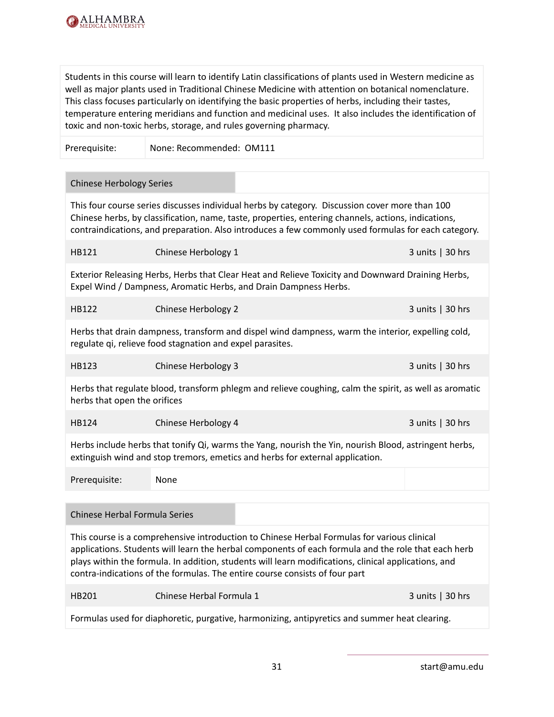

Students in this course will learn to identify Latin classifications of plants used in Western medicine as well as major plants used in Traditional Chinese Medicine with attention on botanical nomenclature. This class focuses particularly on identifying the basic properties of herbs, including their tastes, temperature entering meridians and function and medicinal uses. It also includes the identification of toxic and non-toxic herbs, storage, and rules governing pharmacy.

Prerequisite: None: Recommended: OM111

#### Chinese Herbology Series

This four course series discusses individual herbs by category. Discussion cover more than 100 Chinese herbs, by classification, name, taste, properties, entering channels, actions, indications, contraindications, and preparation. Also introduces a few commonly used formulas for each category.

| HB121 | Chinese Herbology 1 | $3$ units $\vert$ 30 hrs |
|-------|---------------------|--------------------------|
|       |                     |                          |

Exterior Releasing Herbs, Herbs that Clear Heat and Relieve Toxicity and Downward Draining Herbs, Expel Wind / Dampness, Aromatic Herbs, and Drain Dampness Herbs.

| <b>HB122</b> | Chinese Herbology 2 | 3 units $\vert$ 30 hrs |
|--------------|---------------------|------------------------|
|--------------|---------------------|------------------------|

Herbs that drain dampness, transform and dispel wind dampness, warm the interior, expelling cold, regulate qi, relieve food stagnation and expel parasites.

| HB123<br>Chinese Herbology 3 | 3 units $ 30$ hrs |
|------------------------------|-------------------|
|------------------------------|-------------------|

Herbs that regulate blood, transform phlegm and relieve coughing, calm the spirit, as well as aromatic herbs that open the orifices

#### HB124 Chinese Herbology 4 3 units | 30 hrs

Herbs include herbs that tonify Qi, warms the Yang, nourish the Yin, nourish Blood, astringent herbs, extinguish wind and stop tremors, emetics and herbs for external application.

Prerequisite: None

#### Chinese Herbal Formula Series

This course is a comprehensive introduction to Chinese Herbal Formulas for various clinical applications. Students will learn the herbal components of each formula and the role that each herb plays within the formula. In addition, students will learn modifications, clinical applications, and contra-indications of the formulas. The entire course consists of four part

| <b>HB201</b> | Chinese Herbal Formula 1 |  | $3$ units $\vert$ 30 hrs |
|--------------|--------------------------|--|--------------------------|
|--------------|--------------------------|--|--------------------------|

Formulas used for diaphoretic, purgative, harmonizing, antipyretics and summer heat clearing.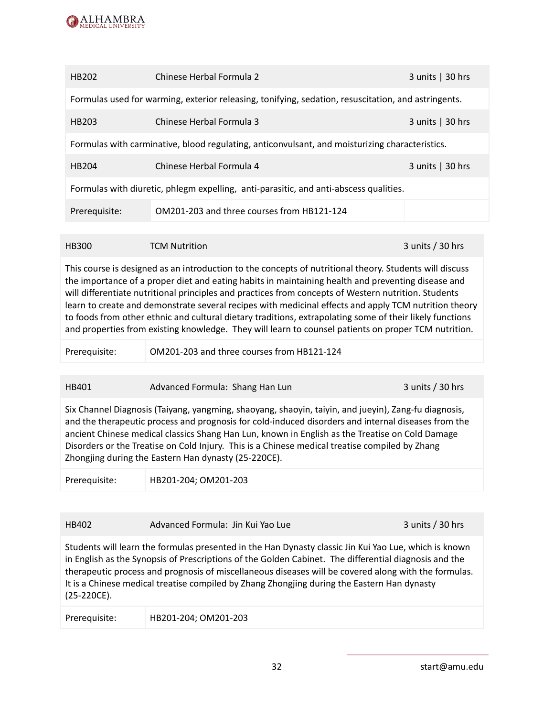

| HB202                                                                                          | Chinese Herbal Formula 2                                                                            | 3 units $\vert$ 30 hrs   |  |  |
|------------------------------------------------------------------------------------------------|-----------------------------------------------------------------------------------------------------|--------------------------|--|--|
|                                                                                                | Formulas used for warming, exterior releasing, tonifying, sedation, resuscitation, and astringents. |                          |  |  |
| HB203                                                                                          | Chinese Herbal Formula 3                                                                            | $3$ units $\vert$ 30 hrs |  |  |
| Formulas with carminative, blood regulating, anticonvulsant, and moisturizing characteristics. |                                                                                                     |                          |  |  |
| HB204                                                                                          | Chinese Herbal Formula 4                                                                            | 3 units $ 30$ hrs        |  |  |
| Formulas with diuretic, phlegm expelling, anti-parasitic, and anti-abscess qualities.          |                                                                                                     |                          |  |  |
| Prerequisite:                                                                                  | OM201-203 and three courses from HB121-124                                                          |                          |  |  |
|                                                                                                |                                                                                                     |                          |  |  |

#### HB300 TCM Nutrition 3 units / 30 hrs

This course is designed as an introduction to the concepts of nutritional theory. Students will discuss the importance of a proper diet and eating habits in maintaining health and preventing disease and will differentiate nutritional principles and practices from concepts of Western nutrition. Students learn to create and demonstrate several recipes with medicinal effects and apply TCM nutrition theory to foods from other ethnic and cultural dietary traditions, extrapolating some of their likely functions and properties from existing knowledge. They will learn to counsel patients on proper TCM nutrition.

Prerequisite: OM201-203 and three courses from HB121-124

HB401 Advanced Formula: Shang Han Lun 3 units / 30 hrs

Six Channel Diagnosis (Taiyang, yangming, shaoyang, shaoyin, taiyin, and jueyin), Zang-fu diagnosis, and the therapeutic process and prognosis for cold-induced disorders and internal diseases from the ancient Chinese medical classics Shang Han Lun, known in English as the Treatise on Cold Damage Disorders or the Treatise on Cold Injury. This is a Chinese medical treatise compiled by Zhang Zhongjing during the Eastern Han dynasty (25-220CE).

Prerequisite: HB201-204; OM201-203

| HB402 | Advanced Formula: Jin Kui Yao Lue | $3$ units / 30 hrs |
|-------|-----------------------------------|--------------------|
|-------|-----------------------------------|--------------------|

Students will learn the formulas presented in the Han Dynasty classic Jin Kui Yao Lue, which is known in English as the Synopsis of Prescriptions of the Golden Cabinet. The differential diagnosis and the therapeutic process and prognosis of miscellaneous diseases will be covered along with the formulas. It is a Chinese medical treatise compiled by Zhang Zhongjing during the Eastern Han dynasty (25-220CE).

| Prerequisite: | HB201-204; OM201-203 |  |  |
|---------------|----------------------|--|--|
|---------------|----------------------|--|--|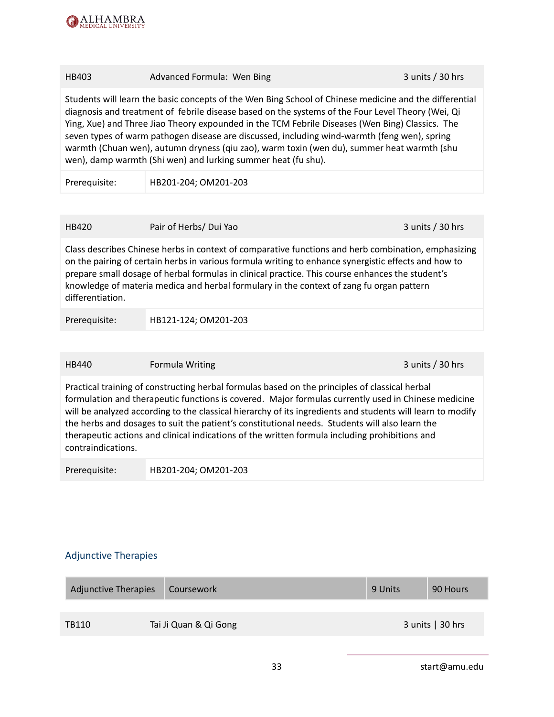

| HB403                                                                                                                                                                                                                                                                                                                                                                                                                                                                                                                                                                         | Advanced Formula: Wen Bing | 3 units / 30 hrs |  |  |
|-------------------------------------------------------------------------------------------------------------------------------------------------------------------------------------------------------------------------------------------------------------------------------------------------------------------------------------------------------------------------------------------------------------------------------------------------------------------------------------------------------------------------------------------------------------------------------|----------------------------|------------------|--|--|
| Students will learn the basic concepts of the Wen Bing School of Chinese medicine and the differential<br>diagnosis and treatment of febrile disease based on the systems of the Four Level Theory (Wei, Qi<br>Ying, Xue) and Three Jiao Theory expounded in the TCM Febrile Diseases (Wen Bing) Classics. The<br>seven types of warm pathogen disease are discussed, including wind-warmth (feng wen), spring<br>warmth (Chuan wen), autumn dryness (qiu zao), warm toxin (wen du), summer heat warmth (shu<br>wen), damp warmth (Shi wen) and lurking summer heat (fu shu). |                            |                  |  |  |
| Prerequisite:                                                                                                                                                                                                                                                                                                                                                                                                                                                                                                                                                                 | HB201-204; OM201-203       |                  |  |  |
|                                                                                                                                                                                                                                                                                                                                                                                                                                                                                                                                                                               |                            |                  |  |  |
| <b>HB420</b>                                                                                                                                                                                                                                                                                                                                                                                                                                                                                                                                                                  | Pair of Herbs/ Dui Yao     | 3 units / 30 hrs |  |  |
| Class describes Chinese herbs in context of comparative functions and herb combination, emphasizing<br>on the pairing of certain herbs in various formula writing to enhance synergistic effects and how to<br>prepare small dosage of herbal formulas in clinical practice. This course enhances the student's<br>knowledge of materia medica and herbal formulary in the context of zang fu organ pattern<br>differentiation.                                                                                                                                               |                            |                  |  |  |
| Prerequisite:                                                                                                                                                                                                                                                                                                                                                                                                                                                                                                                                                                 | HB121-124; OM201-203       |                  |  |  |
|                                                                                                                                                                                                                                                                                                                                                                                                                                                                                                                                                                               |                            |                  |  |  |
| HB440                                                                                                                                                                                                                                                                                                                                                                                                                                                                                                                                                                         | Formula Writing            | 3 units / 30 hrs |  |  |
| Practical training of constructing herbal formulas based on the principles of classical herbal<br>formulation and therapeutic functions is covered. Major formulas currently used in Chinese medicine<br>will be analyzed according to the classical hierarchy of its ingredients and students will learn to modify<br>the herbs and dosages to suit the patient's constitutional needs. Students will also learn the<br>therapeutic actions and clinical indications of the written formula including prohibitions and<br>contraindications.                                 |                            |                  |  |  |

Prerequisite: HB201-204; OM201-203

## <span id="page-33-0"></span>Adjunctive Therapies

| <b>Adjunctive Therapies</b> | Coursework            | 9 Units | 90 Hours                 |
|-----------------------------|-----------------------|---------|--------------------------|
|                             |                       |         |                          |
| TB110                       | Tai Ji Quan & Qi Gong |         | $3$ units $\vert$ 30 hrs |
|                             |                       |         |                          |

33 start@amu.edu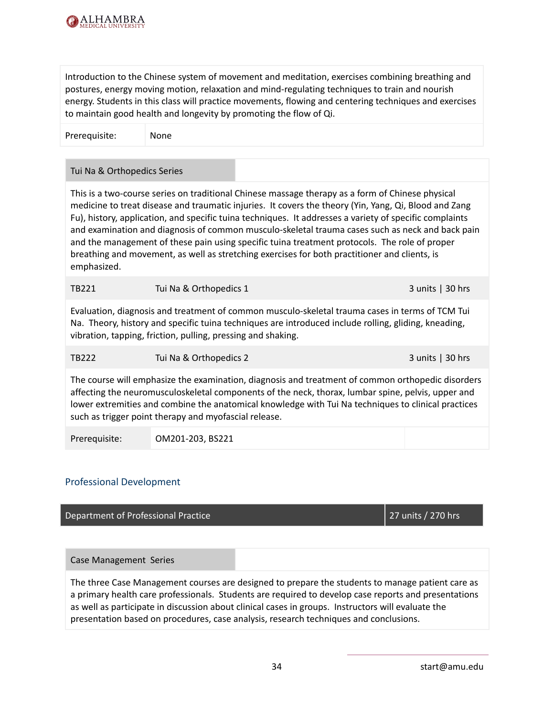

Introduction to the Chinese system of movement and meditation, exercises combining breathing and postures, energy moving motion, relaxation and mind-regulating techniques to train and nourish energy. Students in this class will practice movements, flowing and centering techniques and exercises to maintain good health and longevity by promoting the flow of Qi.

Prerequisite: None

#### Tui Na & Orthopedics Series

This is a two-course series on traditional Chinese massage therapy as a form of Chinese physical medicine to treat disease and traumatic injuries. It covers the theory (Yin, Yang, Qi, Blood and Zang Fu), history, application, and specific tuina techniques. It addresses a variety of specific complaints and examination and diagnosis of common musculo-skeletal trauma cases such as neck and back pain and the management of these pain using specific tuina treatment protocols. The role of proper breathing and movement, as well as stretching exercises for both practitioner and clients, is emphasized.

| <b>TB221</b><br>Tui Na & Orthopedics 1 | $3$ units $ 30$ hrs |
|----------------------------------------|---------------------|
|----------------------------------------|---------------------|

Evaluation, diagnosis and treatment of common musculo-skeletal trauma cases in terms of TCM Tui Na. Theory, history and specific tuina techniques are introduced include rolling, gliding, kneading, vibration, tapping, friction, pulling, pressing and shaking.

TB222 Tui Na & Orthopedics 2 3 units | 30 hrs

The course will emphasize the examination, diagnosis and treatment of common orthopedic disorders affecting the neuromusculoskeletal components of the neck, thorax, lumbar spine, pelvis, upper and lower extremities and combine the anatomical knowledge with Tui Na techniques to clinical practices such as trigger point therapy and myofascial release.

Prerequisite: OM201-203, BS221

#### <span id="page-34-0"></span>Professional Development

Department of Professional Practice 27 units / 270 hrs

Case Management Series

The three Case Management courses are designed to prepare the students to manage patient care as a primary health care professionals. Students are required to develop case reports and presentations as well as participate in discussion about clinical cases in groups. Instructors will evaluate the presentation based on procedures, case analysis, research techniques and conclusions.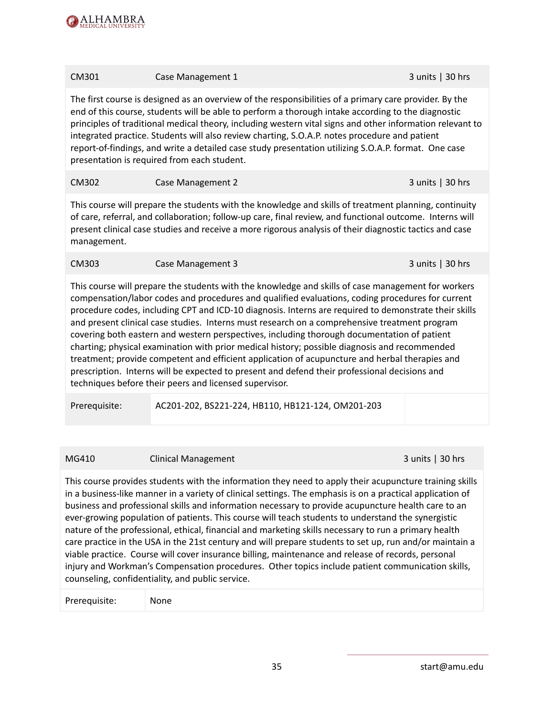

| CM301                                                                                                                                                                                                                                                                                                                                                                                                                                                                                                                                                                                                                                                                                                                                                                                                                                                                         | Case Management 1                                 | 3 units   30 hrs  |
|-------------------------------------------------------------------------------------------------------------------------------------------------------------------------------------------------------------------------------------------------------------------------------------------------------------------------------------------------------------------------------------------------------------------------------------------------------------------------------------------------------------------------------------------------------------------------------------------------------------------------------------------------------------------------------------------------------------------------------------------------------------------------------------------------------------------------------------------------------------------------------|---------------------------------------------------|-------------------|
| The first course is designed as an overview of the responsibilities of a primary care provider. By the<br>end of this course, students will be able to perform a thorough intake according to the diagnostic<br>principles of traditional medical theory, including western vital signs and other information relevant to<br>integrated practice. Students will also review charting, S.O.A.P. notes procedure and patient<br>report-of-findings, and write a detailed case study presentation utilizing S.O.A.P. format. One case<br>presentation is required from each student.                                                                                                                                                                                                                                                                                             |                                                   |                   |
| CM302                                                                                                                                                                                                                                                                                                                                                                                                                                                                                                                                                                                                                                                                                                                                                                                                                                                                         | Case Management 2                                 | 3 units $ 30$ hrs |
| This course will prepare the students with the knowledge and skills of treatment planning, continuity<br>of care, referral, and collaboration; follow-up care, final review, and functional outcome. Interns will<br>present clinical case studies and receive a more rigorous analysis of their diagnostic tactics and case<br>management.                                                                                                                                                                                                                                                                                                                                                                                                                                                                                                                                   |                                                   |                   |
| CM303                                                                                                                                                                                                                                                                                                                                                                                                                                                                                                                                                                                                                                                                                                                                                                                                                                                                         | Case Management 3                                 | 3 units   30 hrs  |
| This course will prepare the students with the knowledge and skills of case management for workers<br>compensation/labor codes and procedures and qualified evaluations, coding procedures for current<br>procedure codes, including CPT and ICD-10 diagnosis. Interns are required to demonstrate their skills<br>and present clinical case studies. Interns must research on a comprehensive treatment program<br>covering both eastern and western perspectives, including thorough documentation of patient<br>charting; physical examination with prior medical history; possible diagnosis and recommended<br>treatment; provide competent and efficient application of acupuncture and herbal therapies and<br>prescription. Interns will be expected to present and defend their professional decisions and<br>techniques before their peers and licensed supervisor. |                                                   |                   |
| Prerequisite:                                                                                                                                                                                                                                                                                                                                                                                                                                                                                                                                                                                                                                                                                                                                                                                                                                                                 | AC201-202, BS221-224, HB110, HB121-124, OM201-203 |                   |

#### MG410 Clinical Management 3 units | 30 hrs

This course provides students with the information they need to apply their acupuncture training skills in a business-like manner in a variety of clinical settings. The emphasis is on a practical application of business and professional skills and information necessary to provide acupuncture health care to an ever-growing population of patients. This course will teach students to understand the synergistic nature of the professional, ethical, financial and marketing skills necessary to run a primary health care practice in the USA in the 21st century and will prepare students to set up, run and/or maintain a viable practice. Course will cover insurance billing, maintenance and release of records, personal injury and Workman's Compensation procedures. Other topics include patient communication skills, counseling, confidentiality, and public service.

Prerequisite: None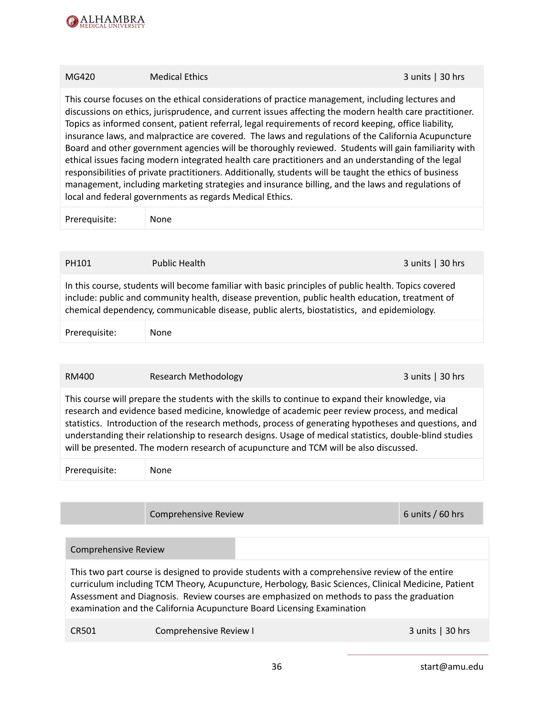

# MG420 Medical Ethics 3 units | 30 hrs This course focuses on the ethical considerations of practice management, including lectures and discussions on ethics, jurisprudence, and current issues affecting the modern health care practitioner. Topics as informed consent, patient referral, legal requirements of record keeping, office liability, insurance laws, and malpractice are covered. The laws and regulations of the California Acupuncture Board and other government agencies will be thoroughly reviewed. Students will gain familiarity with ethical issues facing modern integrated health care practitioners and an understanding of the legal responsibilities of private practitioners. Additionally, students will be taught the ethics of business management, including marketing strategies and insurance billing, and the laws and regulations of local and federal governments as regards Medical Ethics. Prerequisite: None PH101 Public Health 30 hrs In this course, students will become familiar with basic principles of public health. Topics covered include: public and community health, disease prevention, public health education, treatment of chemical dependency, communicable disease, public alerts, biostatistics, and epidemiology. Prerequisite: None

RM400 Research Methodology 3 units | 30 hrs

This course will prepare the students with the skills to continue to expand their knowledge, via research and evidence based medicine, knowledge of academic peer review process, and medical statistics. Introduction of the research methods, process of generating hypotheses and questions, and understanding their relationship to research designs. Usage of medical statistics, double-blind studies will be presented. The modern research of acupuncture and TCM will be also discussed.

Prerequisite: None

Comprehensive Review 6 units / 60 hrs

#### Comprehensive Review

This two part course is designed to provide students with a comprehensive review of the entire curriculum including TCM Theory, Acupuncture, Herbology, Basic Sciences, Clinical Medicine, Patient Assessment and Diagnosis. Review courses are emphasized on methods to pass the graduation examination and the California Acupuncture Board Licensing Examination

CR501 Comprehensive Review I 3 units | 30 hrs

36 start@amu.edu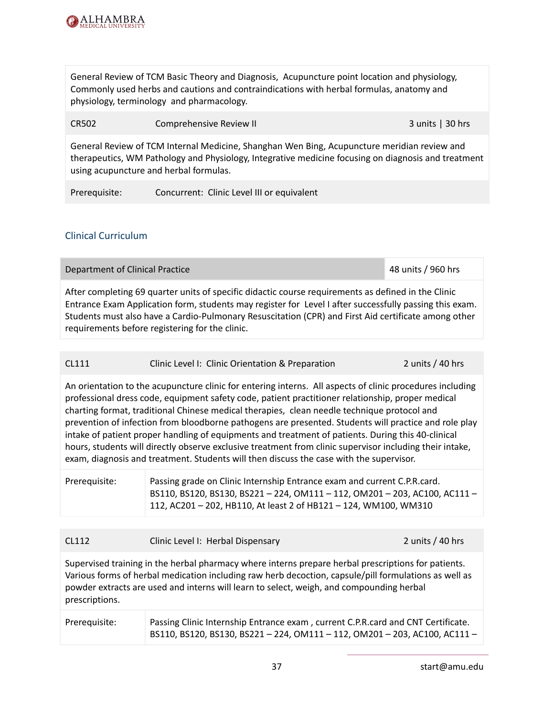

General Review of TCM Basic Theory and Diagnosis, Acupuncture point location and physiology, Commonly used herbs and cautions and contraindications with herbal formulas, anatomy and physiology, terminology and pharmacology.

CR502 Comprehensive Review II 3 units | 30 hrs

General Review of TCM Internal Medicine, Shanghan Wen Bing, Acupuncture meridian review and therapeutics, WM Pathology and Physiology, Integrative medicine focusing on diagnosis and treatment using acupuncture and herbal formulas.

Prerequisite: Concurrent: Clinic Level III or equivalent

#### Clinical Curriculum

After completing 69 quarter units of specific didactic course requirements as defined in the Clinic Entrance Exam Application form, students may register for Level I after successfully passing this exam. Students must also have a Cardio-Pulmonary Resuscitation (CPR) and First Aid certificate among other requirements before registering for the clinic.

Department of Clinical Practice 48 units / 960 hrs

| CL111<br>2 units / 40 hrs<br>Clinic Level I: Clinic Orientation & Preparation |
|-------------------------------------------------------------------------------|
|-------------------------------------------------------------------------------|

An orientation to the acupuncture clinic for entering interns. All aspects of clinic procedures including professional dress code, equipment safety code, patient practitioner relationship, proper medical charting format, traditional Chinese medical therapies, clean needle technique protocol and prevention of infection from bloodborne pathogens are presented. Students will practice and role play intake of patient proper handling of equipments and treatment of patients. During this 40-clinical hours, students will directly observe exclusive treatment from clinic supervisor including their intake, exam, diagnosis and treatment. Students will then discuss the case with the supervisor.

| Prerequisite: | Passing grade on Clinic Internship Entrance exam and current C.P.R.card.<br>BS110, BS120, BS130, BS221-224, OM111-112, OM201-203, AC100, AC111- |
|---------------|-------------------------------------------------------------------------------------------------------------------------------------------------|
|               | 112, AC201 - 202, HB110, At least 2 of HB121 - 124, WM100, WM310                                                                                |

| CL112 | Clinic Level I: Herbal Dispensary |  |
|-------|-----------------------------------|--|
|       |                                   |  |

Supervised training in the herbal pharmacy where interns prepare herbal prescriptions for patients. Various forms of herbal medication including raw herb decoction, capsule/pill formulations as well as powder extracts are used and interns will learn to select, weigh, and compounding herbal prescriptions.

| Prerequisite: | Passing Clinic Internship Entrance exam, current C.P.R.card and CNT Certificate. |
|---------------|----------------------------------------------------------------------------------|
|               | BS110, BS120, BS130, BS221 - 224, OM111 - 112, OM201 - 203, AC100, AC111 -       |

 $2$  units / 40 hrs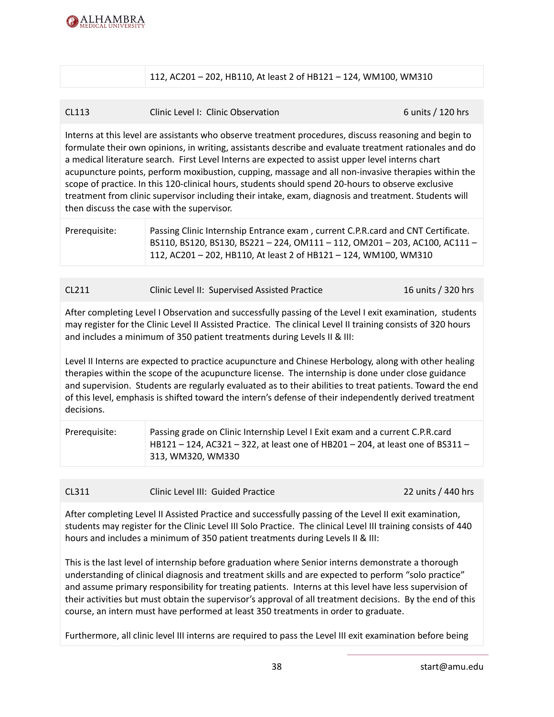

112, AC201 – 202, HB110, At least 2 of HB121 – 124, WM100, WM310

#### CL113 Clinic Level I: Clinic Observation 6 units / 120 hrs

Interns at this level are assistants who observe treatment procedures, discuss reasoning and begin to formulate their own opinions, in writing, assistants describe and evaluate treatment rationales and do a medical literature search. First Level Interns are expected to assist upper level interns chart acupuncture points, perform moxibustion, cupping, massage and all non-invasive therapies within the scope of practice. In this 120-clinical hours, students should spend 20-hours to observe exclusive treatment from clinic supervisor including their intake, exam, diagnosis and treatment. Students will then discuss the case with the supervisor.

| Prerequisite: | Passing Clinic Internship Entrance exam, current C.P.R.card and CNT Certificate.<br>BS110, BS120, BS130, BS221 - 224, OM111 - 112, OM201 - 203, AC100, AC111 -<br>112, AC201 - 202, HB110, At least 2 of HB121 - 124, WM100, WM310 |
|---------------|------------------------------------------------------------------------------------------------------------------------------------------------------------------------------------------------------------------------------------|
|               |                                                                                                                                                                                                                                    |

| CL211 | Clinic Level II: Supervised Assisted Practice | 16 units / 320 hrs |
|-------|-----------------------------------------------|--------------------|
|       |                                               |                    |

After completing Level I Observation and successfully passing of the Level I exit examination, students may register for the Clinic Level II Assisted Practice. The clinical Level II training consists of 320 hours and includes a minimum of 350 patient treatments during Levels II & III:

Level II Interns are expected to practice acupuncture and Chinese Herbology, along with other healing therapies within the scope of the acupuncture license. The internship is done under close guidance and supervision. Students are regularly evaluated as to their abilities to treat patients. Toward the end of this level, emphasis is shifted toward the intern's defense of their independently derived treatment decisions.

| Prerequisite: | Passing grade on Clinic Internship Level I Exit exam and a current C.P.R.card  |
|---------------|--------------------------------------------------------------------------------|
|               | HB121 – 124, AC321 – 322, at least one of HB201 – 204, at least one of BS311 – |
|               | 313, WM320, WM330                                                              |

| CL311<br>Clinic Level III: Guided Practice | 22 units / 440 hrs |
|--------------------------------------------|--------------------|
|--------------------------------------------|--------------------|

After completing Level II Assisted Practice and successfully passing of the Level II exit examination, students may register for the Clinic Level III Solo Practice. The clinical Level III training consists of 440 hours and includes a minimum of 350 patient treatments during Levels II & III:

This is the last level of internship before graduation where Senior interns demonstrate a thorough understanding of clinical diagnosis and treatment skills and are expected to perform "solo practice" and assume primary responsibility for treating patients. Interns at this level have less supervision of their activities but must obtain the supervisor's approval of all treatment decisions. By the end of this course, an intern must have performed at least 350 treatments in order to graduate.

Furthermore, all clinic level III interns are required to pass the Level III exit examination before being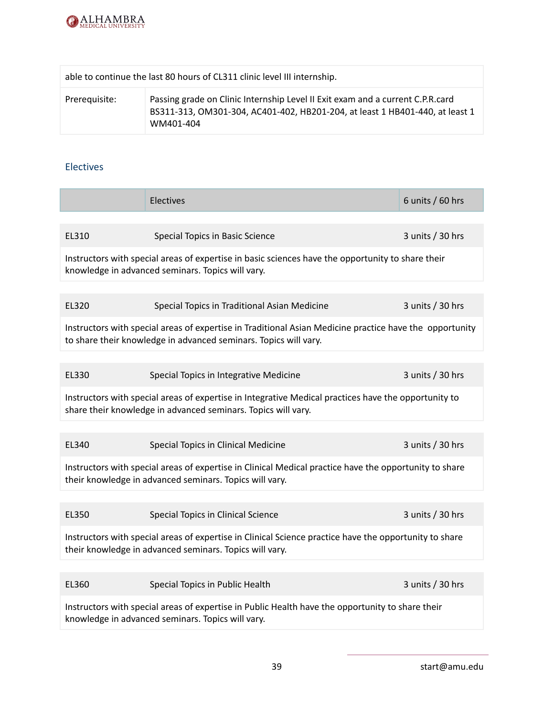

|               | able to continue the last 80 hours of CL311 clinic level III internship.                                                                                                     |
|---------------|------------------------------------------------------------------------------------------------------------------------------------------------------------------------------|
| Prerequisite: | Passing grade on Clinic Internship Level II Exit exam and a current C.P.R. card<br>BS311-313, OM301-304, AC401-402, HB201-204, at least 1 HB401-440, at least 1<br>WM401-404 |

#### Electives

|                                                                                                                                                                             | Electives                                    | 6 units $/$ 60 hrs |  |
|-----------------------------------------------------------------------------------------------------------------------------------------------------------------------------|----------------------------------------------|--------------------|--|
|                                                                                                                                                                             |                                              |                    |  |
| EL310                                                                                                                                                                       | Special Topics in Basic Science              | 3 units / 30 hrs   |  |
| Instructors with special areas of expertise in basic sciences have the opportunity to share their<br>knowledge in advanced seminars. Topics will vary.                      |                                              |                    |  |
|                                                                                                                                                                             |                                              |                    |  |
| EL320                                                                                                                                                                       | Special Topics in Traditional Asian Medicine | 3 units / 30 hrs   |  |
| Instructors with special areas of expertise in Traditional Asian Medicine practice have the opportunity<br>to share their knowledge in advanced seminars. Topics will vary. |                                              |                    |  |
|                                                                                                                                                                             |                                              |                    |  |
| EL330                                                                                                                                                                       | Special Topics in Integrative Medicine       | 3 units $/$ 30 hrs |  |
| Instructors with special areas of expertise in Integrative Medical practices have the opportunity to<br>share their knowledge in advanced seminars. Topics will vary.       |                                              |                    |  |
|                                                                                                                                                                             |                                              |                    |  |
| EL340                                                                                                                                                                       | Special Topics in Clinical Medicine          | 3 units / 30 hrs   |  |
| Instructors with special areas of expertise in Clinical Medical practice have the opportunity to share<br>their knowledge in advanced seminars. Topics will vary.           |                                              |                    |  |
|                                                                                                                                                                             |                                              |                    |  |
| EL350                                                                                                                                                                       | Special Topics in Clinical Science           | 3 units / 30 hrs   |  |
| Instructors with special areas of expertise in Clinical Science practice have the opportunity to share<br>their knowledge in advanced seminars. Topics will vary.           |                                              |                    |  |
|                                                                                                                                                                             |                                              |                    |  |
| EL360                                                                                                                                                                       | Special Topics in Public Health              | 3 units / 30 hrs   |  |
| Instructors with special areas of expertise in Public Health have the opportunity to share their<br>knowledge in advanced seminars. Topics will vary.                       |                                              |                    |  |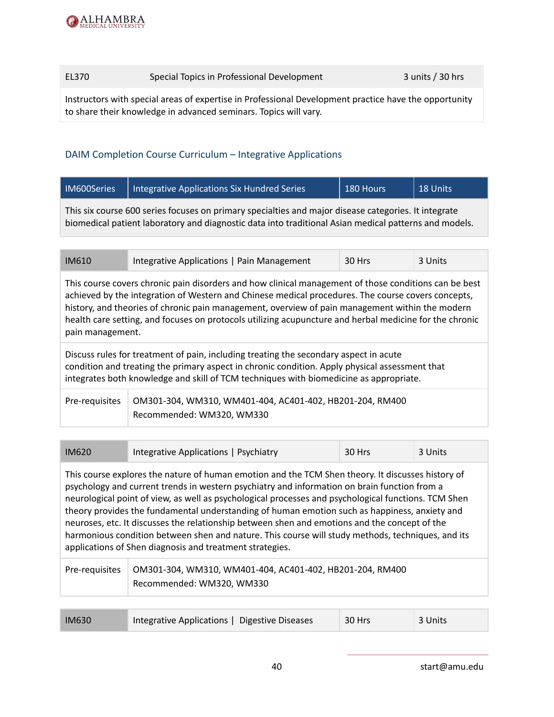| EL370 | Special Topics in Professional Development | $3$ units / 30 hrs |
|-------|--------------------------------------------|--------------------|
|-------|--------------------------------------------|--------------------|

Instructors with special areas of expertise in Professional Development practice have the opportunity to share their knowledge in advanced seminars. Topics will vary.

#### DAIM Completion Course Curriculum – Integrative Applications

| IM600Series                                                                                          | Integrative Applications Six Hundred Series | 180 Hours | 18 Units |  |
|------------------------------------------------------------------------------------------------------|---------------------------------------------|-----------|----------|--|
| This six course 600 series focuses on primary specialties and major disease categories. It integrate |                                             |           |          |  |

biomedical patient laboratory and diagnostic data into traditional Asian medical patterns and models.

| <b>IM610</b> | Integrative Applications   Pain Management | 30 Hrs | 3 Units |
|--------------|--------------------------------------------|--------|---------|
|              |                                            |        |         |

This course covers chronic pain disorders and how clinical management of those conditions can be best achieved by the integration of Western and Chinese medical procedures. The course covers concepts, history, and theories of chronic pain management, overview of pain management within the modern health care setting, and focuses on protocols utilizing acupuncture and herbal medicine for the chronic pain management.

Discuss rules for treatment of pain, including treating the secondary aspect in acute condition and treating the primary aspect in chronic condition. Apply physical assessment that integrates both knowledge and skill of TCM techniques with biomedicine as appropriate.

| Pre-requisites   OM301-304, WM310, WM401-404, AC401-402, HB201-204, RM400 |
|---------------------------------------------------------------------------|
| Recommended: WM320, WM330                                                 |

| IM620                                                                                                                                                                                                                                                                                                                                                                                                                                                                                                                                                                                                                                                                        | Integrative Applications   Psychiatry                                                 | 30 Hrs | 3 Units |
|------------------------------------------------------------------------------------------------------------------------------------------------------------------------------------------------------------------------------------------------------------------------------------------------------------------------------------------------------------------------------------------------------------------------------------------------------------------------------------------------------------------------------------------------------------------------------------------------------------------------------------------------------------------------------|---------------------------------------------------------------------------------------|--------|---------|
| This course explores the nature of human emotion and the TCM Shen theory. It discusses history of<br>psychology and current trends in western psychiatry and information on brain function from a<br>neurological point of view, as well as psychological processes and psychological functions. TCM Shen<br>theory provides the fundamental understanding of human emotion such as happiness, anxiety and<br>neuroses, etc. It discusses the relationship between shen and emotions and the concept of the<br>harmonious condition between shen and nature. This course will study methods, techniques, and its<br>applications of Shen diagnosis and treatment strategies. |                                                                                       |        |         |
| Pre-requisites                                                                                                                                                                                                                                                                                                                                                                                                                                                                                                                                                                                                                                                               | OM301-304, WM310, WM401-404, AC401-402, HB201-204, RM400<br>Recommended: WM320, WM330 |        |         |

| <b>IM630</b> | Integrative Applications   Digestive Diseases | 30 Hrs | 3 Units |
|--------------|-----------------------------------------------|--------|---------|
|--------------|-----------------------------------------------|--------|---------|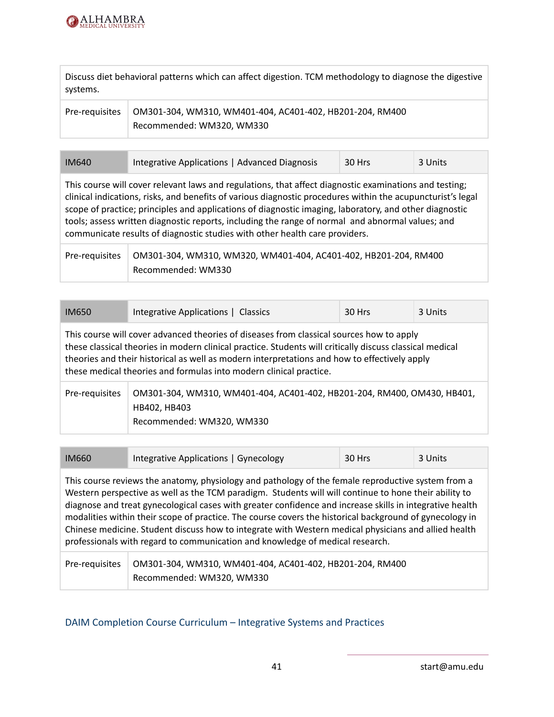

Discuss diet behavioral patterns which can affect digestion. TCM methodology to diagnose the digestive systems.

| Pre-requisites   OM301-304, WM310, WM401-404, AC401-402, HB201-204, RM400 |
|---------------------------------------------------------------------------|
| Recommended: WM320, WM330                                                 |

| <b>IM640</b> | Integrative Applications   Advanced Diagnosis | 30 Hrs | ∣ 3 Units |
|--------------|-----------------------------------------------|--------|-----------|
|              |                                               |        |           |

This course will cover relevant laws and regulations, that affect diagnostic examinations and testing; clinical indications, risks, and benefits of various diagnostic procedures within the acupuncturist's legal scope of practice; principles and applications of diagnostic imaging, laboratory, and other diagnostic tools; assess written diagnostic reports, including the range of normal and abnormal values; and communicate results of diagnostic studies with other health care providers.

| Pre-requisites | 0M301-304, WM310, WM320, WM401-404, AC401-402, HB201-204, RM400 |
|----------------|-----------------------------------------------------------------|
|                | Recommended: WM330                                              |

| <b>IM650</b>                                                                                                                                                                                                                                                                                                                                                               | Integrative Applications   Classics | 30 Hrs | 3 Units |
|----------------------------------------------------------------------------------------------------------------------------------------------------------------------------------------------------------------------------------------------------------------------------------------------------------------------------------------------------------------------------|-------------------------------------|--------|---------|
| This course will cover advanced theories of diseases from classical sources how to apply<br>these classical theories in modern clinical practice. Students will critically discuss classical medical<br>theories and their historical as well as modern interpretations and how to effectively apply<br>these medical theories and formulas into modern clinical practice. |                                     |        |         |
| OM301-304, WM310, WM401-404, AC401-402, HB201-204, RM400, OM430, HB401,<br>Pre-requisites<br>HB402, HB403<br>Recommended: WM320, WM330                                                                                                                                                                                                                                     |                                     |        |         |

| <b>IM660</b> | Integrative Applications   Gynecology | 30 Hrs | 3 Units |
|--------------|---------------------------------------|--------|---------|
|              |                                       |        |         |

This course reviews the anatomy, physiology and pathology of the female reproductive system from a Western perspective as well as the TCM paradigm. Students will will continue to hone their ability to diagnose and treat gynecological cases with greater confidence and increase skills in integrative health modalities within their scope of practice. The course covers the historical background of gynecology in Chinese medicine. Student discuss how to integrate with Western medical physicians and allied health professionals with regard to communication and knowledge of medical research.

Pre-requisites | OM301-304, WM310, WM401-404, AC401-402, HB201-204, RM400 Recommended: WM320, WM330

### DAIM Completion Course Curriculum – Integrative Systems and Practices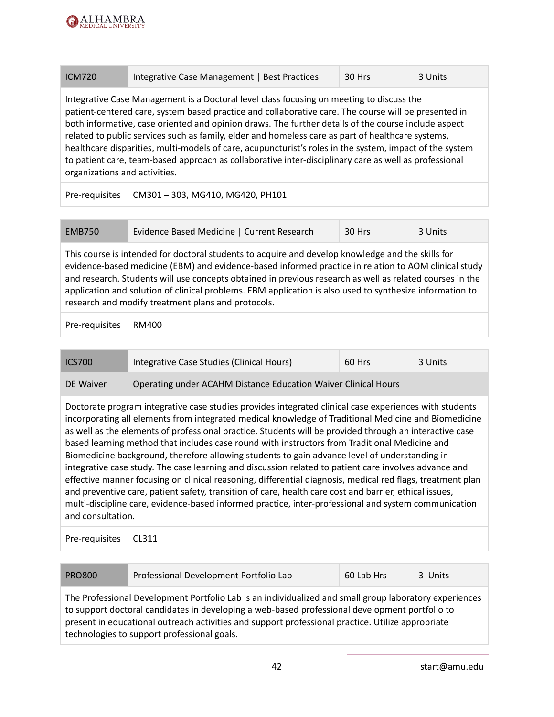

| <b>ICM720</b> | Integrative Case Management   Best Practices | 30 Hrs | 3 Units |
|---------------|----------------------------------------------|--------|---------|
|               |                                              |        |         |

Integrative Case Management is a Doctoral level class focusing on meeting to discuss the patient-centered care, system based practice and collaborative care. The course will be presented in both informative, case oriented and opinion draws. The further details of the course include aspect related to public services such as family, elder and homeless care as part of healthcare systems, healthcare disparities, multi-models of care, acupuncturist's roles in the system, impact of the system to patient care, team-based approach as collaborative inter-disciplinary care as well as professional organizations and activities.

Pre-requisites  $\vert$  CM301 – 303, MG410, MG420, PH101

| EMB750 | Evidence Based Medicine   Current Research | 30 Hrs | 3 Units |
|--------|--------------------------------------------|--------|---------|
|        |                                            |        |         |

This course is intended for doctoral students to acquire and develop knowledge and the skills for evidence-based medicine (EBM) and evidence-based informed practice in relation to AOM clinical study and research. Students will use concepts obtained in previous research as well as related courses in the application and solution of clinical problems. EBM application is also used to synthesize information to research and modify treatment plans and protocols.

Pre-requisites | RM400

| <b>ICS700</b> | Integrative Case Studies (Clinical Hours)                      | 60 Hrs | 3 Units |
|---------------|----------------------------------------------------------------|--------|---------|
| DE Waiver     | Operating under ACAHM Distance Education Waiver Clinical Hours |        |         |

Doctorate program integrative case studies provides integrated clinical case experiences with students incorporating all elements from integrated medical knowledge of Traditional Medicine and Biomedicine as well as the elements of professional practice. Students will be provided through an interactive case based learning method that includes case round with instructors from Traditional Medicine and Biomedicine background, therefore allowing students to gain advance level of understanding in integrative case study. The case learning and discussion related to patient care involves advance and effective manner focusing on clinical reasoning, differential diagnosis, medical red flags, treatment plan and preventive care, patient safety, transition of care, health care cost and barrier, ethical issues, multi-discipline care, evidence-based informed practice, inter-professional and system communication and consultation.

| Pre-requisites   CL311 |
|------------------------|
|------------------------|

| <b>PRO800</b>                                                                                          | Professional Development Portfolio Lab | 60 Lab Hrs | 3 Units |
|--------------------------------------------------------------------------------------------------------|----------------------------------------|------------|---------|
| The Professional Development Portfolio Lab is an individualized and small group laboratory experiences |                                        |            |         |
| to support doctoral candidates in developing a web-based professional development portfolio to         |                                        |            |         |
| present in educational outreach activities and support professional practice. Utilize appropriate      |                                        |            |         |
| technologies to support professional goals.                                                            |                                        |            |         |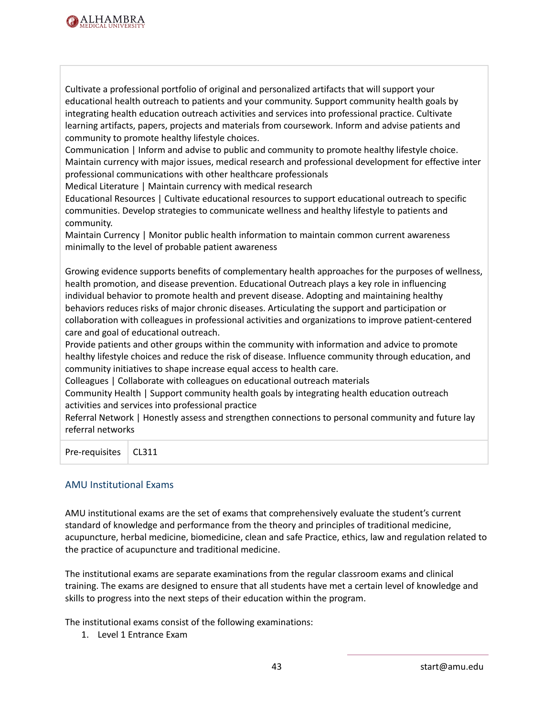

Cultivate a professional portfolio of original and personalized artifacts that will support your educational health outreach to patients and your community. Support community health goals by integrating health education outreach activities and services into professional practice. Cultivate learning artifacts, papers, projects and materials from coursework. Inform and advise patients and community to promote healthy lifestyle choices.

Communication | Inform and advise to public and community to promote healthy lifestyle choice. Maintain currency with major issues, medical research and professional development for effective inter professional communications with other healthcare professionals

Medical Literature | Maintain currency with medical research

Educational Resources | Cultivate educational resources to support educational outreach to specific communities. Develop strategies to communicate wellness and healthy lifestyle to patients and community.

Maintain Currency | Monitor public health information to maintain common current awareness minimally to the level of probable patient awareness

Growing evidence supports benefits of complementary health approaches for the purposes of wellness, health promotion, and disease prevention. Educational Outreach plays a key role in influencing individual behavior to promote health and prevent disease. Adopting and maintaining healthy behaviors reduces risks of major chronic diseases. Articulating the support and participation or collaboration with colleagues in professional activities and organizations to improve patient-centered care and goal of educational outreach.

Provide patients and other groups within the community with information and advice to promote healthy lifestyle choices and reduce the risk of disease. Influence community through education, and community initiatives to shape increase equal access to health care.

Colleagues | Collaborate with colleagues on educational outreach materials

Community Health | Support community health goals by integrating health education outreach activities and services into professional practice

Referral Network | Honestly assess and strengthen connections to personal community and future lay referral networks

Pre-requisites | CL311

#### AMU Institutional Exams

AMU institutional exams are the set of exams that comprehensively evaluate the student's current standard of knowledge and performance from the theory and principles of traditional medicine, acupuncture, herbal medicine, biomedicine, clean and safe Practice, ethics, law and regulation related to the practice of acupuncture and traditional medicine.

The institutional exams are separate examinations from the regular classroom exams and clinical training. The exams are designed to ensure that all students have met a certain level of knowledge and skills to progress into the next steps of their education within the program.

The institutional exams consist of the following examinations:

1. Level 1 Entrance Exam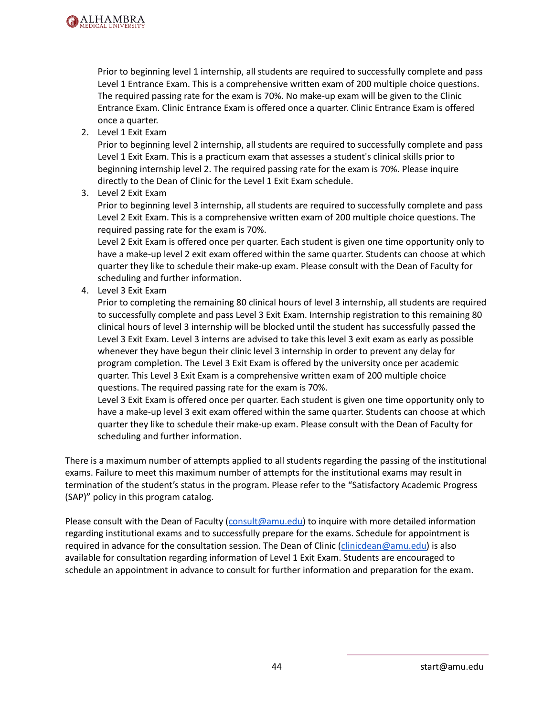

Prior to beginning level 1 internship, all students are required to successfully complete and pass Level 1 Entrance Exam. This is a comprehensive written exam of 200 multiple choice questions. The required passing rate for the exam is 70%. No make-up exam will be given to the Clinic Entrance Exam. Clinic Entrance Exam is offered once a quarter. Clinic Entrance Exam is offered once a quarter.

2. Level 1 Exit Exam

Prior to beginning level 2 internship, all students are required to successfully complete and pass Level 1 Exit Exam. This is a practicum exam that assesses a student's clinical skills prior to beginning internship level 2. The required passing rate for the exam is 70%. Please inquire directly to the Dean of Clinic for the Level 1 Exit Exam schedule.

3. Level 2 Exit Exam

Prior to beginning level 3 internship, all students are required to successfully complete and pass Level 2 Exit Exam. This is a comprehensive written exam of 200 multiple choice questions. The required passing rate for the exam is 70%.

Level 2 Exit Exam is offered once per quarter. Each student is given one time opportunity only to have a make-up level 2 exit exam offered within the same quarter. Students can choose at which quarter they like to schedule their make-up exam. Please consult with the Dean of Faculty for scheduling and further information.

4. Level 3 Exit Exam

Prior to completing the remaining 80 clinical hours of level 3 internship, all students are required to successfully complete and pass Level 3 Exit Exam. Internship registration to this remaining 80 clinical hours of level 3 internship will be blocked until the student has successfully passed the Level 3 Exit Exam. Level 3 interns are advised to take this level 3 exit exam as early as possible whenever they have begun their clinic level 3 internship in order to prevent any delay for program completion. The Level 3 Exit Exam is offered by the university once per academic quarter. This Level 3 Exit Exam is a comprehensive written exam of 200 multiple choice questions. The required passing rate for the exam is 70%.

Level 3 Exit Exam is offered once per quarter. Each student is given one time opportunity only to have a make-up level 3 exit exam offered within the same quarter. Students can choose at which quarter they like to schedule their make-up exam. Please consult with the Dean of Faculty for scheduling and further information.

There is a maximum number of attempts applied to all students regarding the passing of the institutional exams. Failure to meet this maximum number of attempts for the institutional exams may result in termination of the student's status in the program. Please refer to the "Satisfactory Academic Progress (SAP)" policy in this program catalog.

Please consult with the Dean of Faculty ([consult@amu.edu\)](mailto:consult@amu.edu) to inquire with more detailed information regarding institutional exams and to successfully prepare for the exams. Schedule for appointment is required in advance for the consultation session. The Dean of Clinic [\(clinicdean@amu.edu\)](mailto:clinicdean@amu.edu) is also available for consultation regarding information of Level 1 Exit Exam. Students are encouraged to schedule an appointment in advance to consult for further information and preparation for the exam.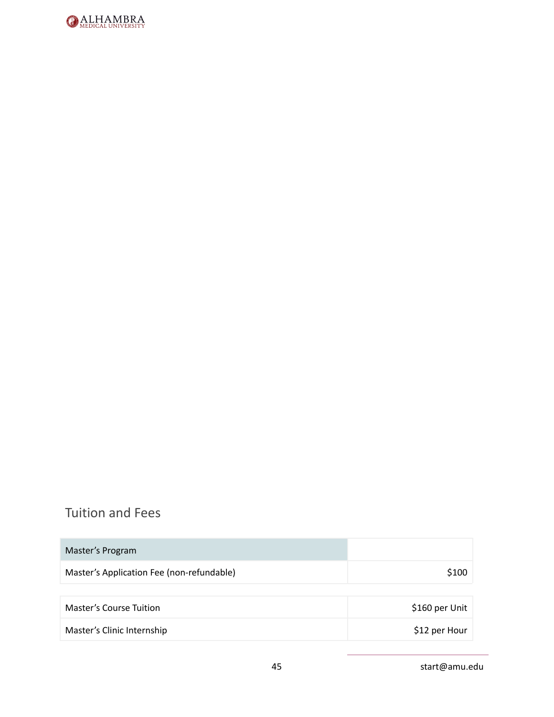

# Tuition and Fees

| Master's Program                          |                |
|-------------------------------------------|----------------|
| Master's Application Fee (non-refundable) | \$100          |
|                                           |                |
| <b>Master's Course Tuition</b>            | \$160 per Unit |
| Master's Clinic Internship                | \$12 per Hour  |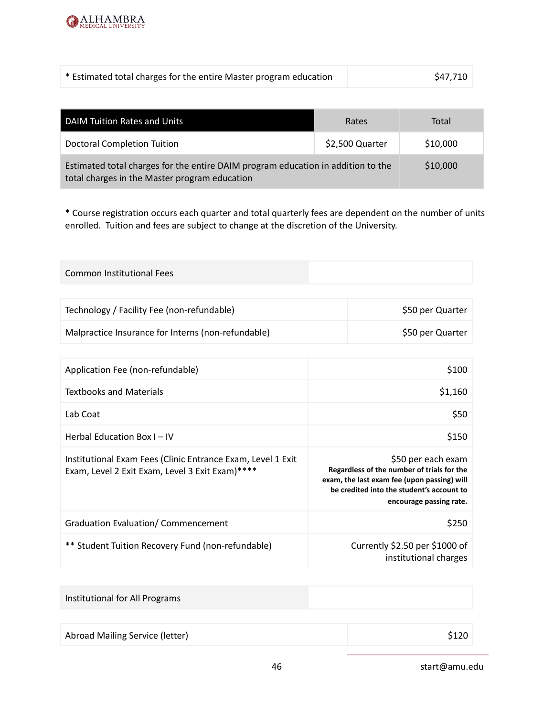

| * Estimated total charges for the entire Master program education | \$47,710 |
|-------------------------------------------------------------------|----------|
|-------------------------------------------------------------------|----------|

| DAIM Tuition Rates and Units                                                                                                      | Rates           | Total    |
|-----------------------------------------------------------------------------------------------------------------------------------|-----------------|----------|
| <b>Doctoral Completion Tuition</b>                                                                                                | \$2,500 Quarter | \$10,000 |
| Estimated total charges for the entire DAIM program education in addition to the<br>total charges in the Master program education | \$10,000        |          |

\* Course registration occurs each quarter and total quarterly fees are dependent on the number of units enrolled. Tuition and fees are subject to change at the discretion of the University.

| <b>Common Institutional Fees</b>                                                                               |                                                                                                                                                                                         |                  |
|----------------------------------------------------------------------------------------------------------------|-----------------------------------------------------------------------------------------------------------------------------------------------------------------------------------------|------------------|
|                                                                                                                |                                                                                                                                                                                         |                  |
| Technology / Facility Fee (non-refundable)                                                                     |                                                                                                                                                                                         | \$50 per Quarter |
| Malpractice Insurance for Interns (non-refundable)                                                             |                                                                                                                                                                                         | \$50 per Quarter |
|                                                                                                                |                                                                                                                                                                                         |                  |
| Application Fee (non-refundable)                                                                               |                                                                                                                                                                                         | \$100            |
| <b>Textbooks and Materials</b>                                                                                 |                                                                                                                                                                                         | \$1,160          |
| Lab Coat                                                                                                       |                                                                                                                                                                                         | \$50             |
| Herbal Education Box I - IV                                                                                    |                                                                                                                                                                                         | \$150            |
| Institutional Exam Fees (Clinic Entrance Exam, Level 1 Exit<br>Exam, Level 2 Exit Exam, Level 3 Exit Exam)**** | \$50 per each exam<br>Regardless of the number of trials for the<br>exam, the last exam fee (upon passing) will<br>be credited into the student's account to<br>encourage passing rate. |                  |
| <b>Graduation Evaluation/ Commencement</b>                                                                     |                                                                                                                                                                                         | \$250            |
| ** Student Tuition Recovery Fund (non-refundable)                                                              | Currently \$2.50 per \$1000 of<br>institutional charges                                                                                                                                 |                  |
|                                                                                                                |                                                                                                                                                                                         |                  |

| Institutional for All Programs  |       |
|---------------------------------|-------|
|                                 |       |
| Abroad Mailing Service (letter) | \$120 |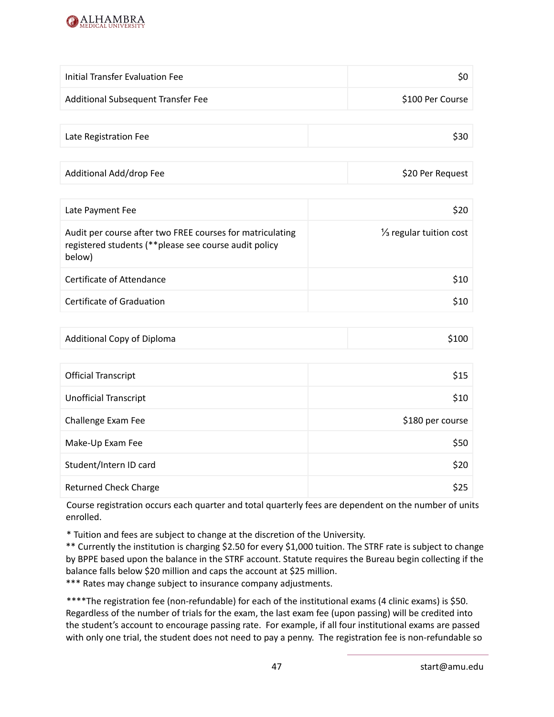

| Initial Transfer Evaluation Fee    | \$0              |
|------------------------------------|------------------|
| Additional Subsequent Transfer Fee | \$100 Per Course |

| Late Registration Fee | \$30 |
|-----------------------|------|
|                       |      |

| Additional Add/drop Fee | \$20 Per Request |
|-------------------------|------------------|
|-------------------------|------------------|

| Late Payment Fee                                                                                                              | S20                                |
|-------------------------------------------------------------------------------------------------------------------------------|------------------------------------|
| Audit per course after two FREE courses for matriculating<br>registered students (** please see course audit policy<br>below) | $\frac{1}{3}$ regular tuition cost |
| Certificate of Attendance                                                                                                     | <b>S10</b>                         |
| Certificate of Graduation                                                                                                     | \$10                               |

| Additional Copy of Diploma | \$100 |
|----------------------------|-------|
|----------------------------|-------|

| <b>Official Transcript</b>   | \$15             |
|------------------------------|------------------|
| <b>Unofficial Transcript</b> | \$10             |
| Challenge Exam Fee           | \$180 per course |
| Make-Up Exam Fee             | \$50             |
| Student/Intern ID card       | \$20             |
| <b>Returned Check Charge</b> | \$25             |

Course registration occurs each quarter and total quarterly fees are dependent on the number of units enrolled.

\* Tuition and fees are subject to change at the discretion of the University.

\*\* Currently the institution is charging \$2.50 for every \$1,000 tuition. The STRF rate is subject to change by BPPE based upon the balance in the STRF account. Statute requires the Bureau begin collecting if the balance falls below \$20 million and caps the account at \$25 million.

\*\*\* Rates may change subject to insurance company adjustments.

\*\*\*\*The registration fee (non-refundable) for each of the institutional exams (4 clinic exams) is \$50. Regardless of the number of trials for the exam, the last exam fee (upon passing) will be credited into the student's account to encourage passing rate. For example, if all four institutional exams are passed with only one trial, the student does not need to pay a penny. The registration fee is non-refundable so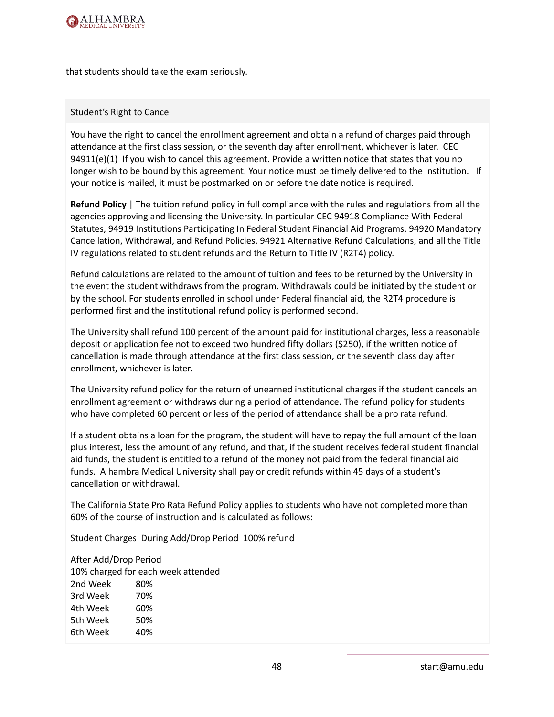

that students should take the exam seriously.

#### Student's Right to Cancel

You have the right to cancel the enrollment agreement and obtain a refund of charges paid through attendance at the first class session, or the seventh day after enrollment, whichever is later. CEC 94911(e)(1) If you wish to cancel this agreement. Provide a written notice that states that you no longer wish to be bound by this agreement. Your notice must be timely delivered to the institution. If your notice is mailed, it must be postmarked on or before the date notice is required.

**Refund Policy** | The tuition refund policy in full compliance with the rules and regulations from all the agencies approving and licensing the University. In particular CEC 94918 Compliance With Federal Statutes, 94919 Institutions Participating In Federal Student Financial Aid Programs, 94920 Mandatory Cancellation, Withdrawal, and Refund Policies, 94921 Alternative Refund Calculations, and all the Title IV regulations related to student refunds and the Return to Title IV (R2T4) policy.

Refund calculations are related to the amount of tuition and fees to be returned by the University in the event the student withdraws from the program. Withdrawals could be initiated by the student or by the school. For students enrolled in school under Federal financial aid, the R2T4 procedure is performed first and the institutional refund policy is performed second.

The University shall refund 100 percent of the amount paid for institutional charges, less a reasonable deposit or application fee not to exceed two hundred fifty dollars (\$250), if the written notice of cancellation is made through attendance at the first class session, or the seventh class day after enrollment, whichever is later.

The University refund policy for the return of unearned institutional charges if the student cancels an enrollment agreement or withdraws during a period of attendance. The refund policy for students who have completed 60 percent or less of the period of attendance shall be a pro rata refund.

If a student obtains a loan for the program, the student will have to repay the full amount of the loan plus interest, less the amount of any refund, and that, if the student receives federal student financial aid funds, the student is entitled to a refund of the money not paid from the federal financial aid funds. Alhambra Medical University shall pay or credit refunds within 45 days of a student's cancellation or withdrawal.

The California State Pro Rata Refund Policy applies to students who have not completed more than 60% of the course of instruction and is calculated as follows:

Student Charges During Add/Drop Period 100% refund

After Add/Drop Period 10% charged for each week attended 2nd Week 80% 3rd Week 70% 4th Week 60% 5th Week 50% 6th Week 40%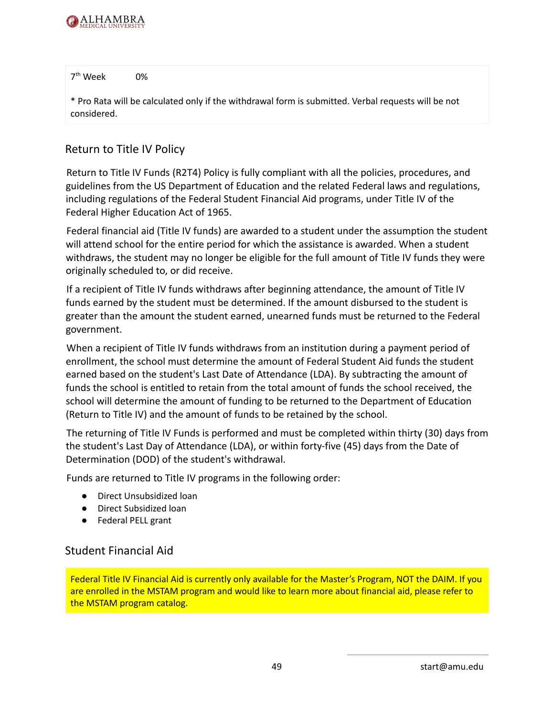

7 th Week 0%

\* Pro Rata will be calculated only if the withdrawal form is submitted. Verbal requests will be not considered.

#### Return to Title IV Policy

Return to Title IV Funds (R2T4) Policy is fully compliant with all the policies, procedures, and guidelines from the US Department of Education and the related Federal laws and regulations, including regulations of the Federal Student Financial Aid programs, under Title IV of the Federal Higher Education Act of 1965.

Federal financial aid (Title IV funds) are awarded to a student under the assumption the student will attend school for the entire period for which the assistance is awarded. When a student withdraws, the student may no longer be eligible for the full amount of Title IV funds they were originally scheduled to, or did receive.

If a recipient of Title IV funds withdraws after beginning attendance, the amount of Title IV funds earned by the student must be determined. If the amount disbursed to the student is greater than the amount the student earned, unearned funds must be returned to the Federal government.

When a recipient of Title IV funds withdraws from an institution during a payment period of enrollment, the school must determine the amount of Federal Student Aid funds the student earned based on the student's Last Date of Attendance (LDA). By subtracting the amount of funds the school is entitled to retain from the total amount of funds the school received, the school will determine the amount of funding to be returned to the Department of Education (Return to Title IV) and the amount of funds to be retained by the school.

The returning of Title IV Funds is performed and must be completed within thirty (30) days from the student's Last Day of Attendance (LDA), or within forty-five (45) days from the Date of Determination (DOD) of the student's withdrawal.

Funds are returned to Title IV programs in the following order:

- Direct Unsubsidized loan
- Direct Subsidized loan
- Federal PELL grant

### Student Financial Aid

Federal Title IV Financial Aid is currently only available for the Master's Program, NOT the DAIM. If you are enrolled in the MSTAM program and would like to learn more about financial aid, please refer to the MSTAM program catalog.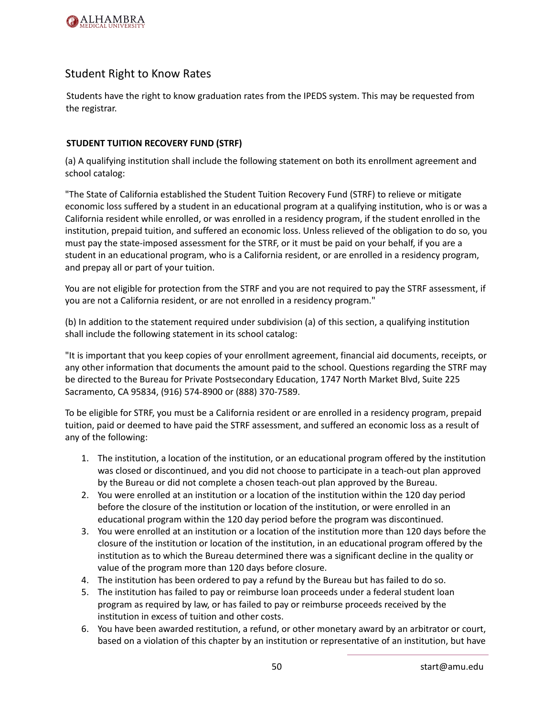

#### Student Right to Know Rates

Students have the right to know graduation rates from the IPEDS system. This may be requested from the registrar.

#### **STUDENT TUITION RECOVERY FUND (STRF)**

(a) A qualifying institution shall include the following statement on both its enrollment agreement and school catalog:

"The State of California established the Student Tuition Recovery Fund (STRF) to relieve or mitigate economic loss suffered by a student in an educational program at a qualifying institution, who is or was a California resident while enrolled, or was enrolled in a residency program, if the student enrolled in the institution, prepaid tuition, and suffered an economic loss. Unless relieved of the obligation to do so, you must pay the state-imposed assessment for the STRF, or it must be paid on your behalf, if you are a student in an educational program, who is a California resident, or are enrolled in a residency program, and prepay all or part of your tuition.

You are not eligible for protection from the STRF and you are not required to pay the STRF assessment, if you are not a California resident, or are not enrolled in a residency program."

(b) In addition to the statement required under subdivision (a) of this section, a qualifying institution shall include the following statement in its school catalog:

"It is important that you keep copies of your enrollment agreement, financial aid documents, receipts, or any other information that documents the amount paid to the school. Questions regarding the STRF may be directed to the Bureau for Private Postsecondary Education, 1747 North Market Blvd, Suite 225 Sacramento, CA 95834, (916) 574-8900 or (888) 370-7589.

To be eligible for STRF, you must be a California resident or are enrolled in a residency program, prepaid tuition, paid or deemed to have paid the STRF assessment, and suffered an economic loss as a result of any of the following:

- 1. The institution, a location of the institution, or an educational program offered by the institution was closed or discontinued, and you did not choose to participate in a teach-out plan approved by the Bureau or did not complete a chosen teach-out plan approved by the Bureau.
- 2. You were enrolled at an institution or a location of the institution within the 120 day period before the closure of the institution or location of the institution, or were enrolled in an educational program within the 120 day period before the program was discontinued.
- 3. You were enrolled at an institution or a location of the institution more than 120 days before the closure of the institution or location of the institution, in an educational program offered by the institution as to which the Bureau determined there was a significant decline in the quality or value of the program more than 120 days before closure.
- 4. The institution has been ordered to pay a refund by the Bureau but has failed to do so.
- 5. The institution has failed to pay or reimburse loan proceeds under a federal student loan program as required by law, or has failed to pay or reimburse proceeds received by the institution in excess of tuition and other costs.
- 6. You have been awarded restitution, a refund, or other monetary award by an arbitrator or court, based on a violation of this chapter by an institution or representative of an institution, but have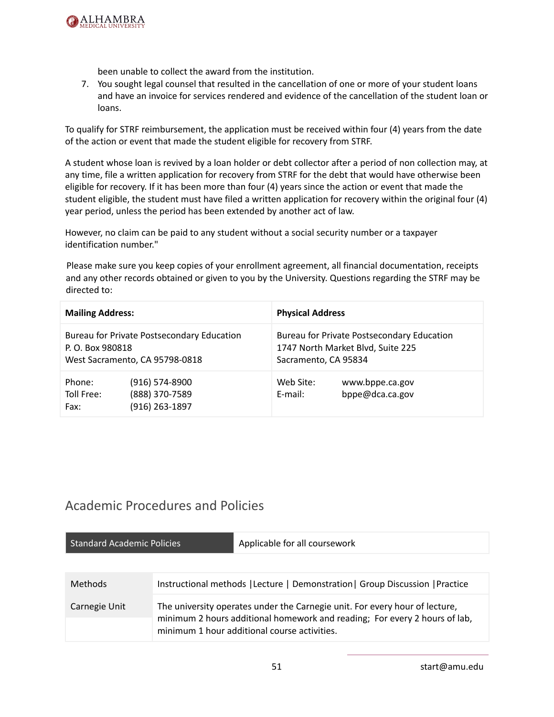

been unable to collect the award from the institution.

7. You sought legal counsel that resulted in the cancellation of one or more of your student loans and have an invoice for services rendered and evidence of the cancellation of the student loan or loans.

To qualify for STRF reimbursement, the application must be received within four (4) years from the date of the action or event that made the student eligible for recovery from STRF.

A student whose loan is revived by a loan holder or debt collector after a period of non collection may, at any time, file a written application for recovery from STRF for the debt that would have otherwise been eligible for recovery. If it has been more than four (4) years since the action or event that made the student eligible, the student must have filed a written application for recovery within the original four (4) year period, unless the period has been extended by another act of law.

However, no claim can be paid to any student without a social security number or a taxpayer identification number."

Please make sure you keep copies of your enrollment agreement, all financial documentation, receipts and any other records obtained or given to you by the University. Questions regarding the STRF may be directed to:

| <b>Mailing Address:</b>      |                                                                              | <b>Physical Address</b> |                                                                                 |
|------------------------------|------------------------------------------------------------------------------|-------------------------|---------------------------------------------------------------------------------|
| P. O. Box 980818             | Bureau for Private Postsecondary Education<br>West Sacramento, CA 95798-0818 | Sacramento, CA 95834    | Bureau for Private Postsecondary Education<br>1747 North Market Blvd, Suite 225 |
| Phone:<br>Toll Free:<br>Fax: | $(916) 574-8900$<br>(888) 370-7589<br>(916) 263-1897                         | Web Site:<br>E-mail:    | www.bppe.ca.gov<br>bppe@dca.ca.gov                                              |

## Academic Procedures and Policies

| <b>Standard Academic Policies</b> | Applicable for all coursework                                                                                                                                                                             |
|-----------------------------------|-----------------------------------------------------------------------------------------------------------------------------------------------------------------------------------------------------------|
|                                   |                                                                                                                                                                                                           |
| <b>Methods</b>                    | Instructional methods   Lecture   Demonstration   Group Discussion   Practice                                                                                                                             |
| Carnegie Unit                     | The university operates under the Carnegie unit. For every hour of lecture,<br>minimum 2 hours additional homework and reading; For every 2 hours of lab,<br>minimum 1 hour additional course activities. |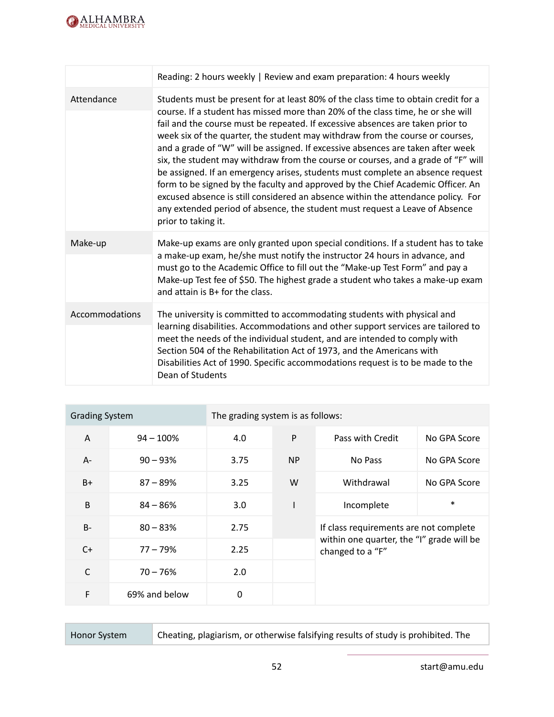

|                | Reading: 2 hours weekly   Review and exam preparation: 4 hours weekly                                                                                                                                                                                                                                                                                                                                                                                                                                                                                                                                                                                                                                                                                                                                                                                                           |
|----------------|---------------------------------------------------------------------------------------------------------------------------------------------------------------------------------------------------------------------------------------------------------------------------------------------------------------------------------------------------------------------------------------------------------------------------------------------------------------------------------------------------------------------------------------------------------------------------------------------------------------------------------------------------------------------------------------------------------------------------------------------------------------------------------------------------------------------------------------------------------------------------------|
| Attendance     | Students must be present for at least 80% of the class time to obtain credit for a<br>course. If a student has missed more than 20% of the class time, he or she will<br>fail and the course must be repeated. If excessive absences are taken prior to<br>week six of the quarter, the student may withdraw from the course or courses,<br>and a grade of "W" will be assigned. If excessive absences are taken after week<br>six, the student may withdraw from the course or courses, and a grade of "F" will<br>be assigned. If an emergency arises, students must complete an absence request<br>form to be signed by the faculty and approved by the Chief Academic Officer. An<br>excused absence is still considered an absence within the attendance policy. For<br>any extended period of absence, the student must request a Leave of Absence<br>prior to taking it. |
| Make-up        | Make-up exams are only granted upon special conditions. If a student has to take<br>a make-up exam, he/she must notify the instructor 24 hours in advance, and<br>must go to the Academic Office to fill out the "Make-up Test Form" and pay a<br>Make-up Test fee of \$50. The highest grade a student who takes a make-up exam<br>and attain is B+ for the class.                                                                                                                                                                                                                                                                                                                                                                                                                                                                                                             |
| Accommodations | The university is committed to accommodating students with physical and<br>learning disabilities. Accommodations and other support services are tailored to<br>meet the needs of the individual student, and are intended to comply with<br>Section 504 of the Rehabilitation Act of 1973, and the Americans with<br>Disabilities Act of 1990. Specific accommodations request is to be made to the<br>Dean of Students                                                                                                                                                                                                                                                                                                                                                                                                                                                         |

| <b>Grading System</b> |               | The grading system is as follows: |                |                                                               |              |
|-----------------------|---------------|-----------------------------------|----------------|---------------------------------------------------------------|--------------|
| A                     | $94 - 100%$   | 4.0                               | $\mathsf{P}$   | Pass with Credit                                              | No GPA Score |
| $A -$                 | $90 - 93%$    | 3.75                              | N <sub>P</sub> | No Pass                                                       | No GPA Score |
| $B+$                  | $87 - 89%$    | 3.25                              | W              | Withdrawal                                                    | No GPA Score |
| B                     | $84 - 86%$    | 3.0 <sub>2</sub>                  | I              | Incomplete                                                    | $\ast$       |
| <b>B-</b>             | $80 - 83%$    | 2.75                              |                | If class requirements are not complete                        |              |
| $C+$                  | $77 - 79%$    | 2.25                              |                | within one quarter, the "I" grade will be<br>changed to a "F" |              |
| $\mathsf{C}$          | $70 - 76%$    | 2.0                               |                |                                                               |              |
| F                     | 69% and below | 0                                 |                |                                                               |              |

Honor System Cheating, plagiarism, or otherwise falsifying results of study is prohibited. The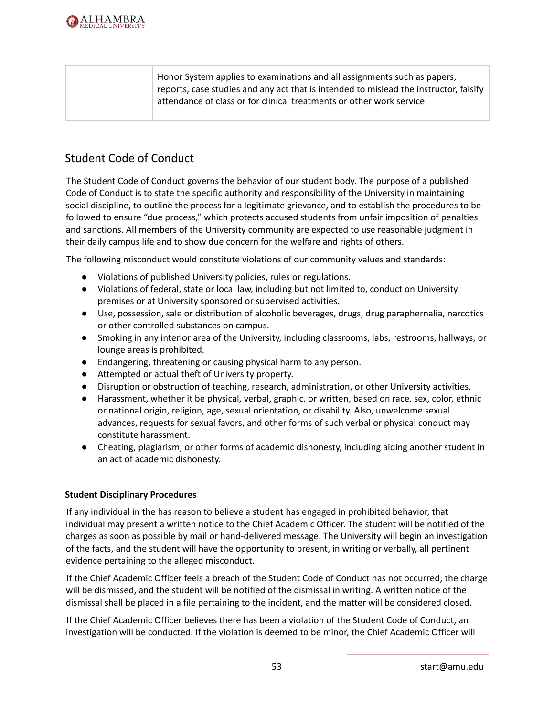

| Honor System applies to examinations and all assignments such as papers,<br>reports, case studies and any act that is intended to mislead the instructor, falsify |
|-------------------------------------------------------------------------------------------------------------------------------------------------------------------|
| attendance of class or for clinical treatments or other work service                                                                                              |

### Student Code of Conduct

The Student Code of Conduct governs the behavior of our student body. The purpose of a published Code of Conduct is to state the specific authority and responsibility of the University in maintaining social discipline, to outline the process for a legitimate grievance, and to establish the procedures to be followed to ensure "due process," which protects accused students from unfair imposition of penalties and sanctions. All members of the University community are expected to use reasonable judgment in their daily campus life and to show due concern for the welfare and rights of others.

The following misconduct would constitute violations of our community values and standards:

- Violations of published University policies, rules or regulations.
- Violations of federal, state or local law, including but not limited to, conduct on University premises or at University sponsored or supervised activities.
- Use, possession, sale or distribution of alcoholic beverages, drugs, drug paraphernalia, narcotics or other controlled substances on campus.
- Smoking in any interior area of the University, including classrooms, labs, restrooms, hallways, or lounge areas is prohibited.
- Endangering, threatening or causing physical harm to any person.
- Attempted or actual theft of University property.
- Disruption or obstruction of teaching, research, administration, or other University activities.
- Harassment, whether it be physical, verbal, graphic, or written, based on race, sex, color, ethnic or national origin, religion, age, sexual orientation, or disability. Also, unwelcome sexual advances, requests for sexual favors, and other forms of such verbal or physical conduct may constitute harassment.
- Cheating, plagiarism, or other forms of academic dishonesty, including aiding another student in an act of academic dishonesty.

#### **Student Disciplinary Procedures**

If any individual in the has reason to believe a student has engaged in prohibited behavior, that individual may present a written notice to the Chief Academic Officer. The student will be notified of the charges as soon as possible by mail or hand-delivered message. The University will begin an investigation of the facts, and the student will have the opportunity to present, in writing or verbally, all pertinent evidence pertaining to the alleged misconduct.

If the Chief Academic Officer feels a breach of the Student Code of Conduct has not occurred, the charge will be dismissed, and the student will be notified of the dismissal in writing. A written notice of the dismissal shall be placed in a file pertaining to the incident, and the matter will be considered closed.

If the Chief Academic Officer believes there has been a violation of the Student Code of Conduct, an investigation will be conducted. If the violation is deemed to be minor, the Chief Academic Officer will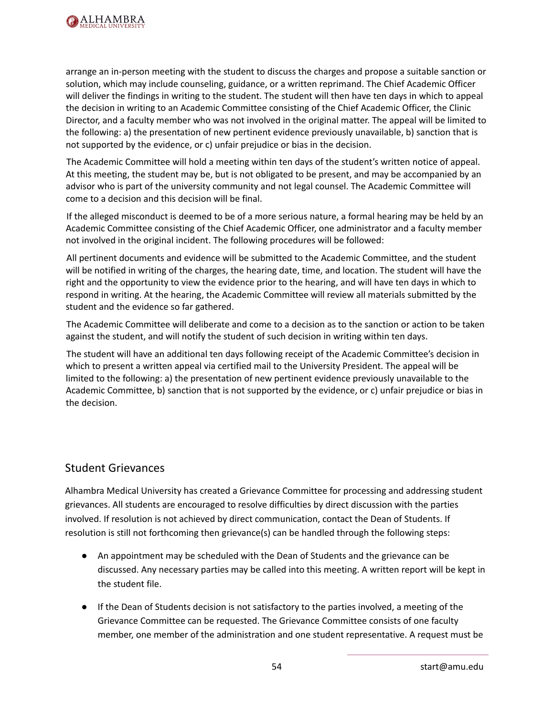

arrange an in-person meeting with the student to discuss the charges and propose a suitable sanction or solution, which may include counseling, guidance, or a written reprimand. The Chief Academic Officer will deliver the findings in writing to the student. The student will then have ten days in which to appeal the decision in writing to an Academic Committee consisting of the Chief Academic Officer, the Clinic Director, and a faculty member who was not involved in the original matter. The appeal will be limited to the following: a) the presentation of new pertinent evidence previously unavailable, b) sanction that is not supported by the evidence, or c) unfair prejudice or bias in the decision.

The Academic Committee will hold a meeting within ten days of the student's written notice of appeal. At this meeting, the student may be, but is not obligated to be present, and may be accompanied by an advisor who is part of the university community and not legal counsel. The Academic Committee will come to a decision and this decision will be final.

If the alleged misconduct is deemed to be of a more serious nature, a formal hearing may be held by an Academic Committee consisting of the Chief Academic Officer, one administrator and a faculty member not involved in the original incident. The following procedures will be followed:

All pertinent documents and evidence will be submitted to the Academic Committee, and the student will be notified in writing of the charges, the hearing date, time, and location. The student will have the right and the opportunity to view the evidence prior to the hearing, and will have ten days in which to respond in writing. At the hearing, the Academic Committee will review all materials submitted by the student and the evidence so far gathered.

The Academic Committee will deliberate and come to a decision as to the sanction or action to be taken against the student, and will notify the student of such decision in writing within ten days.

The student will have an additional ten days following receipt of the Academic Committee's decision in which to present a written appeal via certified mail to the University President. The appeal will be limited to the following: a) the presentation of new pertinent evidence previously unavailable to the Academic Committee, b) sanction that is not supported by the evidence, or c) unfair prejudice or bias in the decision.

#### Student Grievances

Alhambra Medical University has created a Grievance Committee for processing and addressing student grievances. All students are encouraged to resolve difficulties by direct discussion with the parties involved. If resolution is not achieved by direct communication, contact the Dean of Students. If resolution is still not forthcoming then grievance(s) can be handled through the following steps:

- An appointment may be scheduled with the Dean of Students and the grievance can be discussed. Any necessary parties may be called into this meeting. A written report will be kept in the student file.
- If the Dean of Students decision is not satisfactory to the parties involved, a meeting of the Grievance Committee can be requested. The Grievance Committee consists of one faculty member, one member of the administration and one student representative. A request must be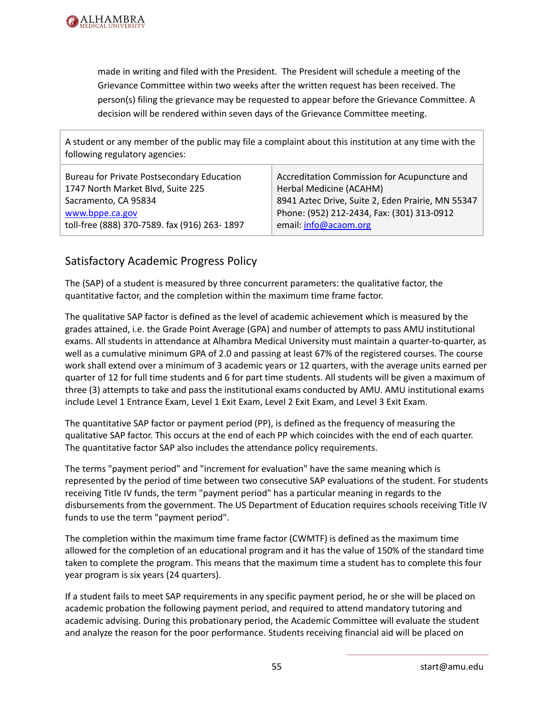

made in writing and filed with the President. The President will schedule a meeting of the Grievance Committee within two weeks after the written request has been received. The person(s) filing the grievance may be requested to appear before the Grievance Committee. A decision will be rendered within seven days of the Grievance Committee meeting.

A student or any member of the public may file a complaint about this institution at any time with the following regulatory agencies:

| <b>Bureau for Private Postsecondary Education</b> | Accreditation Commission for Acupuncture and      |
|---------------------------------------------------|---------------------------------------------------|
| 1747 North Market Blvd, Suite 225                 | Herbal Medicine (ACAHM)                           |
| Sacramento, CA 95834                              | 8941 Aztec Drive, Suite 2, Eden Prairie, MN 55347 |
| www.bppe.ca.gov                                   | Phone: (952) 212-2434, Fax: (301) 313-0912        |
| toll-free (888) 370-7589. fax (916) 263-1897      | email: info@acaom.org                             |

### Satisfactory Academic Progress Policy

The (SAP) of a student is measured by three concurrent parameters: the qualitative factor, the quantitative factor, and the completion within the maximum time frame factor.

The qualitative SAP factor is defined as the level of academic achievement which is measured by the grades attained, i.e. the Grade Point Average (GPA) and number of attempts to pass AMU institutional exams. All students in attendance at Alhambra Medical University must maintain a quarter-to-quarter, as well as a cumulative minimum GPA of 2.0 and passing at least 67% of the registered courses. The course work shall extend over a minimum of 3 academic years or 12 quarters, with the average units earned per quarter of 12 for full time students and 6 for part time students. All students will be given a maximum of three (3) attempts to take and pass the institutional exams conducted by AMU. AMU institutional exams include Level 1 Entrance Exam, Level 1 Exit Exam, Level 2 Exit Exam, and Level 3 Exit Exam.

The quantitative SAP factor or payment period (PP), is defined as the frequency of measuring the qualitative SAP factor. This occurs at the end of each PP which coincides with the end of each quarter. The quantitative factor SAP also includes the attendance policy requirements.

The terms "payment period" and "increment for evaluation" have the same meaning which is represented by the period of time between two consecutive SAP evaluations of the student. For students receiving Title IV funds, the term "payment period" has a particular meaning in regards to the disbursements from the government. The US Department of Education requires schools receiving Title IV funds to use the term "payment period".

The completion within the maximum time frame factor (CWMTF) is defined as the maximum time allowed for the completion of an educational program and it has the value of 150% of the standard time taken to complete the program. This means that the maximum time a student has to complete this four year program is six years (24 quarters).

If a student fails to meet SAP requirements in any specific payment period, he or she will be placed on academic probation the following payment period, and required to attend mandatory tutoring and academic advising. During this probationary period, the Academic Committee will evaluate the student and analyze the reason for the poor performance. Students receiving financial aid will be placed on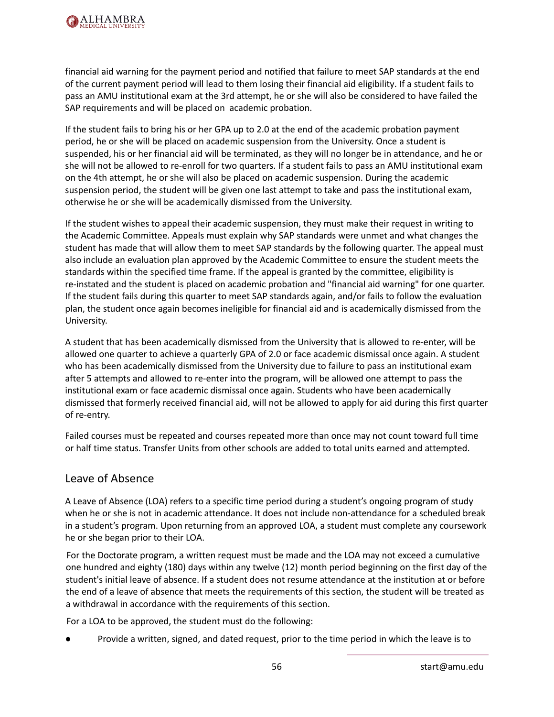

financial aid warning for the payment period and notified that failure to meet SAP standards at the end of the current payment period will lead to them losing their financial aid eligibility. If a student fails to pass an AMU institutional exam at the 3rd attempt, he or she will also be considered to have failed the SAP requirements and will be placed on academic probation.

If the student fails to bring his or her GPA up to 2.0 at the end of the academic probation payment period, he or she will be placed on academic suspension from the University. Once a student is suspended, his or her financial aid will be terminated, as they will no longer be in attendance, and he or she will not be allowed to re-enroll for two quarters. If a student fails to pass an AMU institutional exam on the 4th attempt, he or she will also be placed on academic suspension. During the academic suspension period, the student will be given one last attempt to take and pass the institutional exam, otherwise he or she will be academically dismissed from the University.

If the student wishes to appeal their academic suspension, they must make their request in writing to the Academic Committee. Appeals must explain why SAP standards were unmet and what changes the student has made that will allow them to meet SAP standards by the following quarter. The appeal must also include an evaluation plan approved by the Academic Committee to ensure the student meets the standards within the specified time frame. If the appeal is granted by the committee, eligibility is re-instated and the student is placed on academic probation and "financial aid warning" for one quarter. If the student fails during this quarter to meet SAP standards again, and/or fails to follow the evaluation plan, the student once again becomes ineligible for financial aid and is academically dismissed from the University.

A student that has been academically dismissed from the University that is allowed to re-enter, will be allowed one quarter to achieve a quarterly GPA of 2.0 or face academic dismissal once again. A student who has been academically dismissed from the University due to failure to pass an institutional exam after 5 attempts and allowed to re-enter into the program, will be allowed one attempt to pass the institutional exam or face academic dismissal once again. Students who have been academically dismissed that formerly received financial aid, will not be allowed to apply for aid during this first quarter of re-entry.

Failed courses must be repeated and courses repeated more than once may not count toward full time or half time status. Transfer Units from other schools are added to total units earned and attempted.

#### Leave of Absence

A Leave of Absence (LOA) refers to a specific time period during a student's ongoing program of study when he or she is not in academic attendance. It does not include non-attendance for a scheduled break in a student's program. Upon returning from an approved LOA, a student must complete any coursework he or she began prior to their LOA.

For the Doctorate program, a written request must be made and the LOA may not exceed a cumulative one hundred and eighty (180) days within any twelve (12) month period beginning on the first day of the student's initial leave of absence. If a student does not resume attendance at the institution at or before the end of a leave of absence that meets the requirements of this section, the student will be treated as a withdrawal in accordance with the requirements of this section.

For a LOA to be approved, the student must do the following:

Provide a written, signed, and dated request, prior to the time period in which the leave is to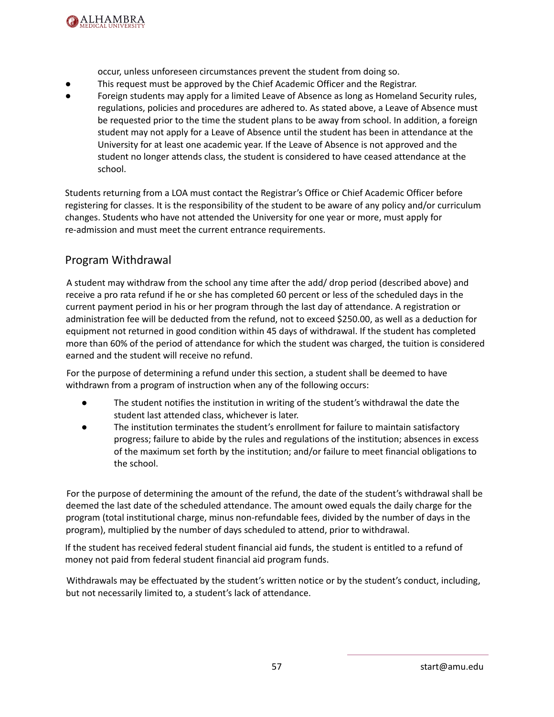

occur, unless unforeseen circumstances prevent the student from doing so.

- This request must be approved by the Chief Academic Officer and the Registrar.
- Foreign students may apply for a limited Leave of Absence as long as Homeland Security rules, regulations, policies and procedures are adhered to. As stated above, a Leave of Absence must be requested prior to the time the student plans to be away from school. In addition, a foreign student may not apply for a Leave of Absence until the student has been in attendance at the University for at least one academic year. If the Leave of Absence is not approved and the student no longer attends class, the student is considered to have ceased attendance at the school.

Students returning from a LOA must contact the Registrar's Office or Chief Academic Officer before registering for classes. It is the responsibility of the student to be aware of any policy and/or curriculum changes. Students who have not attended the University for one year or more, must apply for re-admission and must meet the current entrance requirements.

### Program Withdrawal

A student may withdraw from the school any time after the add/ drop period (described above) and receive a pro rata refund if he or she has completed 60 percent or less of the scheduled days in the current payment period in his or her program through the last day of attendance. A registration or administration fee will be deducted from the refund, not to exceed \$250.00, as well as a deduction for equipment not returned in good condition within 45 days of withdrawal. If the student has completed more than 60% of the period of attendance for which the student was charged, the tuition is considered earned and the student will receive no refund.

For the purpose of determining a refund under this section, a student shall be deemed to have withdrawn from a program of instruction when any of the following occurs:

- The student notifies the institution in writing of the student's withdrawal the date the student last attended class, whichever is later.
- The institution terminates the student's enrollment for failure to maintain satisfactory progress; failure to abide by the rules and regulations of the institution; absences in excess of the maximum set forth by the institution; and/or failure to meet financial obligations to the school.

For the purpose of determining the amount of the refund, the date of the student's withdrawal shall be deemed the last date of the scheduled attendance. The amount owed equals the daily charge for the program (total institutional charge, minus non-refundable fees, divided by the number of days in the program), multiplied by the number of days scheduled to attend, prior to withdrawal.

If the student has received federal student financial aid funds, the student is entitled to a refund of money not paid from federal student financial aid program funds.

Withdrawals may be effectuated by the student's written notice or by the student's conduct, including, but not necessarily limited to, a student's lack of attendance.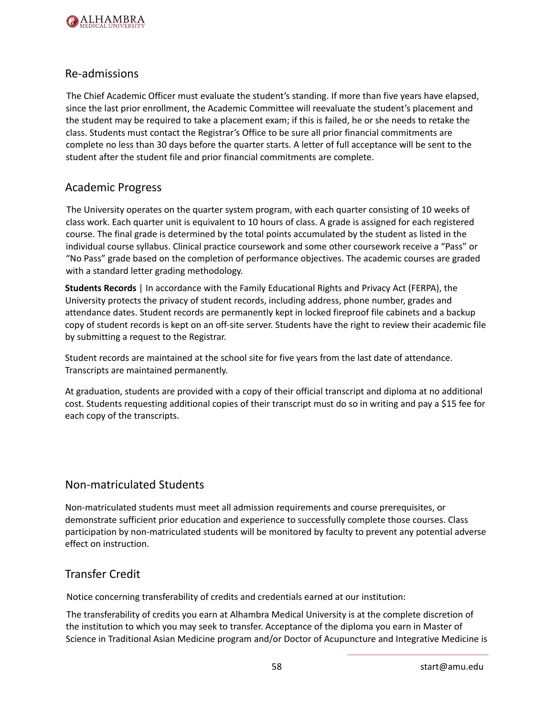

#### Re-admissions

The Chief Academic Officer must evaluate the student's standing. If more than five years have elapsed, since the last prior enrollment, the Academic Committee will reevaluate the student's placement and the student may be required to take a placement exam; if this is failed, he or she needs to retake the class. Students must contact the Registrar's Office to be sure all prior financial commitments are complete no less than 30 days before the quarter starts. A letter of full acceptance will be sent to the student after the student file and prior financial commitments are complete.

#### Academic Progress

The University operates on the quarter system program, with each quarter consisting of 10 weeks of class work. Each quarter unit is equivalent to 10 hours of class. A grade is assigned for each registered course. The final grade is determined by the total points accumulated by the student as listed in the individual course syllabus. Clinical practice coursework and some other coursework receive a "Pass" or "No Pass" grade based on the completion of performance objectives. The academic courses are graded with a standard letter grading methodology.

**Students Records** | In accordance with the Family Educational Rights and Privacy Act (FERPA), the University protects the privacy of student records, including address, phone number, grades and attendance dates. Student records are permanently kept in locked fireproof file cabinets and a backup copy of student records is kept on an off-site server. Students have the right to review their academic file by submitting a request to the Registrar.

Student records are maintained at the school site for five years from the last date of attendance. Transcripts are maintained permanently.

At graduation, students are provided with a copy of their official transcript and diploma at no additional cost. Students requesting additional copies of their transcript must do so in writing and pay a \$15 fee for each copy of the transcripts.

### Non-matriculated Students

Non-matriculated students must meet all admission requirements and course prerequisites, or demonstrate sufficient prior education and experience to successfully complete those courses. Class participation by non-matriculated students will be monitored by faculty to prevent any potential adverse effect on instruction.

#### Transfer Credit

Notice concerning transferability of credits and credentials earned at our institution:

The transferability of credits you earn at Alhambra Medical University is at the complete discretion of the institution to which you may seek to transfer. Acceptance of the diploma you earn in Master of Science in Traditional Asian Medicine program and/or Doctor of Acupuncture and Integrative Medicine is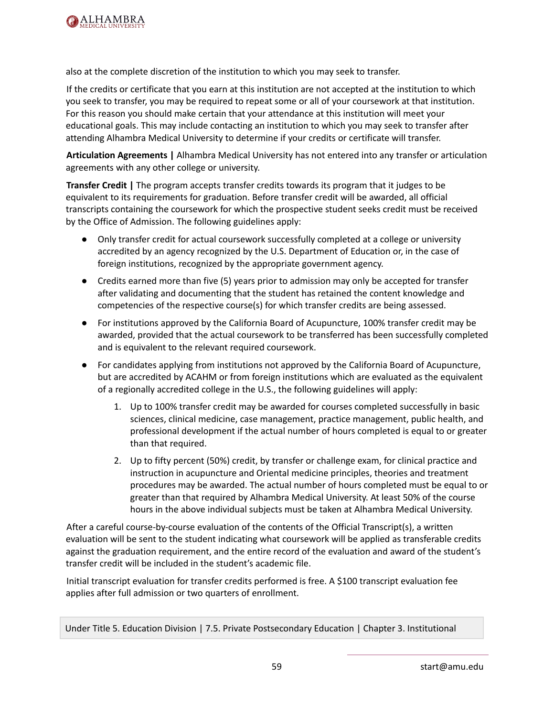

also at the complete discretion of the institution to which you may seek to transfer.

If the credits or certificate that you earn at this institution are not accepted at the institution to which you seek to transfer, you may be required to repeat some or all of your coursework at that institution. For this reason you should make certain that your attendance at this institution will meet your educational goals. This may include contacting an institution to which you may seek to transfer after attending Alhambra Medical University to determine if your credits or certificate will transfer.

**Articulation Agreements |** Alhambra Medical University has not entered into any transfer or articulation agreements with any other college or university.

**Transfer Credit |** The program accepts transfer credits towards its program that it judges to be equivalent to its requirements for graduation. Before transfer credit will be awarded, all official transcripts containing the coursework for which the prospective student seeks credit must be received by the Office of Admission. The following guidelines apply:

- Only transfer credit for actual coursework successfully completed at a college or university accredited by an agency recognized by the U.S. Department of Education or, in the case of foreign institutions, recognized by the appropriate government agency.
- Credits earned more than five (5) years prior to admission may only be accepted for transfer after validating and documenting that the student has retained the content knowledge and competencies of the respective course(s) for which transfer credits are being assessed.
- For institutions approved by the California Board of Acupuncture, 100% transfer credit may be awarded, provided that the actual coursework to be transferred has been successfully completed and is equivalent to the relevant required coursework.
- For candidates applying from institutions not approved by the California Board of Acupuncture, but are accredited by ACAHM or from foreign institutions which are evaluated as the equivalent of a regionally accredited college in the U.S., the following guidelines will apply:
	- 1. Up to 100% transfer credit may be awarded for courses completed successfully in basic sciences, clinical medicine, case management, practice management, public health, and professional development if the actual number of hours completed is equal to or greater than that required.
	- 2. Up to fifty percent (50%) credit, by transfer or challenge exam, for clinical practice and instruction in acupuncture and Oriental medicine principles, theories and treatment procedures may be awarded. The actual number of hours completed must be equal to or greater than that required by Alhambra Medical University. At least 50% of the course hours in the above individual subjects must be taken at Alhambra Medical University.

After a careful course-by-course evaluation of the contents of the Official Transcript(s), a written evaluation will be sent to the student indicating what coursework will be applied as transferable credits against the graduation requirement, and the entire record of the evaluation and award of the student's transfer credit will be included in the student's academic file.

Initial transcript evaluation for transfer credits performed is free. A \$100 transcript evaluation fee applies after full admission or two quarters of enrollment.

Under Title 5. Education Division | 7.5. Private Postsecondary Education | Chapter 3. Institutional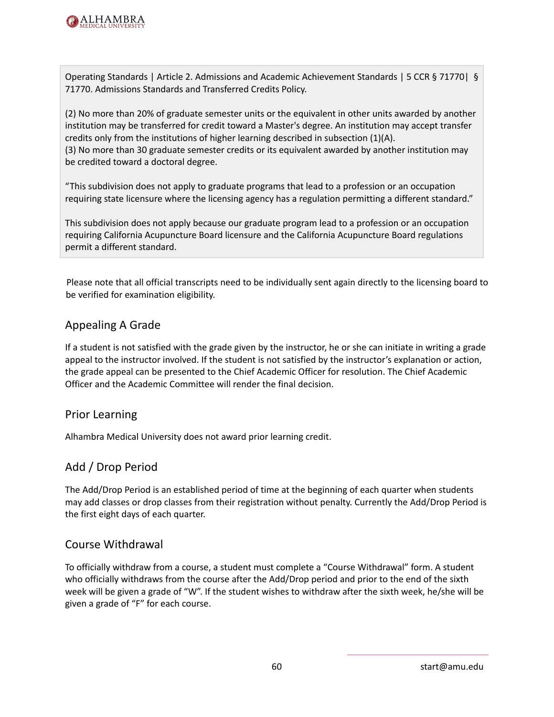

Operating Standards | Article 2. Admissions and Academic Achievement Standards | 5 CCR § 71770| § 71770. Admissions Standards and Transferred Credits Policy.

(2) No more than 20% of graduate semester units or the equivalent in other units awarded by another institution may be transferred for credit toward a Master's degree. An institution may accept transfer credits only from the institutions of higher learning described in subsection (1)(A). (3) No more than 30 graduate semester credits or its equivalent awarded by another institution may be credited toward a doctoral degree.

"This subdivision does not apply to graduate programs that lead to a profession or an occupation requiring state licensure where the licensing agency has a regulation permitting a different standard."

This subdivision does not apply because our graduate program lead to a profession or an occupation requiring California Acupuncture Board licensure and the California Acupuncture Board regulations permit a different standard.

Please note that all official transcripts need to be individually sent again directly to the licensing board to be verified for examination eligibility.

### Appealing A Grade

If a student is not satisfied with the grade given by the instructor, he or she can initiate in writing a grade appeal to the instructor involved. If the student is not satisfied by the instructor's explanation or action, the grade appeal can be presented to the Chief Academic Officer for resolution. The Chief Academic Officer and the Academic Committee will render the final decision.

#### Prior Learning

Alhambra Medical University does not award prior learning credit.

### Add / Drop Period

The Add/Drop Period is an established period of time at the beginning of each quarter when students may add classes or drop classes from their registration without penalty. Currently the Add/Drop Period is the first eight days of each quarter.

#### Course Withdrawal

To officially withdraw from a course, a student must complete a "Course Withdrawal" form. A student who officially withdraws from the course after the Add/Drop period and prior to the end of the sixth week will be given a grade of "W". If the student wishes to withdraw after the sixth week, he/she will be given a grade of "F" for each course.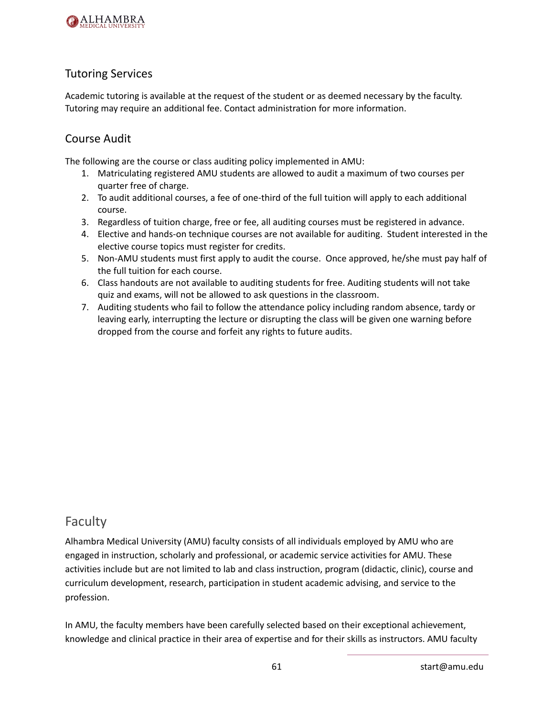

### Tutoring Services

Academic tutoring is available at the request of the student or as deemed necessary by the faculty. Tutoring may require an additional fee. Contact administration for more information.

#### Course Audit

The following are the course or class auditing policy implemented in AMU:

- 1. Matriculating registered AMU students are allowed to audit a maximum of two courses per quarter free of charge.
- 2. To audit additional courses, a fee of one-third of the full tuition will apply to each additional course.
- 3. Regardless of tuition charge, free or fee, all auditing courses must be registered in advance.
- 4. Elective and hands-on technique courses are not available for auditing. Student interested in the elective course topics must register for credits.
- 5. Non-AMU students must first apply to audit the course. Once approved, he/she must pay half of the full tuition for each course.
- 6. Class handouts are not available to auditing students for free. Auditing students will not take quiz and exams, will not be allowed to ask questions in the classroom.
- 7. Auditing students who fail to follow the attendance policy including random absence, tardy or leaving early, interrupting the lecture or disrupting the class will be given one warning before dropped from the course and forfeit any rights to future audits.

## Faculty

Alhambra Medical University (AMU) faculty consists of all individuals employed by AMU who are engaged in instruction, scholarly and professional, or academic service activities for AMU. These activities include but are not limited to lab and class instruction, program (didactic, clinic), course and curriculum development, research, participation in student academic advising, and service to the profession.

In AMU, the faculty members have been carefully selected based on their exceptional achievement, knowledge and clinical practice in their area of expertise and for their skills as instructors. AMU faculty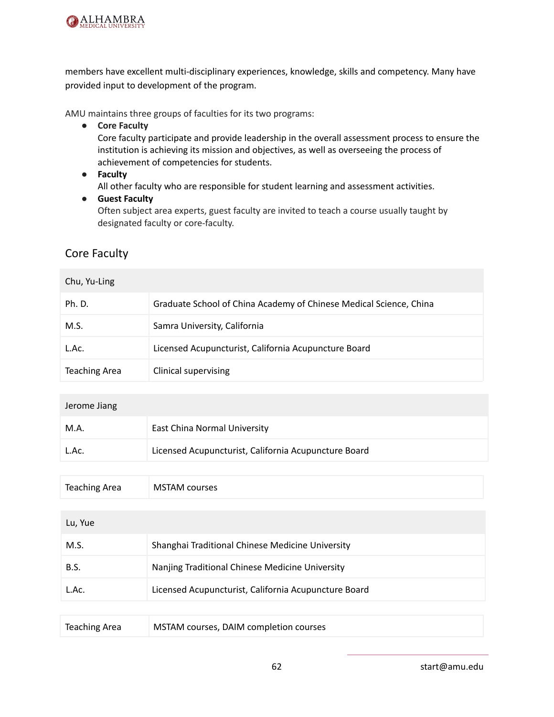

members have excellent multi-disciplinary experiences, knowledge, skills and competency. Many have provided input to development of the program.

AMU maintains three groups of faculties for its two programs:

**● Core Faculty**

Core faculty participate and provide leadership in the overall assessment process to ensure the institution is achieving its mission and objectives, as well as overseeing the process of achievement of competencies for students.

**● Faculty**

All other faculty who are responsible for student learning and assessment activities.

**● Guest Faculty**

Often subject area experts, guest faculty are invited to teach a course usually taught by designated faculty or core-faculty.

### Core Faculty

#### Chu, Yu-Ling

| Ph. D.               | Graduate School of China Academy of Chinese Medical Science, China |
|----------------------|--------------------------------------------------------------------|
| M.S.                 | Samra University, California                                       |
| L.Ac.                | Licensed Acupuncturist, California Acupuncture Board               |
| <b>Teaching Area</b> | <b>Clinical supervising</b>                                        |

| Jerome Jiang |                                                      |
|--------------|------------------------------------------------------|
| M.A.         | East China Normal University                         |
| L.Ac.        | Licensed Acupuncturist, California Acupuncture Board |

| Teaching Area | <b>MSTAM courses</b> |
|---------------|----------------------|
|---------------|----------------------|

| Lu, Yue |                                                      |
|---------|------------------------------------------------------|
| M.S.    | Shanghai Traditional Chinese Medicine University     |
| B.S.    | Nanjing Traditional Chinese Medicine University      |
| L.Ac.   | Licensed Acupuncturist, California Acupuncture Board |

| Teaching Area<br>MSTAM courses, DAIM completion courses |  |
|---------------------------------------------------------|--|
|---------------------------------------------------------|--|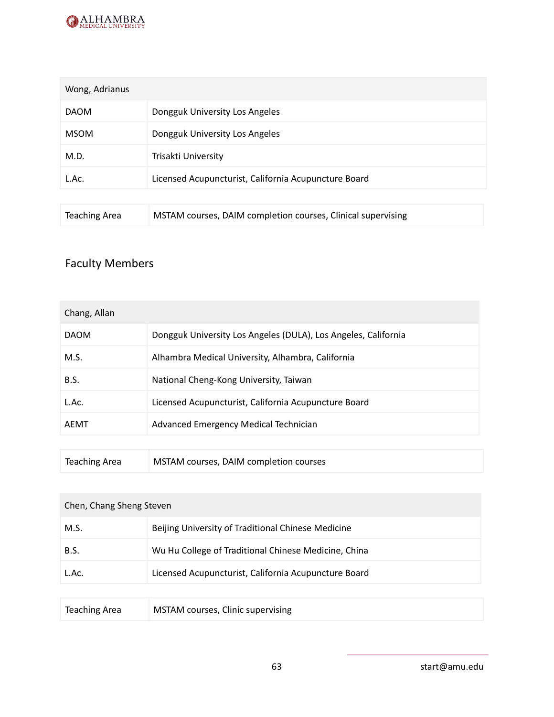

| Wong, Adrianus |                                                      |
|----------------|------------------------------------------------------|
| <b>DAOM</b>    | Dongguk University Los Angeles                       |
| <b>MSOM</b>    | Dongguk University Los Angeles                       |
| M.D.           | Trisakti University                                  |
| L.Ac.          | Licensed Acupuncturist, California Acupuncture Board |
|                |                                                      |

| <b>Teaching Area</b> | MSTAM courses, DAIM completion courses, Clinical supervising |
|----------------------|--------------------------------------------------------------|
|----------------------|--------------------------------------------------------------|

# Faculty Members

| Chang, Allan |                                                                |
|--------------|----------------------------------------------------------------|
| <b>DAOM</b>  | Dongguk University Los Angeles (DULA), Los Angeles, California |
| M.S.         | Alhambra Medical University, Alhambra, California              |
| B.S.         | National Cheng-Kong University, Taiwan                         |
| L.Ac.        | Licensed Acupuncturist, California Acupuncture Board           |
| AEMT         | Advanced Emergency Medical Technician                          |
|              |                                                                |

| MSTAM courses, DAIM completion courses<br>Teaching Area |  |
|---------------------------------------------------------|--|
|---------------------------------------------------------|--|

| Chen, Chang Sheng Steven |                                                      |
|--------------------------|------------------------------------------------------|
| M.S.                     | Beijing University of Traditional Chinese Medicine   |
| <b>B.S.</b>              | Wu Hu College of Traditional Chinese Medicine, China |
| L.Ac.                    | Licensed Acupuncturist, California Acupuncture Board |
|                          |                                                      |

| Teaching Area | MSTAM courses, Clinic supervising |  |
|---------------|-----------------------------------|--|
|---------------|-----------------------------------|--|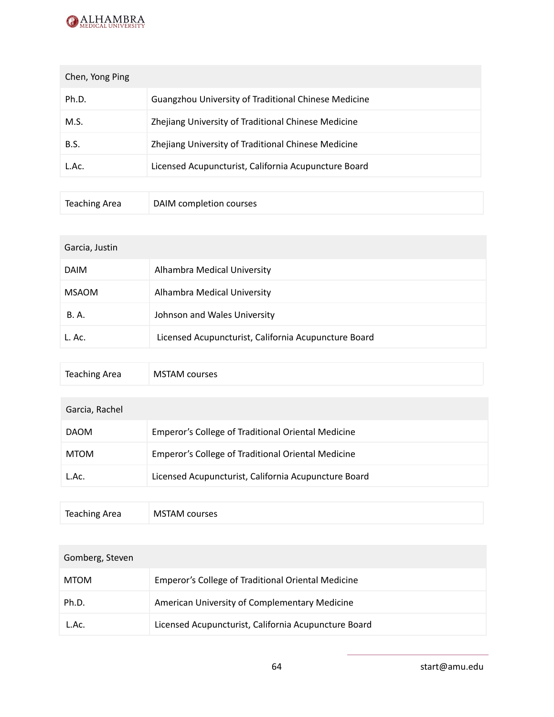

| Chen, Yong Ping |                                                      |
|-----------------|------------------------------------------------------|
| Ph.D.           | Guangzhou University of Traditional Chinese Medicine |
| M.S.            | Zhejiang University of Traditional Chinese Medicine  |
| B.S.            | Zhejiang University of Traditional Chinese Medicine  |
| L.Ac.           | Licensed Acupuncturist, California Acupuncture Board |
|                 |                                                      |

| Teaching Area | DAIM completion courses |
|---------------|-------------------------|
|---------------|-------------------------|

| Garcia, Justin |                                                      |
|----------------|------------------------------------------------------|
| <b>DAIM</b>    | Alhambra Medical University                          |
| <b>MSAOM</b>   | Alhambra Medical University                          |
| <b>B.A.</b>    | Johnson and Wales University                         |
| L. Ac.         | Licensed Acupuncturist, California Acupuncture Board |
|                |                                                      |

| <b>Teaching Area</b> | <b>MSTAM courses</b> |
|----------------------|----------------------|
|----------------------|----------------------|

| Garcia, Rachel |                                                      |
|----------------|------------------------------------------------------|
| <b>DAOM</b>    | Emperor's College of Traditional Oriental Medicine   |
| <b>MTOM</b>    | Emperor's College of Traditional Oriental Medicine   |
| L.Ac.          | Licensed Acupuncturist, California Acupuncture Board |
|                |                                                      |

| Teaching Area<br>MSTAM courses |
|--------------------------------|
|--------------------------------|

| Gomberg, Steven |                                                      |
|-----------------|------------------------------------------------------|
| <b>MTOM</b>     | Emperor's College of Traditional Oriental Medicine   |
| Ph.D.           | American University of Complementary Medicine        |
| L.Ac.           | Licensed Acupuncturist, California Acupuncture Board |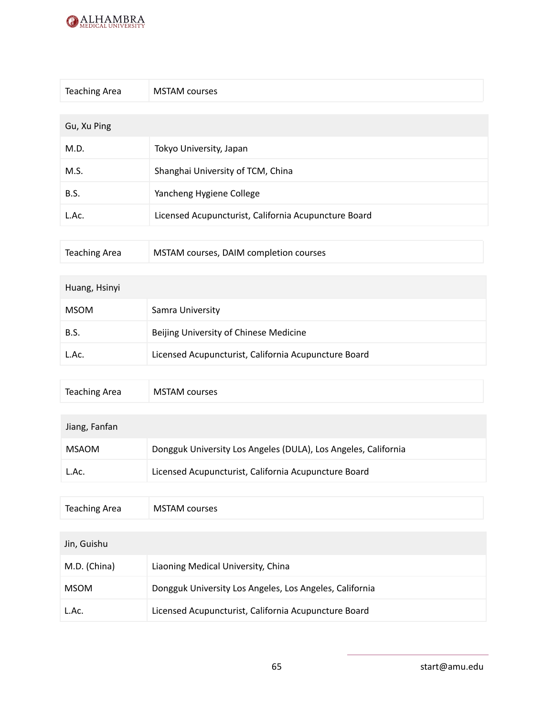

Teaching Area MSTAM courses

| <b>Teaching Area</b> | <b>MSTAM</b> courses                                 |
|----------------------|------------------------------------------------------|
|                      |                                                      |
| Gu, Xu Ping          |                                                      |
| M.D.                 | Tokyo University, Japan                              |
| M.S.                 | Shanghai University of TCM, China                    |
| <b>B.S.</b>          | Yancheng Hygiene College                             |
| L.Ac.                | Licensed Acupuncturist, California Acupuncture Board |
|                      |                                                      |

| Teaching Area<br>MSTAM courses, DAIM completion courses |  |
|---------------------------------------------------------|--|
|---------------------------------------------------------|--|

| Huang, Hsinyi |                                                      |
|---------------|------------------------------------------------------|
| <b>MSOM</b>   | Samra University                                     |
| B.S.          | Beijing University of Chinese Medicine               |
| L.Ac.         | Licensed Acupuncturist, California Acupuncture Board |
|               |                                                      |

| Jiang, Fanfan |                                                                |
|---------------|----------------------------------------------------------------|
| MSAOM         | Dongguk University Los Angeles (DULA), Los Angeles, California |
| L.Ac.         | Licensed Acupuncturist, California Acupuncture Board           |

| <b>Teaching Area</b> | <b>MSTAM</b> courses                                    |
|----------------------|---------------------------------------------------------|
|                      |                                                         |
| Jin, Guishu          |                                                         |
| M.D. (China)         | Liaoning Medical University, China                      |
| <b>MSOM</b>          | Dongguk University Los Angeles, Los Angeles, California |
| L.Ac.                | Licensed Acupuncturist, California Acupuncture Board    |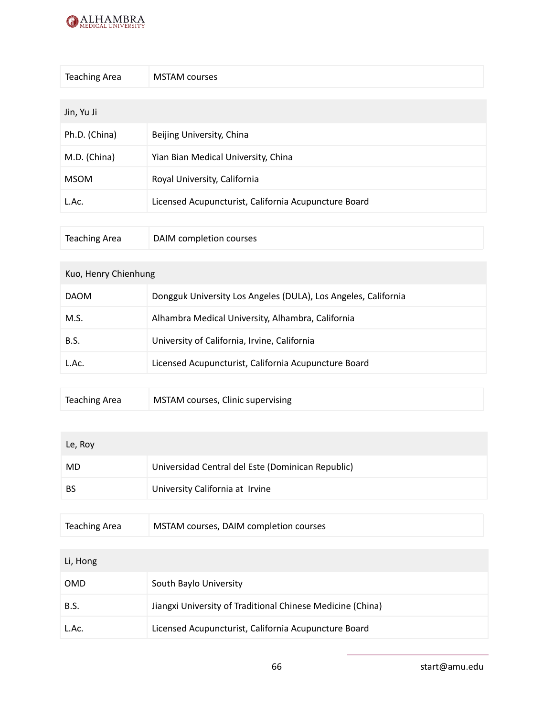

| <b>Teaching Area</b> | <b>MSTAM</b> courses                                 |
|----------------------|------------------------------------------------------|
|                      |                                                      |
| Jin, Yu Ji           |                                                      |
| Ph.D. (China)        | Beijing University, China                            |
| M.D. (China)         | Yian Bian Medical University, China                  |
| <b>MSOM</b>          | Royal University, California                         |
| L.Ac.                | Licensed Acupuncturist, California Acupuncture Board |
|                      |                                                      |

| <b>Teaching Area</b> | DAIM completion courses |
|----------------------|-------------------------|
|----------------------|-------------------------|

#### Kuo, Henry Chienhung

| Alhambra Medical University, Alhambra, California<br>M.S.<br>University of California, Irvine, California<br>B.S. | <b>DAOM</b> | Dongguk University Los Angeles (DULA), Los Angeles, California |
|-------------------------------------------------------------------------------------------------------------------|-------------|----------------------------------------------------------------|
|                                                                                                                   |             |                                                                |
|                                                                                                                   |             |                                                                |
| Licensed Acupuncturist, California Acupuncture Board<br>L.Ac.                                                     |             |                                                                |

| Teaching Area | MSTAM courses, Clinic supervising |
|---------------|-----------------------------------|
|---------------|-----------------------------------|

| Le, Roy   |                                                   |
|-----------|---------------------------------------------------|
| MD        | Universidad Central del Este (Dominican Republic) |
| <b>BS</b> | University California at Irvine                   |

| Teaching Area | MSTAM courses, DAIM completion courses |
|---------------|----------------------------------------|
|---------------|----------------------------------------|

| Li, Hong    |                                                            |
|-------------|------------------------------------------------------------|
| <b>OMD</b>  | South Baylo University                                     |
| <b>B.S.</b> | Jiangxi University of Traditional Chinese Medicine (China) |
| L.Ac.       | Licensed Acupuncturist, California Acupuncture Board       |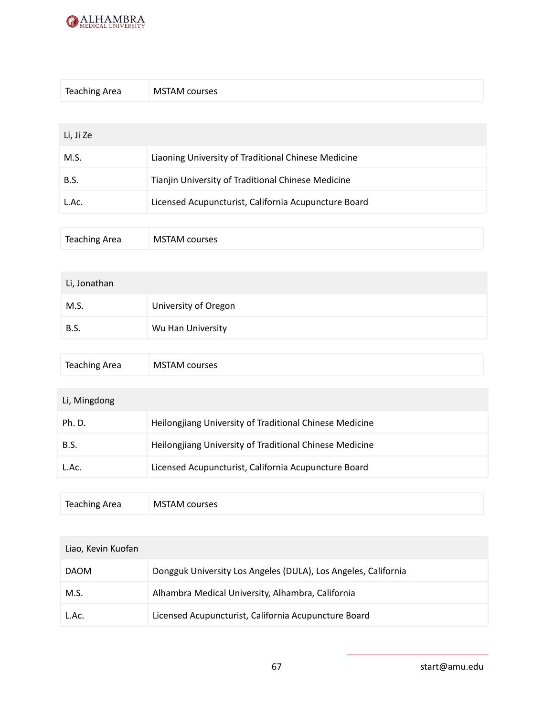

| <b>Teaching Area</b> | <b>MSTAM</b> courses                                 |
|----------------------|------------------------------------------------------|
|                      |                                                      |
| Li, Ji Ze            |                                                      |
| M.S.                 | Liaoning University of Traditional Chinese Medicine  |
| <b>B.S.</b>          | Tianjin University of Traditional Chinese Medicine   |
| L.Ac.                | Licensed Acupuncturist, California Acupuncture Board |
|                      |                                                      |

| <b>Teaching Area</b><br><b>MSTAM courses</b> |
|----------------------------------------------|
|----------------------------------------------|

| Li, Jonathan |                      |  |
|--------------|----------------------|--|
| M.S.         | University of Oregon |  |
| <b>B.S.</b>  | Wu Han University    |  |

| Teaching Area<br><b>MSTAM courses</b> |  |  |
|---------------------------------------|--|--|
|---------------------------------------|--|--|

### Li, Mingdong

| Ph. D.      | Heilongjiang University of Traditional Chinese Medicine |
|-------------|---------------------------------------------------------|
| <b>B.S.</b> | Heilongjiang University of Traditional Chinese Medicine |
| L.Ac.       | Licensed Acupuncturist, California Acupuncture Board    |

| <b>Teaching Area</b> | <b>MSTAM courses</b> |
|----------------------|----------------------|
|----------------------|----------------------|

| Liao, Kevin Kuofan |                                                                |  |
|--------------------|----------------------------------------------------------------|--|
| <b>DAOM</b>        | Dongguk University Los Angeles (DULA), Los Angeles, California |  |
| M.S.               | Alhambra Medical University, Alhambra, California              |  |
| L.Ac.              | Licensed Acupuncturist, California Acupuncture Board           |  |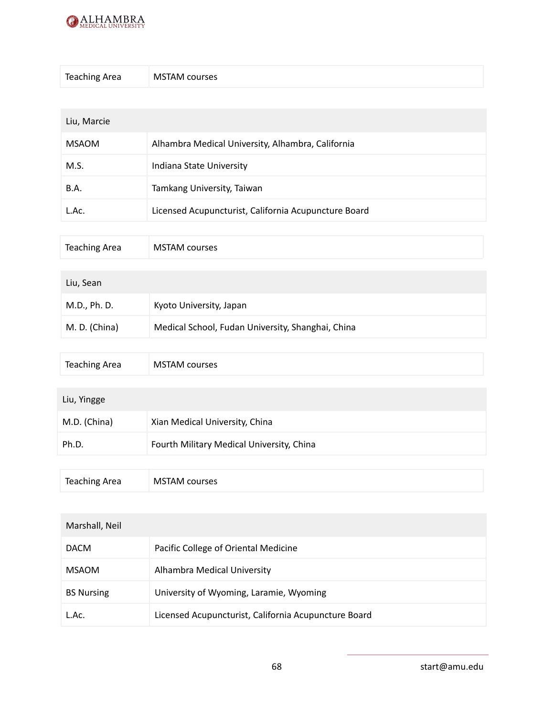

| <b>Teaching Area</b> | <b>MSTAM courses</b> |
|----------------------|----------------------|
|----------------------|----------------------|

| Liu, Marcie  |                                                      |  |
|--------------|------------------------------------------------------|--|
| <b>MSAOM</b> | Alhambra Medical University, Alhambra, California    |  |
| M.S.         | Indiana State University                             |  |
| <b>B.A.</b>  | Tamkang University, Taiwan                           |  |
| L.Ac.        | Licensed Acupuncturist, California Acupuncture Board |  |

| Teaching Area | <b>MSTAM courses</b> |  |  |  |
|---------------|----------------------|--|--|--|
|---------------|----------------------|--|--|--|

| Liu, Sean     |                                                   |
|---------------|---------------------------------------------------|
| M.D., Ph. D.  | Kyoto University, Japan                           |
| M. D. (China) | Medical School, Fudan University, Shanghai, China |

| <b>Teaching Area</b> | <b>MSTAM</b> courses                      |
|----------------------|-------------------------------------------|
|                      |                                           |
| Liu, Yingge          |                                           |
| M.D. (China)         | Xian Medical University, China            |
| Ph.D.                | Fourth Military Medical University, China |
|                      |                                           |

| <b>Teaching Area</b> | <b>MSTAM courses</b> |
|----------------------|----------------------|
|----------------------|----------------------|

| Marshall, Neil    |                                                      |
|-------------------|------------------------------------------------------|
| <b>DACM</b>       | Pacific College of Oriental Medicine                 |
| <b>MSAOM</b>      | Alhambra Medical University                          |
| <b>BS Nursing</b> | University of Wyoming, Laramie, Wyoming              |
| L.Ac.             | Licensed Acupuncturist, California Acupuncture Board |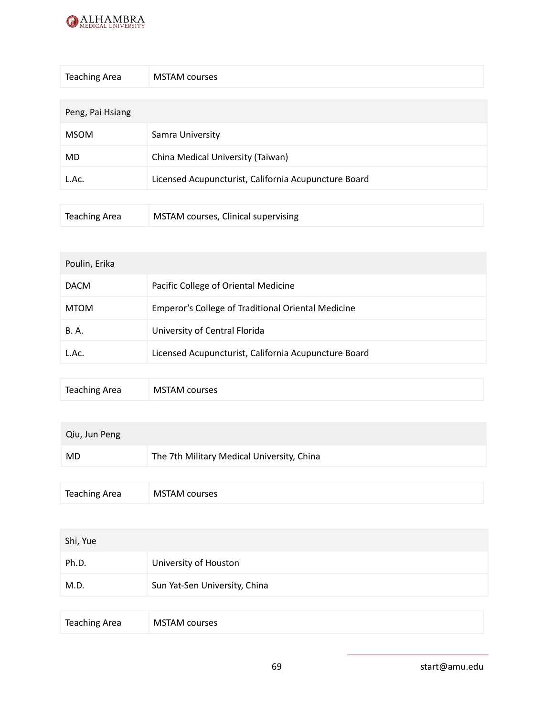

| <b>Teaching Area</b> | <b>MSTAM</b> courses                                 |
|----------------------|------------------------------------------------------|
|                      |                                                      |
| Peng, Pai Hsiang     |                                                      |
| <b>MSOM</b>          | Samra University                                     |
| MD.                  | China Medical University (Taiwan)                    |
| L.Ac.                | Licensed Acupuncturist, California Acupuncture Board |
|                      |                                                      |
| <b>Teaching Area</b> | MSTAM courses, Clinical supervising                  |

| Poulin, Erika |                                                      |
|---------------|------------------------------------------------------|
| <b>DACM</b>   | Pacific College of Oriental Medicine                 |
| <b>MTOM</b>   | Emperor's College of Traditional Oriental Medicine   |
| <b>B.A.</b>   | University of Central Florida                        |
| L.Ac.         | Licensed Acupuncturist, California Acupuncture Board |
|               |                                                      |

| Teaching Area<br><b>MSTAM courses</b> |  |
|---------------------------------------|--|
|---------------------------------------|--|

| Qiu, Jun Peng        |                                            |
|----------------------|--------------------------------------------|
| <b>MD</b>            | The 7th Military Medical University, China |
|                      |                                            |
| <b>Teaching Area</b> | <b>MSTAM</b> courses                       |

| Shi, Yue |                               |
|----------|-------------------------------|
| Ph.D.    | University of Houston         |
| M.D.     | Sun Yat-Sen University, China |
|          |                               |

| <b>Teaching Area</b> |
|----------------------|
|----------------------|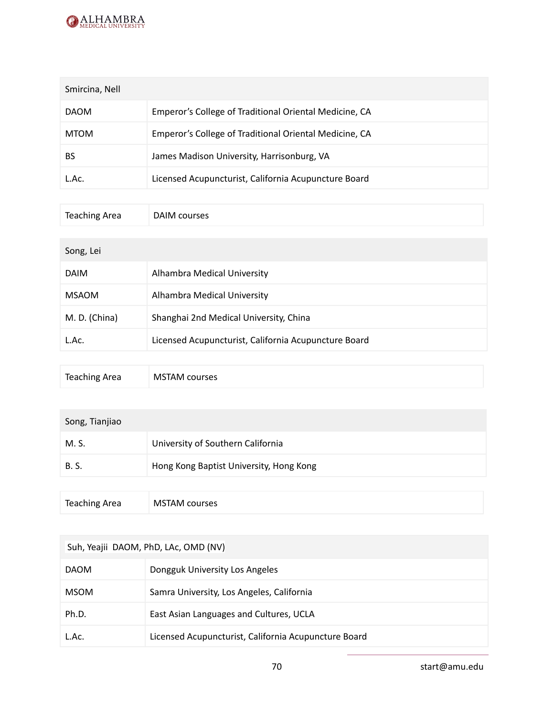

| Smircina, Nell |                                                        |
|----------------|--------------------------------------------------------|
| <b>DAOM</b>    | Emperor's College of Traditional Oriental Medicine, CA |
| <b>MTOM</b>    | Emperor's College of Traditional Oriental Medicine, CA |
| BS             | James Madison University, Harrisonburg, VA             |
| L.Ac.          | Licensed Acupuncturist, California Acupuncture Board   |

| <b>Teaching Area</b> | DAIM courses                |
|----------------------|-----------------------------|
|                      |                             |
| Song, Lei            |                             |
| <b>DAIM</b>          | Alhambra Medical University |

| MSAOM         | <b>Alhambra Medical University</b>                   |
|---------------|------------------------------------------------------|
| M. D. (China) | Shanghai 2nd Medical University, China               |
| L.Ac.         | Licensed Acupuncturist, California Acupuncture Board |

| Song, Tianjiao       |                                         |
|----------------------|-----------------------------------------|
| M. S.                | University of Southern California       |
| <b>B.S.</b>          | Hong Kong Baptist University, Hong Kong |
|                      |                                         |
| <b>Teaching Area</b> | <b>MSTAM</b> courses                    |

| Suh, Yeajii DAOM, PhD, LAc, OMD (NV) |                                                      |  |
|--------------------------------------|------------------------------------------------------|--|
| <b>DAOM</b>                          | Dongguk University Los Angeles                       |  |
| <b>MSOM</b>                          | Samra University, Los Angeles, California            |  |
| Ph.D.                                | East Asian Languages and Cultures, UCLA              |  |
| L.Ac.                                | Licensed Acupuncturist, California Acupuncture Board |  |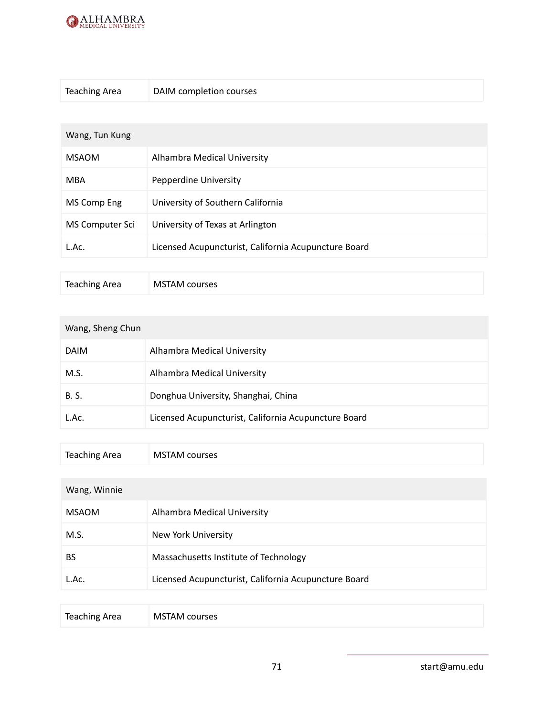

| <b>Teaching Area</b> | DAIM completion courses                              |
|----------------------|------------------------------------------------------|
|                      |                                                      |
| Wang, Tun Kung       |                                                      |
| <b>MSAOM</b>         | Alhambra Medical University                          |
| <b>MBA</b>           | Pepperdine University                                |
| MS Comp Eng          | University of Southern California                    |
| MS Computer Sci      | University of Texas at Arlington                     |
| L.Ac.                | Licensed Acupuncturist, California Acupuncture Board |

| Teaching Area<br><b>MSTAM courses</b> |
|---------------------------------------|
|---------------------------------------|

| Wang, Sheng Chun |                                                      |
|------------------|------------------------------------------------------|
| <b>DAIM</b>      | Alhambra Medical University                          |
| M.S.             | Alhambra Medical University                          |
| <b>B.S.</b>      | Donghua University, Shanghai, China                  |
| L.Ac.            | Licensed Acupuncturist, California Acupuncture Board |

| Teaching Area<br><b>MSTAM courses</b> |
|---------------------------------------|
|---------------------------------------|

### Wang, Winnie

| <b>MSAOM</b> | Alhambra Medical University                          |
|--------------|------------------------------------------------------|
| M.S.         | New York University                                  |
| <b>BS</b>    | Massachusetts Institute of Technology                |
| L.Ac.        | Licensed Acupuncturist, California Acupuncture Board |

| <b>Teaching Area</b> | <b>MSTAM</b> courses |
|----------------------|----------------------|
|----------------------|----------------------|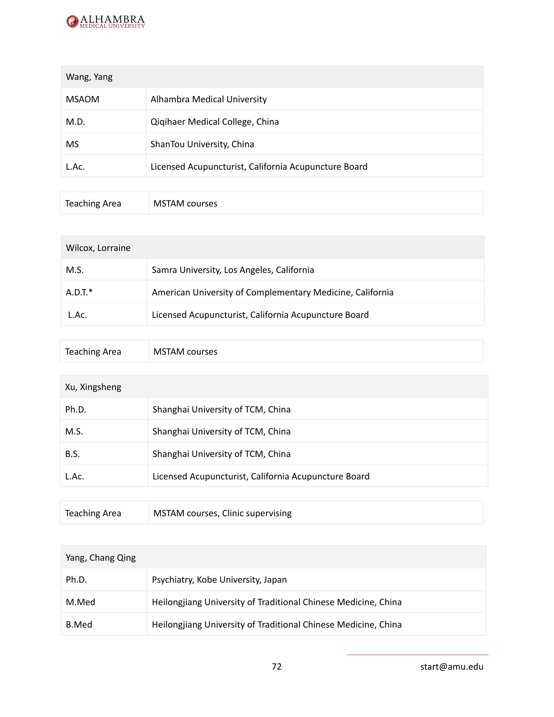

| Wang, Yang   |                                                      |
|--------------|------------------------------------------------------|
| <b>MSAOM</b> | Alhambra Medical University                          |
| M.D.         | Qiqihaer Medical College, China                      |
| <b>MS</b>    | ShanTou University, China                            |
| L.Ac.        | Licensed Acupuncturist, California Acupuncture Board |

| Teaching Area | <b>MSTAM courses</b> |
|---------------|----------------------|
|---------------|----------------------|

| Wilcox, Lorraine |                                                           |  |
|------------------|-----------------------------------------------------------|--|
| M.S.             | Samra University, Los Angeles, California                 |  |
| $A.D.T.*$        | American University of Complementary Medicine, California |  |
| L.Ac.            | Licensed Acupuncturist, California Acupuncture Board      |  |

| Teaching Area | <b>MSTAM courses</b> |  |  |  |
|---------------|----------------------|--|--|--|
|---------------|----------------------|--|--|--|

| Xu, Xingsheng |                                                      |
|---------------|------------------------------------------------------|
| Ph.D.         | Shanghai University of TCM, China                    |
| M.S.          | Shanghai University of TCM, China                    |
| B.S.          | Shanghai University of TCM, China                    |
| L.Ac.         | Licensed Acupuncturist, California Acupuncture Board |
|               |                                                      |

| Teaching Area | MSTAM courses, Clinic supervising |  |
|---------------|-----------------------------------|--|
|---------------|-----------------------------------|--|

| Yang, Chang Qing |                                                                |
|------------------|----------------------------------------------------------------|
| Ph.D.            | Psychiatry, Kobe University, Japan                             |
| M.Med            | Heilongjiang University of Traditional Chinese Medicine, China |
| B.Med            | Heilongjiang University of Traditional Chinese Medicine, China |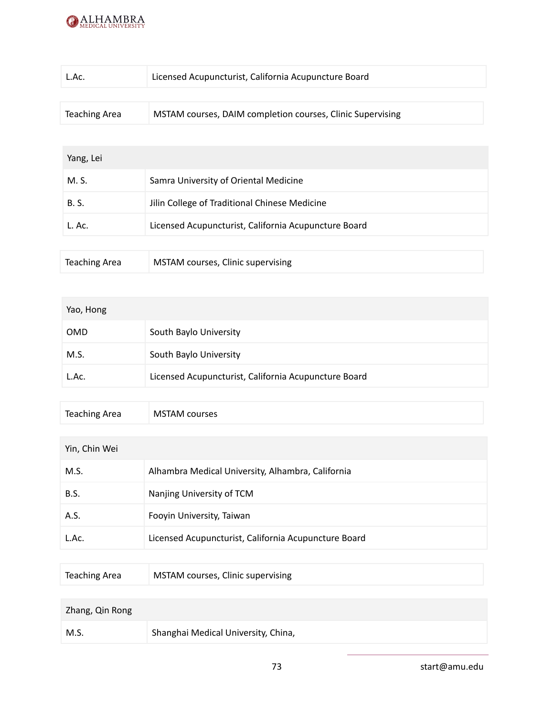

| L.Ac.         | Licensed Acupuncturist, California Acupuncture Board       |
|---------------|------------------------------------------------------------|
|               |                                                            |
| Teaching Area | MSTAM courses, DAIM completion courses, Clinic Supervising |

### Yang, Lei

| M. S.                | Samra University of Oriental Medicine                |
|----------------------|------------------------------------------------------|
| <b>B.S.</b>          | Jilin College of Traditional Chinese Medicine        |
| L. Ac.               | Licensed Acupuncturist, California Acupuncture Board |
|                      |                                                      |
| <b>Teaching Area</b> | MSTAM courses, Clinic supervising                    |

| Yao, Hong  |                                                      |
|------------|------------------------------------------------------|
| <b>OMD</b> | South Baylo University                               |
| M.S.       | South Baylo University                               |
| L.Ac.      | Licensed Acupuncturist, California Acupuncture Board |

| Teaching Area<br><b>MSTAM courses</b> |  |  |
|---------------------------------------|--|--|
|---------------------------------------|--|--|

| Yin, Chin Wei |                                                      |  |
|---------------|------------------------------------------------------|--|
| M.S.          | Alhambra Medical University, Alhambra, California    |  |
| <b>B.S.</b>   | Nanjing University of TCM                            |  |
| A.S.          | Fooyin University, Taiwan                            |  |
| L.Ac.         | Licensed Acupuncturist, California Acupuncture Board |  |

| <b>Teaching Area</b> | MSTAM courses, Clinic supervising   |
|----------------------|-------------------------------------|
|                      |                                     |
| Zhang, Qin Rong      |                                     |
| M.S.                 | Shanghai Medical University, China, |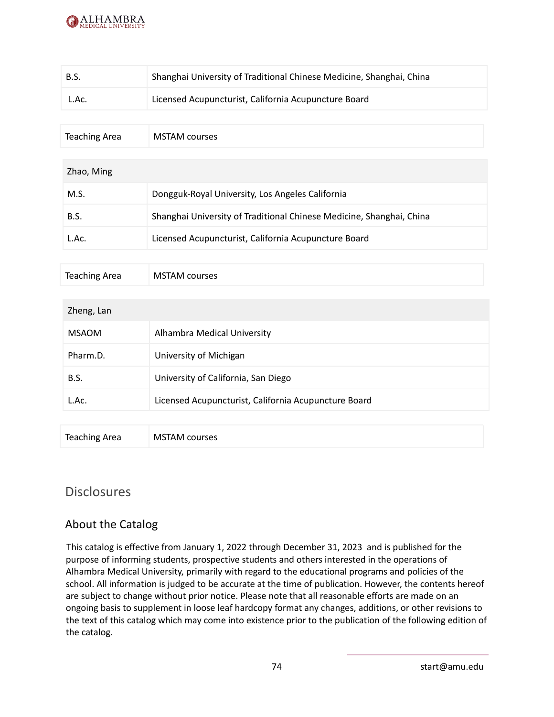

| B.S.                 | Shanghai University of Traditional Chinese Medicine, Shanghai, China |
|----------------------|----------------------------------------------------------------------|
| L.Ac.                | Licensed Acupuncturist, California Acupuncture Board                 |
|                      |                                                                      |
| <b>Teaching Area</b> | <b>MSTAM</b> courses                                                 |
|                      |                                                                      |
| Zhao, Ming           |                                                                      |
| M.S.                 | Dongguk-Royal University, Los Angeles California                     |
| B.S.                 | Shanghai University of Traditional Chinese Medicine, Shanghai, China |
| L.Ac.                | Licensed Acupuncturist, California Acupuncture Board                 |
|                      |                                                                      |
| <b>Teaching Area</b> | <b>MSTAM</b> courses                                                 |
|                      |                                                                      |
| Zheng, Lan           |                                                                      |
| <b>MSAOM</b>         | Alhambra Medical University                                          |
|                      |                                                                      |

| Pharm.D. | University of Michigan                               |
|----------|------------------------------------------------------|
| B.S.     | University of California, San Diego                  |
| L.Ac.    | Licensed Acupuncturist, California Acupuncture Board |
|          |                                                      |

| <b>Teaching Area</b> | <b>MSTAM courses</b> |
|----------------------|----------------------|
|                      |                      |

# **Disclosures**

# About the Catalog

This catalog is effective from January 1, 2022 through December 31, 2023 and is published for the purpose of informing students, prospective students and others interested in the operations of Alhambra Medical University, primarily with regard to the educational programs and policies of the school. All information is judged to be accurate at the time of publication. However, the contents hereof are subject to change without prior notice. Please note that all reasonable efforts are made on an ongoing basis to supplement in loose leaf hardcopy format any changes, additions, or other revisions to the text of this catalog which may come into existence prior to the publication of the following edition of the catalog.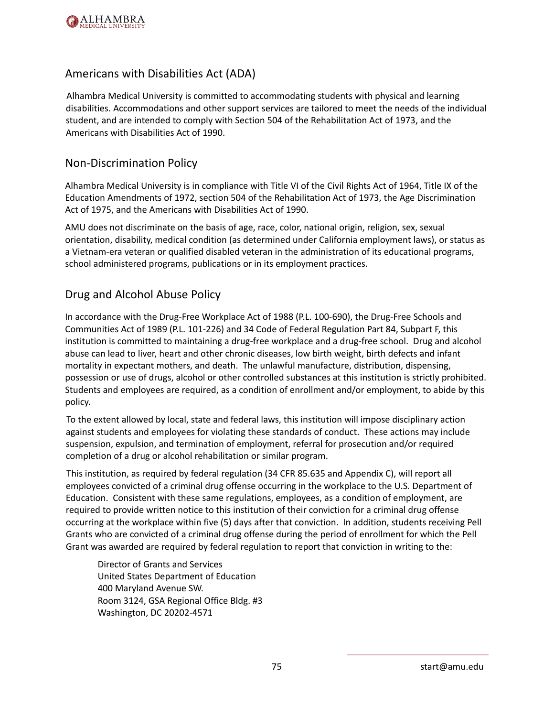

# Americans with Disabilities Act (ADA)

Alhambra Medical University is committed to accommodating students with physical and learning disabilities. Accommodations and other support services are tailored to meet the needs of the individual student, and are intended to comply with Section 504 of the Rehabilitation Act of 1973, and the Americans with Disabilities Act of 1990.

### Non-Discrimination Policy

Alhambra Medical University is in compliance with Title VI of the Civil Rights Act of 1964, Title IX of the Education Amendments of 1972, section 504 of the Rehabilitation Act of 1973, the Age Discrimination Act of 1975, and the Americans with Disabilities Act of 1990.

AMU does not discriminate on the basis of age, race, color, national origin, religion, sex, sexual orientation, disability, medical condition (as determined under California employment laws), or status as a Vietnam-era veteran or qualified disabled veteran in the administration of its educational programs, school administered programs, publications or in its employment practices.

### Drug and Alcohol Abuse Policy

In accordance with the Drug-Free Workplace Act of 1988 (P.L. 100-690), the Drug-Free Schools and Communities Act of 1989 (P.L. 101-226) and 34 Code of Federal Regulation Part 84, Subpart F, this institution is committed to maintaining a drug-free workplace and a drug-free school. Drug and alcohol abuse can lead to liver, heart and other chronic diseases, low birth weight, birth defects and infant mortality in expectant mothers, and death. The unlawful manufacture, distribution, dispensing, possession or use of drugs, alcohol or other controlled substances at this institution is strictly prohibited. Students and employees are required, as a condition of enrollment and/or employment, to abide by this policy.

To the extent allowed by local, state and federal laws, this institution will impose disciplinary action against students and employees for violating these standards of conduct. These actions may include suspension, expulsion, and termination of employment, referral for prosecution and/or required completion of a drug or alcohol rehabilitation or similar program.

This institution, as required by federal regulation (34 CFR 85.635 and Appendix C), will report all employees convicted of a criminal drug offense occurring in the workplace to the U.S. Department of Education. Consistent with these same regulations, employees, as a condition of employment, are required to provide written notice to this institution of their conviction for a criminal drug offense occurring at the workplace within five (5) days after that conviction. In addition, students receiving Pell Grants who are convicted of a criminal drug offense during the period of enrollment for which the Pell Grant was awarded are required by federal regulation to report that conviction in writing to the:

Director of Grants and Services United States Department of Education 400 Maryland Avenue SW. Room 3124, GSA Regional Office Bldg. #3 Washington, DC 20202-4571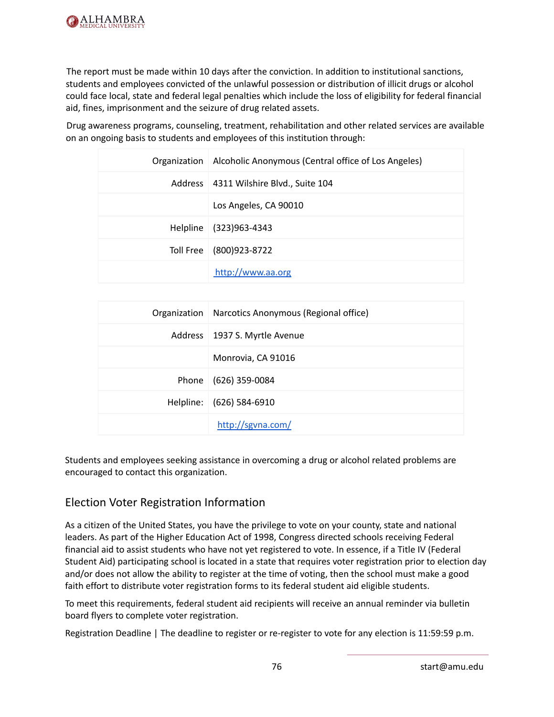

The report must be made within 10 days after the conviction. In addition to institutional sanctions, students and employees convicted of the unlawful possession or distribution of illicit drugs or alcohol could face local, state and federal legal penalties which include the loss of eligibility for federal financial aid, fines, imprisonment and the seizure of drug related assets.

Drug awareness programs, counseling, treatment, rehabilitation and other related services are available on an ongoing basis to students and employees of this institution through:

| Organization   Alcoholic Anonymous (Central office of Los Angeles) |
|--------------------------------------------------------------------|
| Address   4311 Wilshire Blvd., Suite 104                           |
| Los Angeles, CA 90010                                              |
| Helpline (323)963-4343                                             |
| Toll Free (800)923-8722                                            |
| http://www.aa.org                                                  |

| Organization   Narcotics Anonymous (Regional office) |
|------------------------------------------------------|
| Address   1937 S. Myrtle Avenue                      |
| Monrovia, CA 91016                                   |
| Phone (626) 359-0084                                 |
| Helpline: (626) 584-6910                             |
| http://sgvna.com/                                    |

Students and employees seeking assistance in overcoming a drug or alcohol related problems are encouraged to contact this organization.

# Election Voter Registration Information

As a citizen of the United States, you have the privilege to vote on your county, state and national leaders. As part of the Higher Education Act of 1998, Congress directed schools receiving Federal financial aid to assist students who have not yet registered to vote. In essence, if a Title IV (Federal Student Aid) participating school is located in a state that requires voter registration prior to election day and/or does not allow the ability to register at the time of voting, then the school must make a good faith effort to distribute voter registration forms to its federal student aid eligible students.

To meet this requirements, federal student aid recipients will receive an annual reminder via bulletin board flyers to complete voter registration.

Registration Deadline | The deadline to register or re-register to vote for any election is 11:59:59 p.m.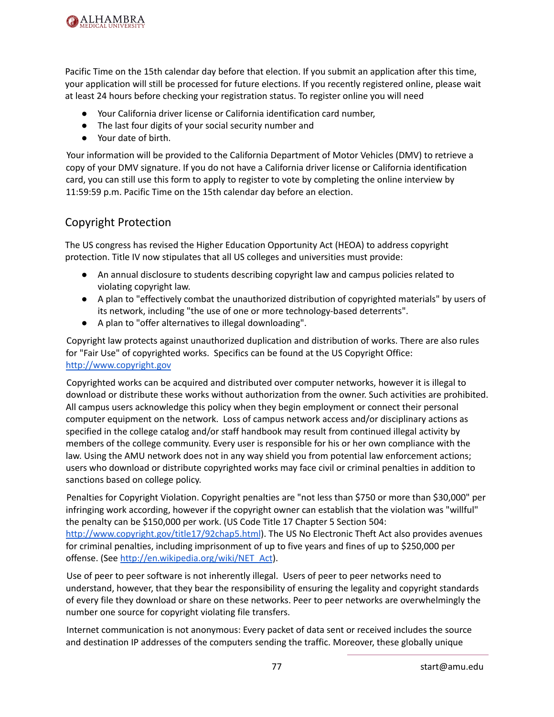

Pacific Time on the 15th calendar day before that election. If you submit an application after this time, your application will still be processed for future elections. If you recently registered online, please wait at least 24 hours before checking your registration status. To register online you will need

- Your California driver license or California identification card number,
- The last four digits of your social security number and
- Your date of birth.

Your information will be provided to the California Department of Motor Vehicles (DMV) to retrieve a copy of your DMV signature. If you do not have a California driver license or California identification card, you can still use this form to apply to register to vote by completing the online interview by 11:59:59 p.m. Pacific Time on the 15th calendar day before an election.

### Copyright Protection

The US congress has revised the Higher Education Opportunity Act (HEOA) to address copyright protection. Title IV now stipulates that all US colleges and universities must provide:

- An annual disclosure to students describing copyright law and campus policies related to violating copyright law.
- A plan to "effectively combat the unauthorized distribution of copyrighted materials" by users of its network, including "the use of one or more technology-based deterrents".
- A plan to "offer alternatives to illegal downloading".

Copyright law protects against unauthorized duplication and distribution of works. There are also rules for "Fair Use" of copyrighted works. Specifics can be found at the US Copyright Office: [http://www.copyright.gov](http://www.copyright.gov/)

Copyrighted works can be acquired and distributed over computer networks, however it is illegal to download or distribute these works without authorization from the owner. Such activities are prohibited. All campus users acknowledge this policy when they begin employment or connect their personal computer equipment on the network. Loss of campus network access and/or disciplinary actions as specified in the college catalog and/or staff handbook may result from continued illegal activity by members of the college community. Every user is responsible for his or her own compliance with the law. Using the AMU network does not in any way shield you from potential law enforcement actions; users who download or distribute copyrighted works may face civil or criminal penalties in addition to sanctions based on college policy.

Penalties for Copyright Violation. Copyright penalties are "not less than \$750 or more than \$30,000" per infringing work according, however if the copyright owner can establish that the violation was "willful" the penalty can be \$150,000 per work. (US Code Title 17 Chapter 5 Section 504: <http://www.copyright.gov/title17/92chap5.html>). The US No Electronic Theft Act also provides avenues for criminal penalties, including imprisonment of up to five years and fines of up to \$250,000 per offense. (See [http://en.wikipedia.org/wiki/NET\\_Act](http://en.wikipedia.org/wiki/NET_Act)).

Use of peer to peer software is not inherently illegal. Users of peer to peer networks need to understand, however, that they bear the responsibility of ensuring the legality and copyright standards of every file they download or share on these networks. Peer to peer networks are overwhelmingly the number one source for copyright violating file transfers.

Internet communication is not anonymous: Every packet of data sent or received includes the source and destination IP addresses of the computers sending the traffic. Moreover, these globally unique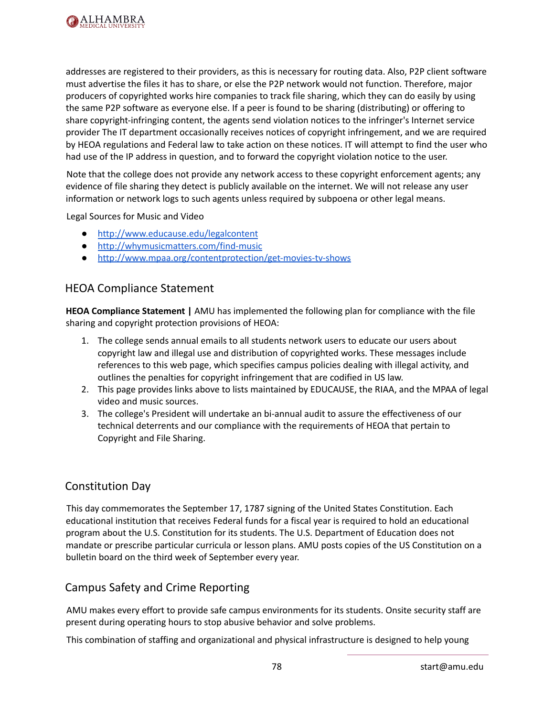

addresses are registered to their providers, as this is necessary for routing data. Also, P2P client software must advertise the files it has to share, or else the P2P network would not function. Therefore, major producers of copyrighted works hire companies to track file sharing, which they can do easily by using the same P2P software as everyone else. If a peer is found to be sharing (distributing) or offering to share copyright-infringing content, the agents send violation notices to the infringer's Internet service provider The IT department occasionally receives notices of copyright infringement, and we are required by HEOA regulations and Federal law to take action on these notices. IT will attempt to find the user who had use of the IP address in question, and to forward the copyright violation notice to the user.

Note that the college does not provide any network access to these copyright enforcement agents; any evidence of file sharing they detect is publicly available on the internet. We will not release any user information or network logs to such agents unless required by subpoena or other legal means.

Legal Sources for Music and Video

- <http://www.educause.edu/legalcontent>
- <http://whymusicmatters.com/find-music>
- <http://www.mpaa.org/contentprotection/get-movies-tv-shows>

### HEOA Compliance Statement

**HEOA Compliance Statement |** AMU has implemented the following plan for compliance with the file sharing and copyright protection provisions of HEOA:

- 1. The college sends annual emails to all students network users to educate our users about copyright law and illegal use and distribution of copyrighted works. These messages include references to this web page, which specifies campus policies dealing with illegal activity, and outlines the penalties for copyright infringement that are codified in US law.
- 2. This page provides links above to lists maintained by EDUCAUSE, the RIAA, and the MPAA of legal video and music sources.
- 3. The college's President will undertake an bi-annual audit to assure the effectiveness of our technical deterrents and our compliance with the requirements of HEOA that pertain to Copyright and File Sharing.

### Constitution Day

This day commemorates the September 17, 1787 signing of the United States Constitution. Each educational institution that receives Federal funds for a fiscal year is required to hold an educational program about the U.S. Constitution for its students. The U.S. Department of Education does not mandate or prescribe particular curricula or lesson plans. AMU posts copies of the US Constitution on a bulletin board on the third week of September every year.

### Campus Safety and Crime Reporting

AMU makes every effort to provide safe campus environments for its students. Onsite security staff are present during operating hours to stop abusive behavior and solve problems.

This combination of staffing and organizational and physical infrastructure is designed to help young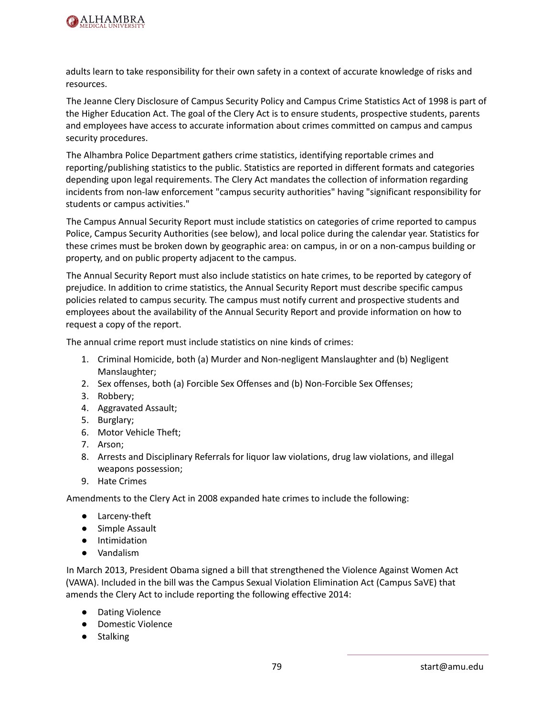

adults learn to take responsibility for their own safety in a context of accurate knowledge of risks and resources.

The Jeanne Clery Disclosure of Campus Security Policy and Campus Crime Statistics Act of 1998 is part of the Higher Education Act. The goal of the Clery Act is to ensure students, prospective students, parents and employees have access to accurate information about crimes committed on campus and campus security procedures.

The Alhambra Police Department gathers crime statistics, identifying reportable crimes and reporting/publishing statistics to the public. Statistics are reported in different formats and categories depending upon legal requirements. The Clery Act mandates the collection of information regarding incidents from non-law enforcement "campus security authorities" having "significant responsibility for students or campus activities."

The Campus Annual Security Report must include statistics on categories of crime reported to campus Police, Campus Security Authorities (see below), and local police during the calendar year. Statistics for these crimes must be broken down by geographic area: on campus, in or on a non-campus building or property, and on public property adjacent to the campus.

The Annual Security Report must also include statistics on hate crimes, to be reported by category of prejudice. In addition to crime statistics, the Annual Security Report must describe specific campus policies related to campus security. The campus must notify current and prospective students and employees about the availability of the Annual Security Report and provide information on how to request a copy of the report.

The annual crime report must include statistics on nine kinds of crimes:

- 1. Criminal Homicide, both (a) Murder and Non-negligent Manslaughter and (b) Negligent Manslaughter;
- 2. Sex offenses, both (a) Forcible Sex Offenses and (b) Non-Forcible Sex Offenses;
- 3. Robbery;
- 4. Aggravated Assault;
- 5. Burglary;
- 6. Motor Vehicle Theft;
- 7. Arson;
- 8. Arrests and Disciplinary Referrals for liquor law violations, drug law violations, and illegal weapons possession;
- 9. Hate Crimes

Amendments to the Clery Act in 2008 expanded hate crimes to include the following:

- Larceny-theft
- Simple Assault
- Intimidation
- Vandalism

In March 2013, President Obama signed a bill that strengthened the Violence Against Women Act (VAWA). Included in the bill was the Campus Sexual Violation Elimination Act (Campus SaVE) that amends the Clery Act to include reporting the following effective 2014:

- Dating Violence
- Domestic Violence
- Stalking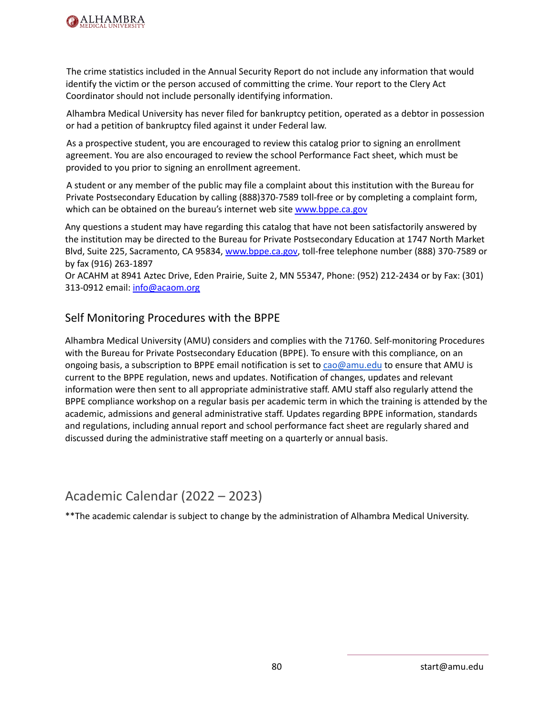

The crime statistics included in the Annual Security Report do not include any information that would identify the victim or the person accused of committing the crime. Your report to the Clery Act Coordinator should not include personally identifying information.

Alhambra Medical University has never filed for bankruptcy petition, operated as a debtor in possession or had a petition of bankruptcy filed against it under Federal law.

As a prospective student, you are encouraged to review this catalog prior to signing an enrollment agreement. You are also encouraged to review the school Performance Fact sheet, which must be provided to you prior to signing an enrollment agreement.

A student or any member of the public may file a complaint about this institution with the Bureau for Private Postsecondary Education by calling (888)370-7589 toll-free or by completing a complaint form, which can be obtained on the bureau's internet web site [www.bppe.ca.gov](http://www.bppe.ca.gov)

Any questions a student may have regarding this catalog that have not been satisfactorily answered by the institution may be directed to the Bureau for Private Postsecondary Education at 1747 North Market Blvd, Suite 225, Sacramento, CA 95834, [www.bppe.ca.gov,](http://www.bppe.ca.gov) toll-free telephone number (888) 370-7589 or by fax (916) 263-1897

Or ACAHM at 8941 Aztec Drive, Eden Prairie, Suite 2, MN 55347, Phone: (952) 212-2434 or by Fax: (301) 313-0912 email: [info@acaom.org](mailto:info@acaom.org)

## Self Monitoring Procedures with the BPPE

Alhambra Medical University (AMU) considers and complies with the 71760. Self-monitoring Procedures with the Bureau for Private Postsecondary Education (BPPE). To ensure with this compliance, on an ongoing basis, a subscription to BPPE email notification is set to [cao@amu.edu](mailto:cao@amu.edu) to ensure that AMU is current to the BPPE regulation, news and updates. Notification of changes, updates and relevant information were then sent to all appropriate administrative staff. AMU staff also regularly attend the BPPE compliance workshop on a regular basis per academic term in which the training is attended by the academic, admissions and general administrative staff. Updates regarding BPPE information, standards and regulations, including annual report and school performance fact sheet are regularly shared and discussed during the administrative staff meeting on a quarterly or annual basis.

# Academic Calendar (2022 – 2023)

\*\*The academic calendar is subject to change by the administration of Alhambra Medical University.